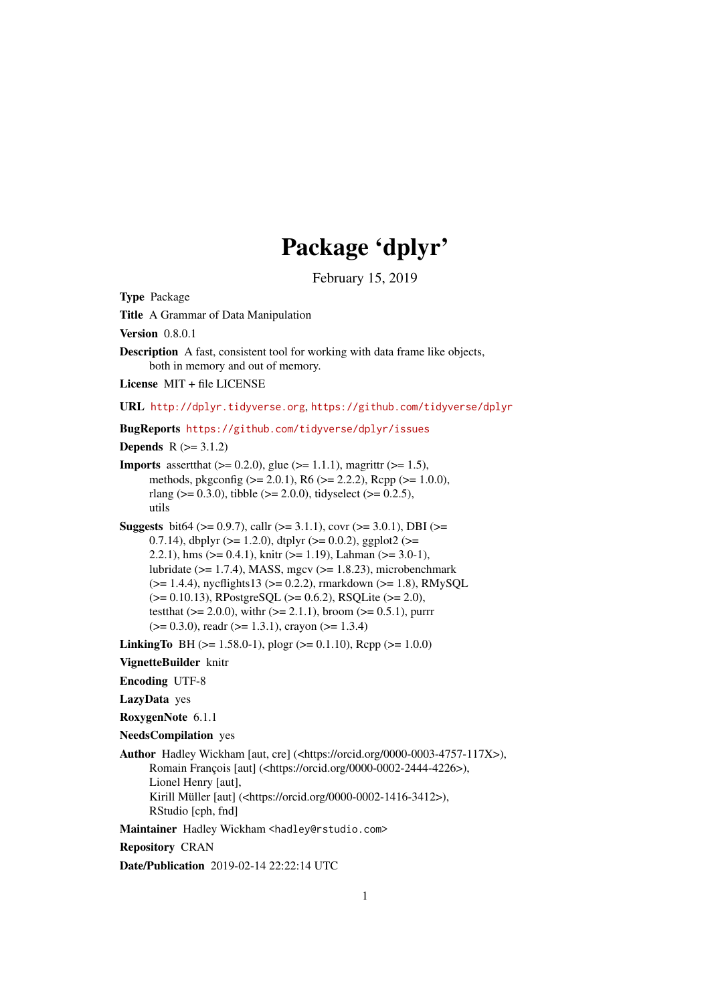# Package 'dplyr'

February 15, 2019

<span id="page-0-0"></span>Type Package Title A Grammar of Data Manipulation Version 0.8.0.1 Description A fast, consistent tool for working with data frame like objects, both in memory and out of memory. License MIT + file LICENSE URL <http://dplyr.tidyverse.org>, <https://github.com/tidyverse/dplyr> BugReports <https://github.com/tidyverse/dplyr/issues> **Depends**  $R (= 3.1.2)$ **Imports** assert that  $(>= 0.2.0)$ , glue  $(>= 1.1.1)$ , magnittr  $(>= 1.5)$ , methods, pkgconfig (>= 2.0.1), R6 (>= 2.2.2), Rcpp (>= 1.0.0), rlang ( $> = 0.3.0$ ), tibble ( $> = 2.0.0$ ), tidyselect ( $> = 0.2.5$ ), utils Suggests bit64 ( $> = 0.9.7$ ), callr ( $> = 3.1.1$ ), covr ( $> = 3.0.1$ ), DBI ( $> =$ 0.7.14), dbplyr ( $>= 1.2.0$ ), dtplyr ( $>= 0.0.2$ ), ggplot2 ( $>=$ 2.2.1), hms  $(>= 0.4.1)$ , knitr  $(>= 1.19)$ , Lahman  $(>= 3.0-1)$ , lubridate ( $>= 1.7.4$ ), MASS, mgcv ( $>= 1.8.23$ ), microbenchmark  $(>= 1.4.4)$ , nycflights13 ( $>= 0.2.2$ ), rmarkdown ( $>= 1.8$ ), RMySQL  $(>= 0.10.13)$ , RPostgreSQL  $(>= 0.6.2)$ , RSQLite  $(>= 2.0)$ , test that  $(>= 2.0.0)$ , with  $(>= 2.1.1)$ , broom  $(>= 0.5.1)$ , purrr  $(>= 0.3.0)$ , readr  $(>= 1.3.1)$ , crayon  $(>= 1.3.4)$ **LinkingTo** BH ( $>= 1.58.0-1$ ), plogr ( $>= 0.1.10$ ), Rcpp ( $>= 1.0.0$ ) VignetteBuilder knitr Encoding UTF-8 LazyData yes RoxygenNote 6.1.1 NeedsCompilation yes Author Hadley Wickham [aut, cre] (<https://orcid.org/0000-0003-4757-117X>), Romain François [aut] (<https://orcid.org/0000-0002-2444-4226>), Lionel Henry [aut], Kirill Müller [aut] (<https://orcid.org/0000-0002-1416-3412>), RStudio [cph, fnd] Maintainer Hadley Wickham <hadley@rstudio.com> Repository CRAN Date/Publication 2019-02-14 22:22:14 UTC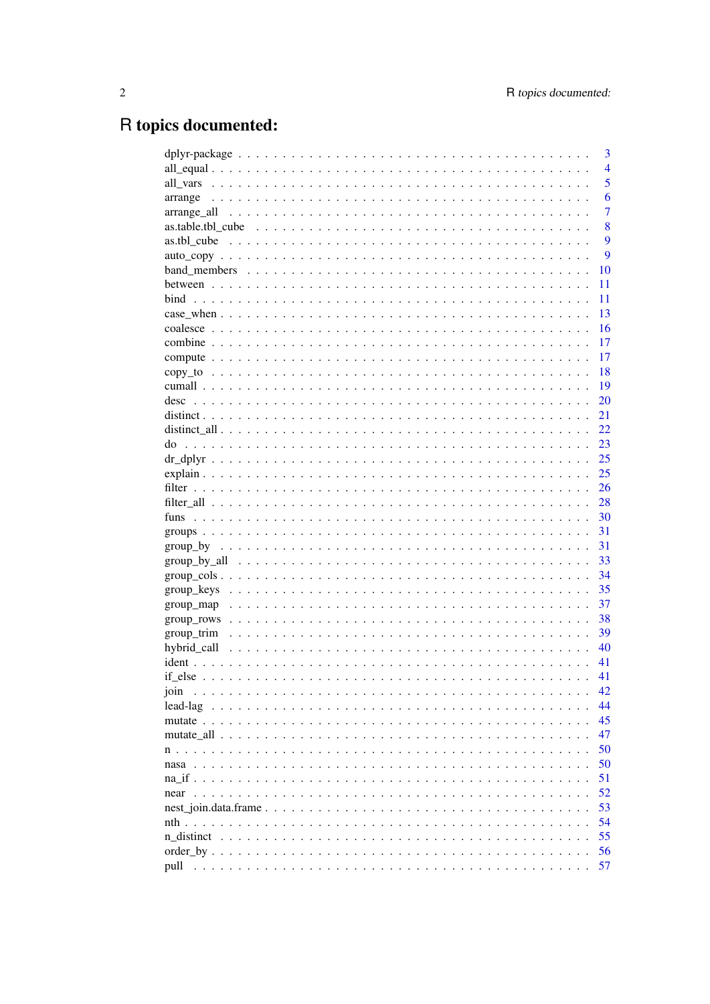## R topics documented:

|                                                                                                                      |  | 3              |
|----------------------------------------------------------------------------------------------------------------------|--|----------------|
|                                                                                                                      |  | $\overline{4}$ |
| all vars                                                                                                             |  | 5              |
| arrange                                                                                                              |  | 6              |
| arrange_all                                                                                                          |  | $\overline{7}$ |
| as.table.tbl cube                                                                                                    |  | 8              |
| as.tbl cube                                                                                                          |  | 9              |
|                                                                                                                      |  | 9              |
|                                                                                                                      |  | 10             |
|                                                                                                                      |  | 11             |
| bind                                                                                                                 |  | 11             |
|                                                                                                                      |  | 13             |
|                                                                                                                      |  | 16             |
|                                                                                                                      |  | 17             |
|                                                                                                                      |  | 17             |
|                                                                                                                      |  | 18             |
|                                                                                                                      |  | 19             |
| desc                                                                                                                 |  | 20             |
|                                                                                                                      |  | 21             |
|                                                                                                                      |  | 22             |
| do                                                                                                                   |  | 23             |
|                                                                                                                      |  | 25             |
|                                                                                                                      |  | 25             |
|                                                                                                                      |  | 26             |
|                                                                                                                      |  | 28             |
|                                                                                                                      |  | 30             |
|                                                                                                                      |  | 31             |
|                                                                                                                      |  | 31             |
| $group_by_all \dots \dots \dots \dots \dots \dots \dots \dots \dots \dots \dots \dots \dots \dots \dots \dots \dots$ |  | 33             |
|                                                                                                                      |  | 34             |
| group_keys                                                                                                           |  | 35             |
| group_map                                                                                                            |  | 37             |
| group_rows                                                                                                           |  | 38             |
| group_trim                                                                                                           |  | 39             |
| hybrid call<br>1.111                                                                                                 |  | 40             |
| $ident \dots \dots$                                                                                                  |  | 41             |
|                                                                                                                      |  | 41             |
| join                                                                                                                 |  | 42             |
| lead-lag<br>$\ddot{\phantom{a}}$<br>$\cdot$ $\cdot$ $\cdot$                                                          |  | 44             |
|                                                                                                                      |  | 45             |
|                                                                                                                      |  | 47             |
|                                                                                                                      |  | 50             |
| nasa                                                                                                                 |  | 50             |
|                                                                                                                      |  | 51             |
| near                                                                                                                 |  | 52             |
|                                                                                                                      |  | 53             |
|                                                                                                                      |  | 54             |
| n distinct                                                                                                           |  | 55             |
|                                                                                                                      |  | 56             |
| pull                                                                                                                 |  | 57             |
|                                                                                                                      |  |                |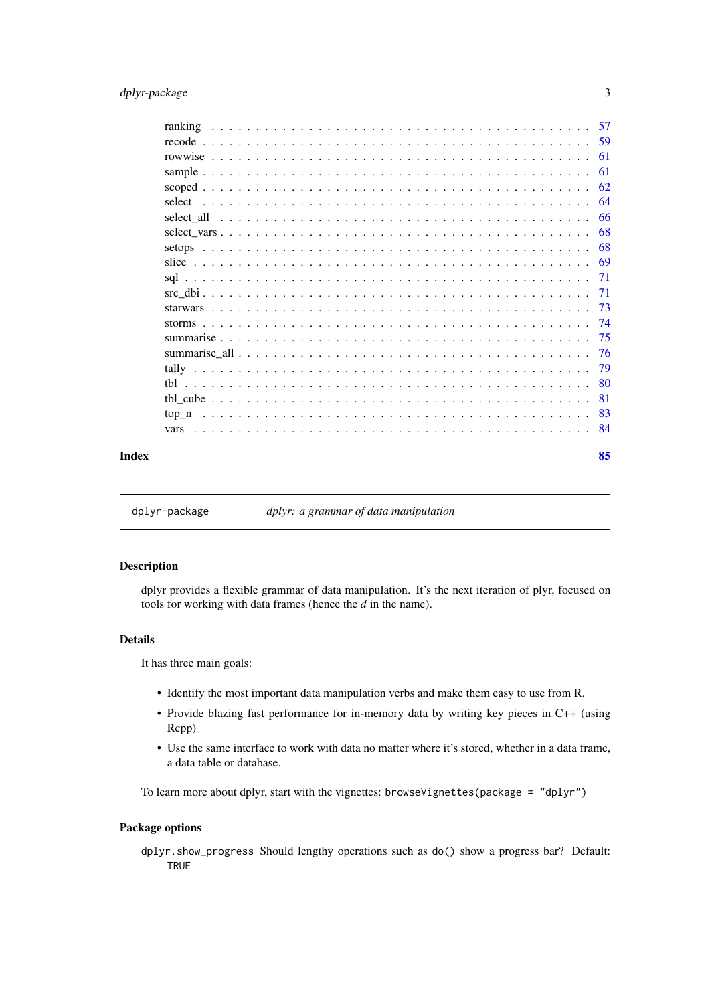#### <span id="page-2-0"></span>dplyr-package 3

| -79 |
|-----|
| -80 |
|     |
|     |
| -84 |
|     |

#### **Index** [85](#page-84-0)

dplyr-package *dplyr: a grammar of data manipulation*

### Description

dplyr provides a flexible grammar of data manipulation. It's the next iteration of plyr, focused on tools for working with data frames (hence the *d* in the name).

#### Details

It has three main goals:

- Identify the most important data manipulation verbs and make them easy to use from R.
- Provide blazing fast performance for in-memory data by writing key pieces in C++ (using Rcpp)
- Use the same interface to work with data no matter where it's stored, whether in a data frame, a data table or database.

To learn more about dplyr, start with the vignettes: browseVignettes(package = "dplyr")

### Package options

dplyr.show\_progress Should lengthy operations such as do() show a progress bar? Default: **TRUE**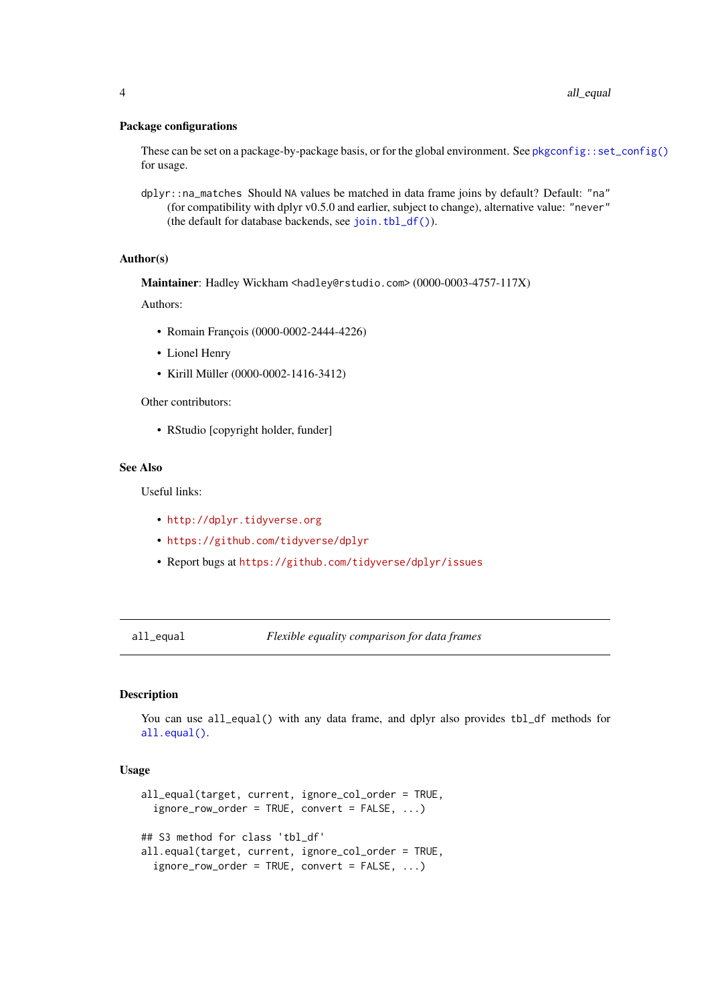### <span id="page-3-0"></span>Package configurations

These can be set on a package-by-package basis, or for the global environment. See [pkgconfig::set\\_config\(\)](#page-0-0) for usage.

dplyr::na\_matches Should NA values be matched in data frame joins by default? Default: "na" (for compatibility with dplyr v0.5.0 and earlier, subject to change), alternative value: "never" (the default for database backends, see [join.tbl\\_df\(\)](#page-52-1)).

### Author(s)

Maintainer: Hadley Wickham <hadley@rstudio.com> (0000-0003-4757-117X)

Authors:

- Romain François (0000-0002-2444-4226)
- Lionel Henry
- Kirill Müller (0000-0002-1416-3412)

Other contributors:

• RStudio [copyright holder, funder]

### See Also

Useful links:

- <http://dplyr.tidyverse.org>
- <https://github.com/tidyverse/dplyr>
- Report bugs at <https://github.com/tidyverse/dplyr/issues>

all\_equal *Flexible equality comparison for data frames*

#### Description

You can use all\_equal() with any data frame, and dplyr also provides tbl\_df methods for [all.equal\(\)](#page-0-0).

#### Usage

```
all_equal(target, current, ignore_col_order = TRUE,
  ignore_row_order = TRUE, convert = FALSE, ...)
## S3 method for class 'tbl_df'
all.equal(target, current, ignore_col_order = TRUE,
  ignore_row_order = TRUE, convert = FALSE, ...)
```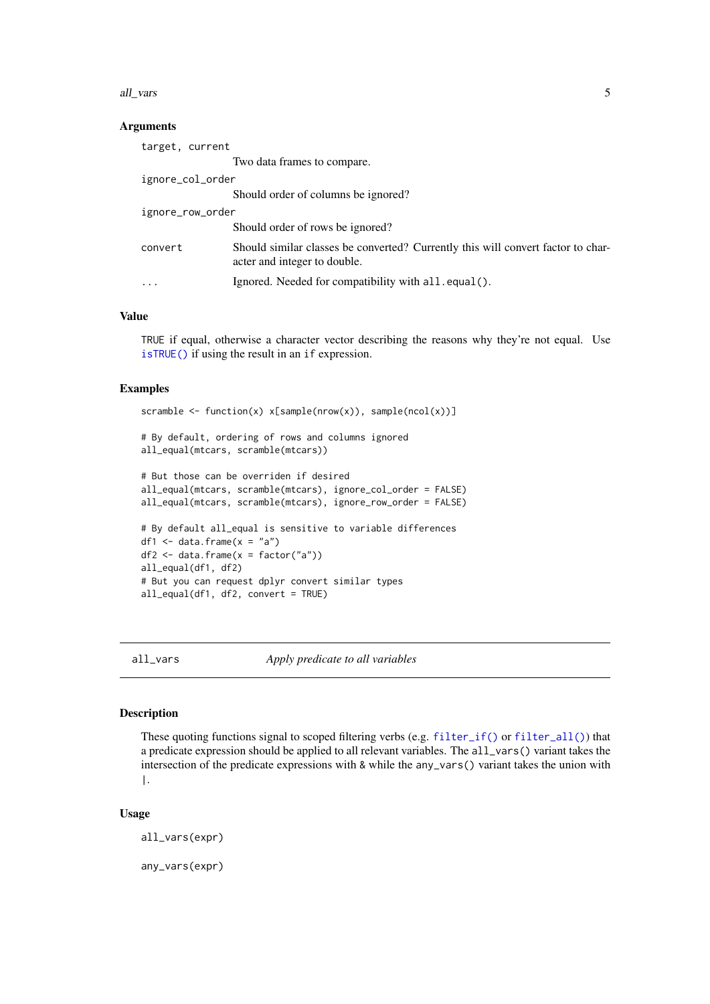<span id="page-4-0"></span>all\_vars 5

#### Arguments

| target, current  |                                                                                                                  |  |  |
|------------------|------------------------------------------------------------------------------------------------------------------|--|--|
|                  | Two data frames to compare.                                                                                      |  |  |
| ignore_col_order |                                                                                                                  |  |  |
|                  | Should order of columns be ignored?                                                                              |  |  |
| ignore_row_order |                                                                                                                  |  |  |
|                  | Should order of rows be ignored?                                                                                 |  |  |
| convert          | Should similar classes be converted? Currently this will convert factor to char-<br>acter and integer to double. |  |  |
| .                | Ignored. Needed for compatibility with all.equal().                                                              |  |  |

### Value

TRUE if equal, otherwise a character vector describing the reasons why they're not equal. Use [isTRUE\(\)](#page-0-0) if using the result in an if expression.

### Examples

```
scramble \leq function(x) x[sample(nrow(x)), sample(ncol(x))]
# By default, ordering of rows and columns ignored
all_equal(mtcars, scramble(mtcars))
# But those can be overriden if desired
all_equal(mtcars, scramble(mtcars), ignore_col_order = FALSE)
all_equal(mtcars, scramble(mtcars), ignore_row_order = FALSE)
# By default all_equal is sensitive to variable differences
df1 \leq data.frame(x = "a")df2 <- data.frame(x = factor("a"))all_equal(df1, df2)
# But you can request dplyr convert similar types
all_equal(df1, df2, convert = TRUE)
```
<span id="page-4-1"></span>all\_vars *Apply predicate to all variables*

### <span id="page-4-2"></span>Description

These quoting functions signal to scoped filtering verbs (e.g. [filter\\_if\(\)](#page-27-1) or [filter\\_all\(\)](#page-27-2)) that a predicate expression should be applied to all relevant variables. The all\_vars() variant takes the intersection of the predicate expressions with & while the any\_vars() variant takes the union with |.

### Usage

all\_vars(expr) any\_vars(expr)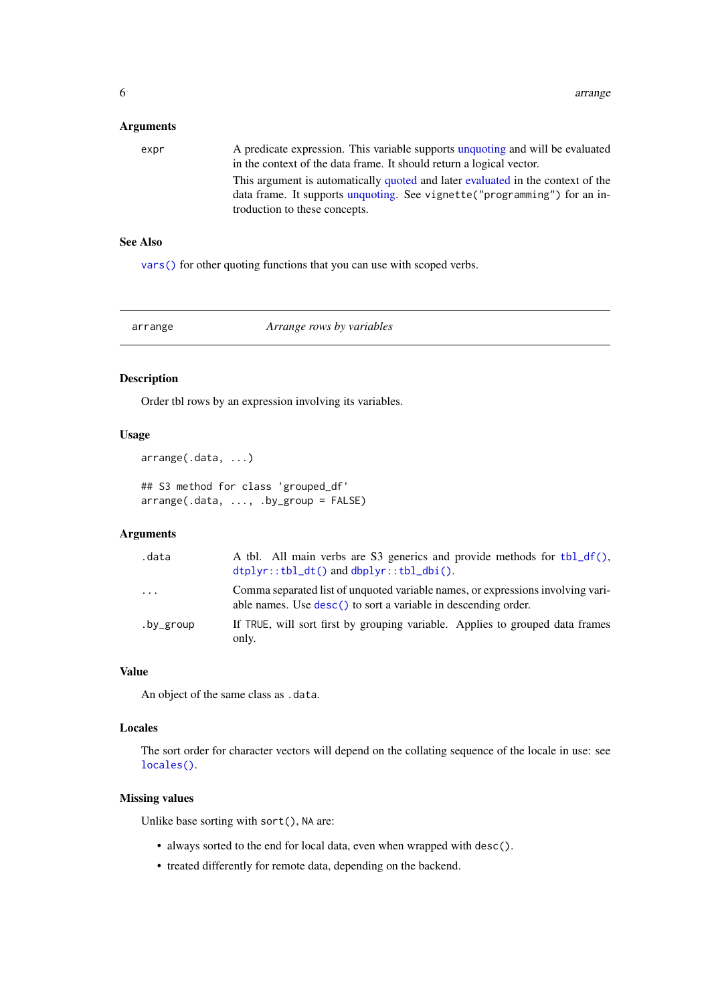### <span id="page-5-0"></span>Arguments

| expr | A predicate expression. This variable supports unquoting and will be evaluated<br>in the context of the data frame. It should return a logical vector.                                         |
|------|------------------------------------------------------------------------------------------------------------------------------------------------------------------------------------------------|
|      | This argument is automatically quoted and later evaluated in the context of the<br>data frame. It supports unquoting. See vignette ("programming") for an in-<br>troduction to these concepts. |

### See Also

[vars\(\)](#page-83-1) for other quoting functions that you can use with scoped verbs.

<span id="page-5-1"></span>

arrange *Arrange rows by variables*

### Description

Order tbl rows by an expression involving its variables.

#### Usage

```
arrange(.data, ...)
```
## S3 method for class 'grouped\_df' arrange(.data, ..., .by\_group = FALSE)

## Arguments

| .data     | A tbl. All main verbs are S3 generics and provide methods for $\text{tbl}_d(f)$ .<br>$dtplyr::tbl_dt()$ and $dbplyr::tbl_dbi()$ .                 |
|-----------|---------------------------------------------------------------------------------------------------------------------------------------------------|
| $\cdots$  | Comma separated list of unquoted variable names, or expressions involving vari-<br>able names. Use desc() to sort a variable in descending order. |
| .by_group | If TRUE, will sort first by grouping variable. Applies to grouped data frames<br>only.                                                            |

### Value

An object of the same class as .data.

### Locales

The sort order for character vectors will depend on the collating sequence of the locale in use: see [locales\(\)](#page-0-0).

### Missing values

Unlike base sorting with sort(), NA are:

- always sorted to the end for local data, even when wrapped with desc().
- treated differently for remote data, depending on the backend.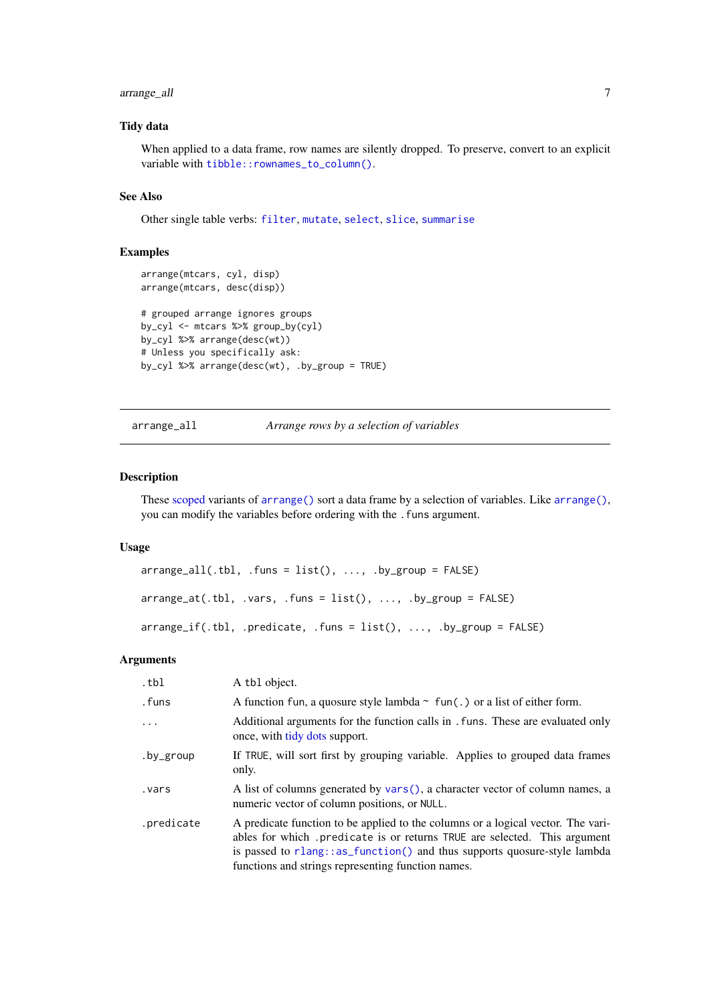### <span id="page-6-0"></span>arrange\_all 7

### Tidy data

When applied to a data frame, row names are silently dropped. To preserve, convert to an explicit variable with [tibble::rownames\\_to\\_column\(\)](#page-0-0).

### See Also

Other single table verbs: [filter](#page-25-1), [mutate](#page-44-1), [select](#page-63-1), [slice](#page-68-1), [summarise](#page-74-1)

### Examples

```
arrange(mtcars, cyl, disp)
arrange(mtcars, desc(disp))
# grouped arrange ignores groups
by_cyl <- mtcars %>% group_by(cyl)
by_cyl %>% arrange(desc(wt))
# Unless you specifically ask:
by_cyl %>% arrange(desc(wt), .by_group = TRUE)
```
#### arrange\_all *Arrange rows by a selection of variables*

#### Description

These [scoped](#page-61-1) variants of [arrange\(\)](#page-5-1) sort a data frame by a selection of variables. Like [arrange\(\)](#page-5-1), you can modify the variables before ordering with the . funs argument.

#### Usage

```
arraye_a11(.th1, .funs = list(), . . . , .by_group = FALSE)arrange_at(.th1, .vars, .funs = list(), . . . , .by_group = FALSE)arrange_if(.tbl, .predicate, .funs = list(), ..., .by_group = FALSE)
```
### Arguments

| .tbl       | A tbl object.                                                                                                                                                                                                                                                                                  |  |  |
|------------|------------------------------------------------------------------------------------------------------------------------------------------------------------------------------------------------------------------------------------------------------------------------------------------------|--|--|
| .funs      | A function fun, a quosure style lambda $\sim$ fun(.) or a list of either form.                                                                                                                                                                                                                 |  |  |
| $\ddots$   | Additional arguments for the function calls in . funs. These are evaluated only<br>once, with tidy dots support.                                                                                                                                                                               |  |  |
| .by_group  | If TRUE, will sort first by grouping variable. Applies to grouped data frames<br>only.                                                                                                                                                                                                         |  |  |
| .vars      | A list of columns generated by vars(), a character vector of column names, a<br>numeric vector of column positions, or NULL.                                                                                                                                                                   |  |  |
| .predicate | A predicate function to be applied to the columns or a logical vector. The vari-<br>ables for which predicate is or returns TRUE are selected. This argument<br>is passed to rlang::as_function() and thus supports quosure-style lambda<br>functions and strings representing function names. |  |  |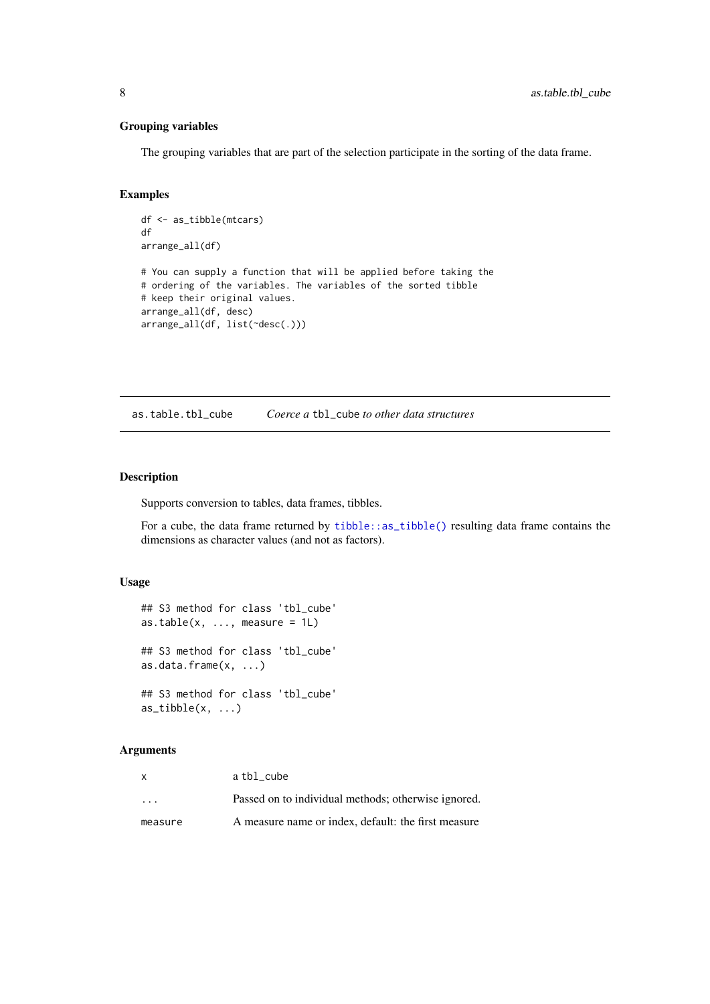### Grouping variables

The grouping variables that are part of the selection participate in the sorting of the data frame.

### Examples

```
df <- as_tibble(mtcars)
df
arrange_all(df)
# You can supply a function that will be applied before taking the
# ordering of the variables. The variables of the sorted tibble
# keep their original values.
arrange_all(df, desc)
arrange_all(df, list(~desc(.)))
```
as.table.tbl\_cube *Coerce a* tbl\_cube *to other data structures*

### Description

Supports conversion to tables, data frames, tibbles.

For a cube, the data frame returned by [tibble::as\\_tibble\(\)](#page-0-0) resulting data frame contains the dimensions as character values (and not as factors).

### Usage

```
## S3 method for class 'tbl_cube'
as.table(x, ..., measure = 1L)
## S3 method for class 'tbl_cube'
as.data.frame(x, ...)
## S3 method for class 'tbl_cube'
as\_tibble(x, \ldots)
```
### Arguments

| x                       | a tbl cube                                          |
|-------------------------|-----------------------------------------------------|
| $\cdot$ $\cdot$ $\cdot$ | Passed on to individual methods; otherwise ignored. |
| measure                 | A measure name or index, default: the first measure |

<span id="page-7-0"></span>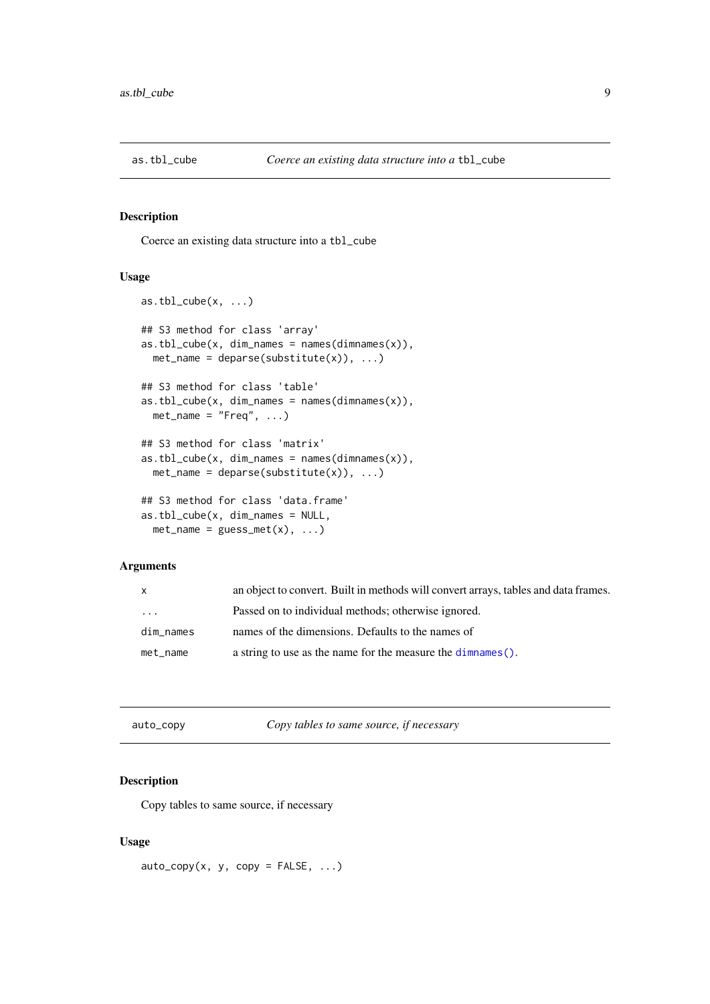<span id="page-8-0"></span>

Coerce an existing data structure into a tbl\_cube

#### Usage

```
as.tbl_cube(x, \ldots)## S3 method for class 'array'
as.tb1_cube(x, dim\_names = names(dimnames(x)),met_name = deparse(substitute(x)), ...)## S3 method for class 'table'
as.tb1_cube(x, dim\_names = names(dimnames(x)),met_name = "Freq", ...)## S3 method for class 'matrix'
as.tb1_cube(x, dim\_names = names(dimnames(x)),met_name = deparse(substitute(x)), ...)## S3 method for class 'data.frame'
as.tbl_cube(x, dim_names = NULL,
 met_name = guess_met(x), ...
```
#### Arguments

| X         | an object to convert. Built in methods will convert arrays, tables and data frames. |
|-----------|-------------------------------------------------------------------------------------|
| $\cdot$   | Passed on to individual methods; otherwise ignored.                                 |
| dim_names | names of the dimensions. Defaults to the names of                                   |
| met_name  | a string to use as the name for the measure the dimnames ().                        |

| auto_copy | Copy tables to same source, if necessary |  |
|-----------|------------------------------------------|--|
|           |                                          |  |

### Description

Copy tables to same source, if necessary

### Usage

 $auto\_copy(x, y, copy = FALSE, ...)$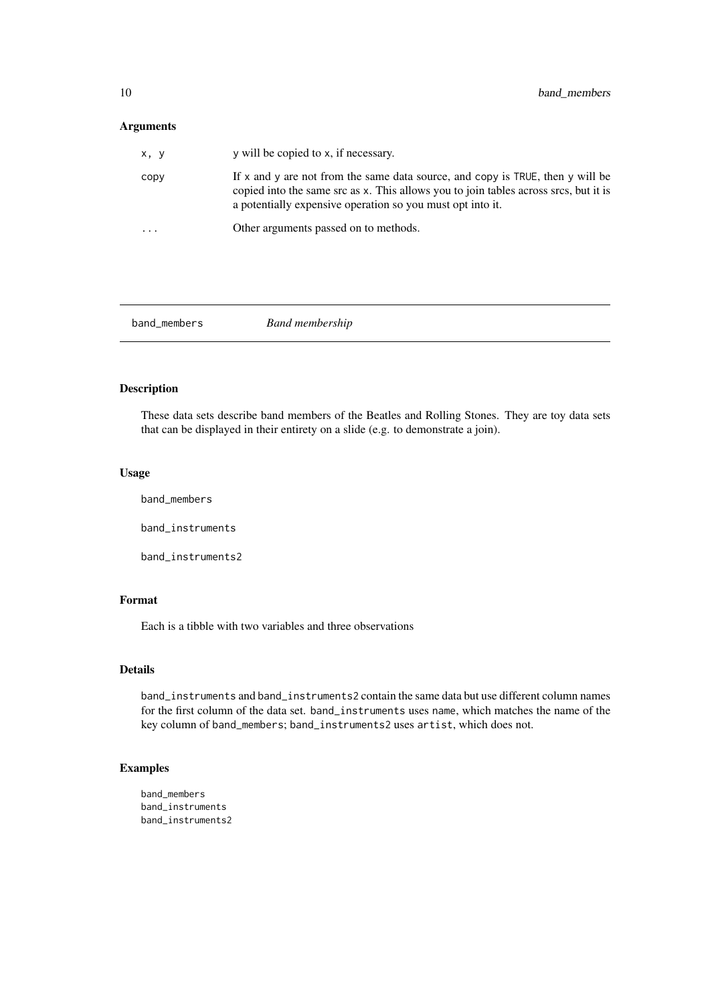### <span id="page-9-0"></span>Arguments

| x, y      | y will be copied to x, if necessary.                                                                                                                                                                                                 |
|-----------|--------------------------------------------------------------------------------------------------------------------------------------------------------------------------------------------------------------------------------------|
| CODV      | If x and y are not from the same data source, and copy is TRUE, then y will be<br>copied into the same src as x. This allows you to join tables across srcs, but it is<br>a potentially expensive operation so you must opt into it. |
| $\ddotsc$ | Other arguments passed on to methods.                                                                                                                                                                                                |
|           |                                                                                                                                                                                                                                      |

band\_members *Band membership*

### Description

These data sets describe band members of the Beatles and Rolling Stones. They are toy data sets that can be displayed in their entirety on a slide (e.g. to demonstrate a join).

### Usage

band\_members band\_instruments

band\_instruments2

### Format

Each is a tibble with two variables and three observations

#### Details

band\_instruments and band\_instruments2 contain the same data but use different column names for the first column of the data set. band\_instruments uses name, which matches the name of the key column of band\_members; band\_instruments2 uses artist, which does not.

### Examples

band\_members band\_instruments band\_instruments2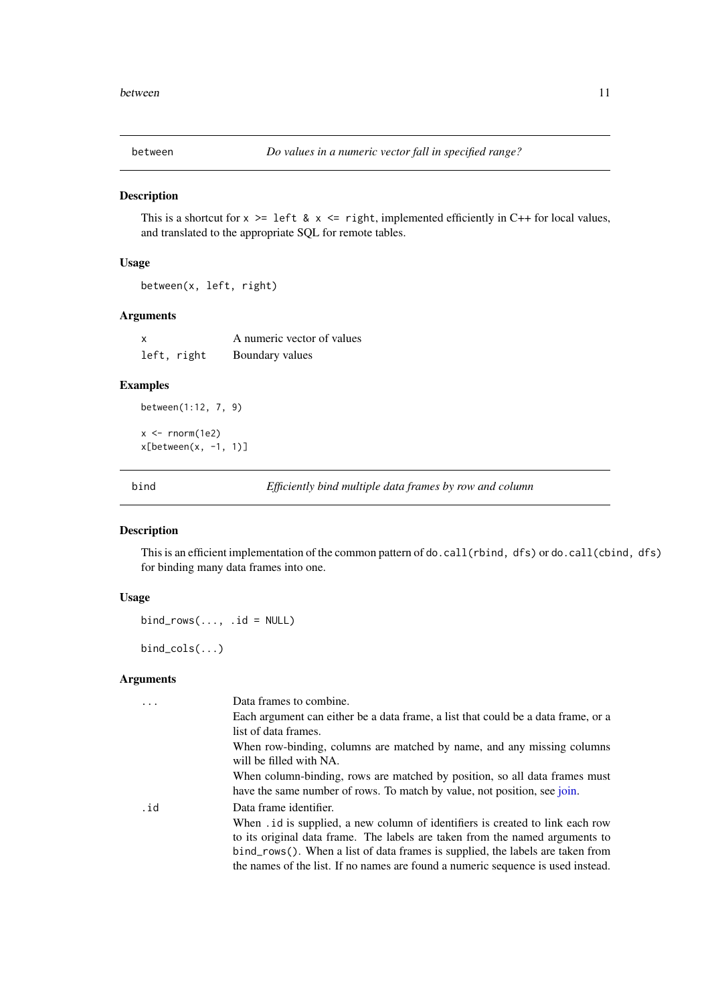<span id="page-10-2"></span><span id="page-10-0"></span>

This is a shortcut for  $x \geq 1$  left &  $x \leq 1$  right, implemented efficiently in C++ for local values, and translated to the appropriate SQL for remote tables.

#### Usage

between(x, left, right)

### Arguments

| X |             | A numeric vector of values |
|---|-------------|----------------------------|
|   | left, right | Boundary values            |

### Examples

between(1:12, 7, 9)

 $x < -$  rnorm(1e2) x[between(x, -1, 1)]

<span id="page-10-1"></span>bind *Efficiently bind multiple data frames by row and column*

### Description

This is an efficient implementation of the common pattern of do.call(rbind, dfs) or do.call(cbind, dfs) for binding many data frames into one.

### Usage

 $bind_{rows}$ ..., .id = NULL)

bind\_cols(...)

#### Arguments

| $\cdot$ | Data frames to combine.                                                                           |
|---------|---------------------------------------------------------------------------------------------------|
|         | Each argument can either be a data frame, a list that could be a data frame, or a                 |
|         | list of data frames.                                                                              |
|         | When row-binding, columns are matched by name, and any missing columns<br>will be filled with NA. |
|         | When column-binding, rows are matched by position, so all data frames must                        |
|         | have the same number of rows. To match by value, not position, see join.                          |
| .id     | Data frame identifier.                                                                            |
|         | When . id is supplied, a new column of identifiers is created to link each row                    |
|         | to its original data frame. The labels are taken from the named arguments to                      |
|         | bind_rows(). When a list of data frames is supplied, the labels are taken from                    |
|         | the names of the list. If no names are found a numeric sequence is used instead.                  |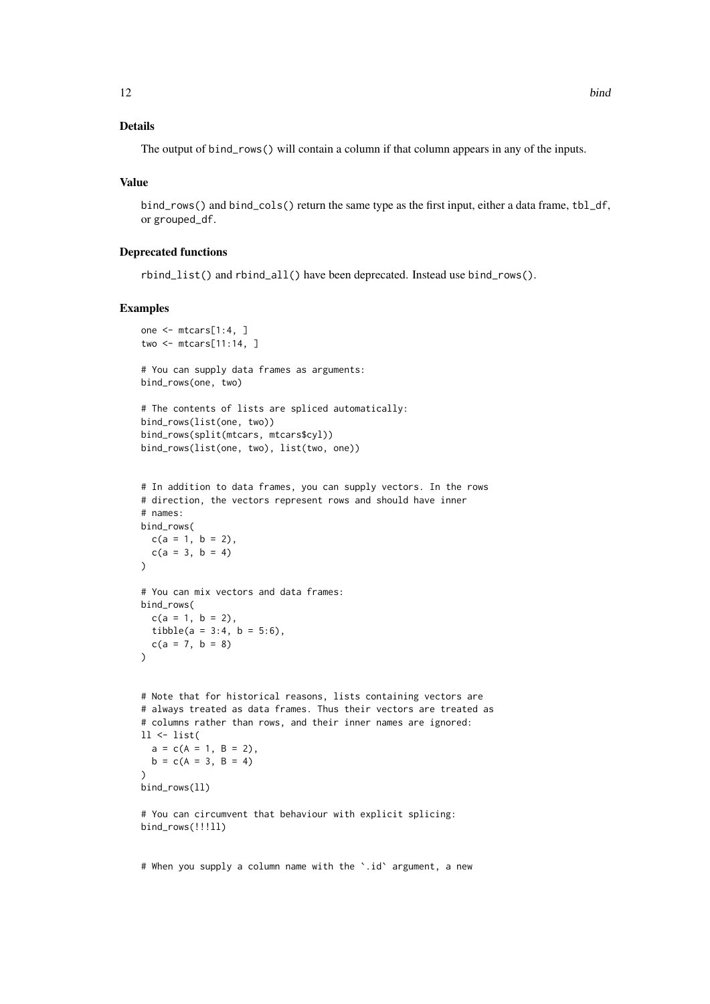### Details

The output of bind\_rows() will contain a column if that column appears in any of the inputs.

### Value

bind\_rows() and bind\_cols() return the same type as the first input, either a data frame, tbl\_df, or grouped\_df.

#### Deprecated functions

rbind\_list() and rbind\_all() have been deprecated. Instead use bind\_rows().

### Examples

```
one <- mtcars[1:4, ]
two <- mtcars[11:14, ]
# You can supply data frames as arguments:
bind_rows(one, two)
# The contents of lists are spliced automatically:
bind_rows(list(one, two))
bind_rows(split(mtcars, mtcars$cyl))
bind_rows(list(one, two), list(two, one))
# In addition to data frames, you can supply vectors. In the rows
# direction, the vectors represent rows and should have inner
# names:
bind_rows(
 c(a = 1, b = 2),
 c(a = 3, b = 4)\lambda# You can mix vectors and data frames:
bind_rows(
 c(a = 1, b = 2),
 tibble(a = 3:4, b = 5:6),
 c(a = 7, b = 8))
# Note that for historical reasons, lists containing vectors are
# always treated as data frames. Thus their vectors are treated as
# columns rather than rows, and their inner names are ignored:
ll <- list(
 a = c(A = 1, B = 2),
 b = c(A = 3, B = 4)\lambdabind_rows(ll)
# You can circumvent that behaviour with explicit splicing:
bind_rows(!!!ll)
```
# When you supply a column name with the `.id` argument, a new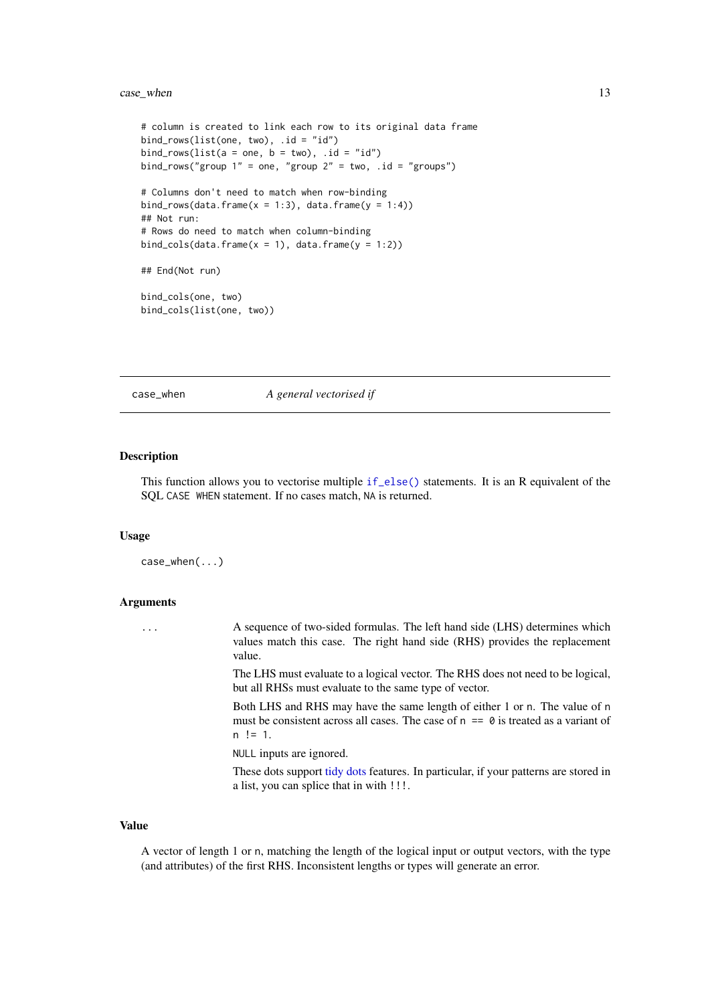#### <span id="page-12-0"></span>case\_when 13

```
# column is created to link each row to its original data frame
bind_rows(list(one, two),.id = "id")bind_rows(list(a = one, b = two), .id = "id")
bind_rows("group 1" = one, "group 2" = two, .id = "groups")
# Columns don't need to match when row-binding
bind_rows(data.frame(x = 1:3), data.frame(y = 1:4))
## Not run:
# Rows do need to match when column-binding
bind_cols(data.frame(x = 1), data.frame(y = 1:2))
## End(Not run)
bind_cols(one, two)
bind_cols(list(one, two))
```
case\_when *A general vectorised if*

#### Description

This function allows you to vectorise multiple [if\\_else\(\)](#page-40-1) statements. It is an R equivalent of the SQL CASE WHEN statement. If no cases match, NA is returned.

#### Usage

```
case_when(...)
```
#### Arguments

... A sequence of two-sided formulas. The left hand side (LHS) determines which values match this case. The right hand side (RHS) provides the replacement value.

> The LHS must evaluate to a logical vector. The RHS does not need to be logical, but all RHSs must evaluate to the same type of vector.

> Both LHS and RHS may have the same length of either 1 or n. The value of n must be consistent across all cases. The case of  $n = 0$  is treated as a variant of  $n := 1$ .

NULL inputs are ignored.

These dots support [tidy dots](#page-0-0) features. In particular, if your patterns are stored in a list, you can splice that in with !!!.

#### Value

A vector of length 1 or n, matching the length of the logical input or output vectors, with the type (and attributes) of the first RHS. Inconsistent lengths or types will generate an error.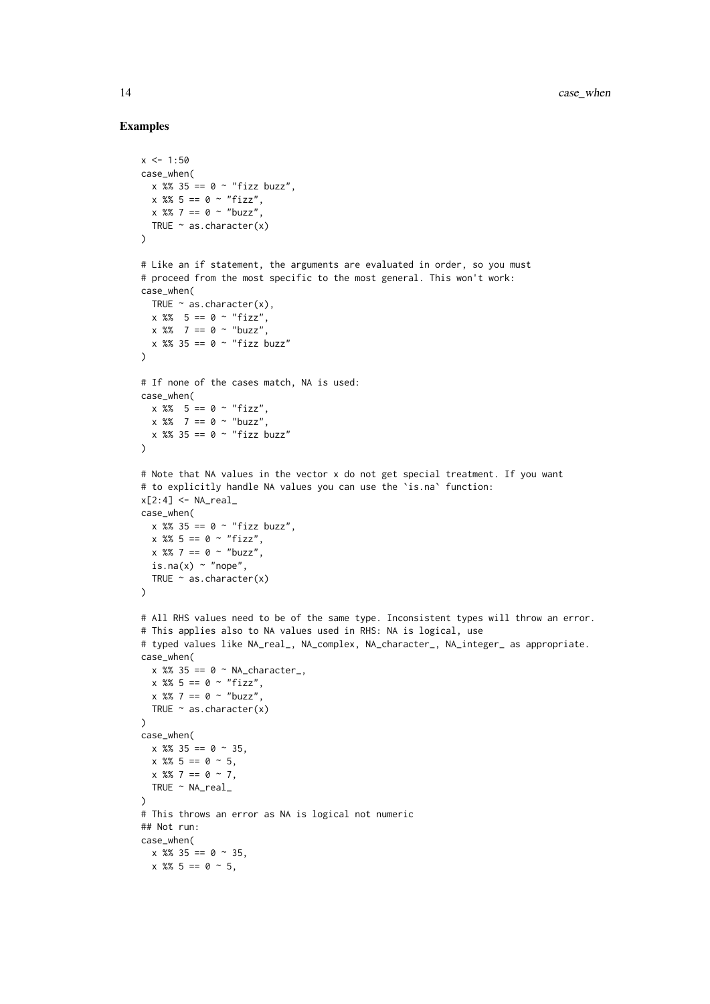```
x < -1:50case_when(
 x %% 35 == 0 ~ "fizz buzz",
  x %% 5 == 0 ~ "fizz",
 x \frac{8}{3} 7 == 0 ~ "buzz"
 TRUE \sim as.character(x)
)
# Like an if statement, the arguments are evaluated in order, so you must
# proceed from the most specific to the most general. This won't work:
case_when(
 TRUE \sim as. character(x),
 x % 5 == 0 ~ "fix,"x \, 8\% 7 == 0 ~ "buzz",
 x %% 35 == 0 ~ "fizz buzz"
)
# If none of the cases match, NA is used:
case_when(
 x \, 8\% \, 5 == 0 \sim "fizz",x \, 8\% 7 == 0 ~ "buzz",
 x %% 35 == 0 ~ "fizz buzz"
\lambda# Note that NA values in the vector x do not get special treatment. If you want
# to explicitly handle NA values you can use the `is.na` function:
x[2:4] <- NA\_realcase_when(
 x \, %% 35 == 0 ~ "fizz buzz",
 x \, 8\, 5 = 0 \sim "fizz",
 x \, 8\, 7 == 0 ~ "buzz",
 is.na(x) ~ "nope",
 TRUE \sim as.character(x)
)
# All RHS values need to be of the same type. Inconsistent types will throw an error.
# This applies also to NA values used in RHS: NA is logical, use
# typed values like NA_real_, NA_complex, NA_character_, NA_integer_ as appropriate.
case_when(
 x \, 8\, 35 == 0 \sim NA_{\text{c}}\text{character}_{\text{-}}x \, %\, 5 = 0 \sim "fizz",x \frac{8}{3} 7 == 0 ~ "buzz"
  TRUE \sim as.character(x)
\lambdacase_when(
  x %% 35 == 0 ~ 35,
  x % 5 = 0 ~ 5,x \frac{8\%}{7} = 0 \sim 7.
 TRUE ~ NA_real_
)
# This throws an error as NA is logical not numeric
## Not run:
case_when(
 x \frac{8}{3} = 0 \approx 35,
  x %% 5 == 0 ~ 5,
```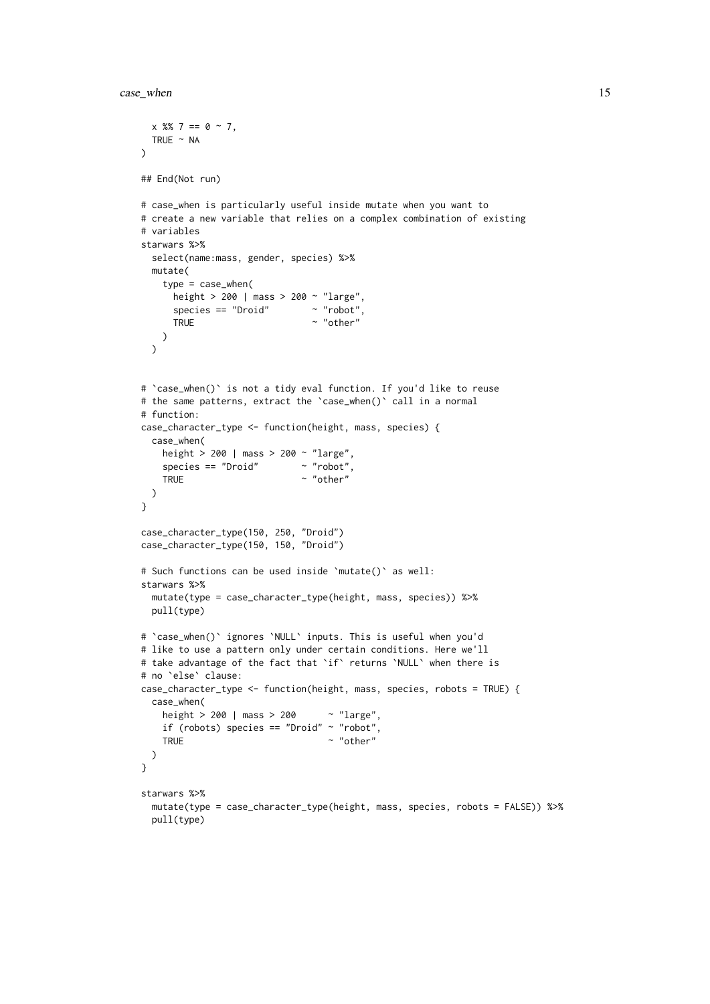```
x \frac{9}{6} \cdot 7 = 0 \approx 7,
 TRUE \sim NA
\lambda## End(Not run)
# case_when is particularly useful inside mutate when you want to
# create a new variable that relies on a complex combination of existing
# variables
starwars %>%
 select(name:mass, gender, species) %>%
 mutate(
   type = case_when(
     height > 200 | mass > 200 ~ "large",
     species == "Droid" \sim "robot",<br>TRUE \sim "other"
                               \sim "other"
   )
  \lambda# `case_when()` is not a tidy eval function. If you'd like to reuse
# the same patterns, extract the `case_when()` call in a normal
# function:
case_character_type <- function(height, mass, species) {
  case_when(
   height > 200 | mass > 200 ~ "large",
    species = "Droid" \sim "robot"TRUE \sim "other"
 \lambda}
case_character_type(150, 250, "Droid")
case_character_type(150, 150, "Droid")
# Such functions can be used inside `mutate()` as well:
starwars %>%
 mutate(type = case_character_type(height, mass, species)) %>%
 pull(type)
# `case_when()` ignores `NULL` inputs. This is useful when you'd
# like to use a pattern only under certain conditions. Here we'll
# take advantage of the fact that `if` returns `NULL` when there is
# no `else` clause:
case_character_type <- function(height, mass, species, robots = TRUE) {
  case_when(
    height > 200 | mass > 200 ~ "large",
    if (robots) species == "Droid" \sim "robot"
    TRUE \sim "other"
 \lambda}
starwars %>%
  mutate(type = case_character_type(height, mass, species, robots = FALSE)) %>%
 pull(type)
```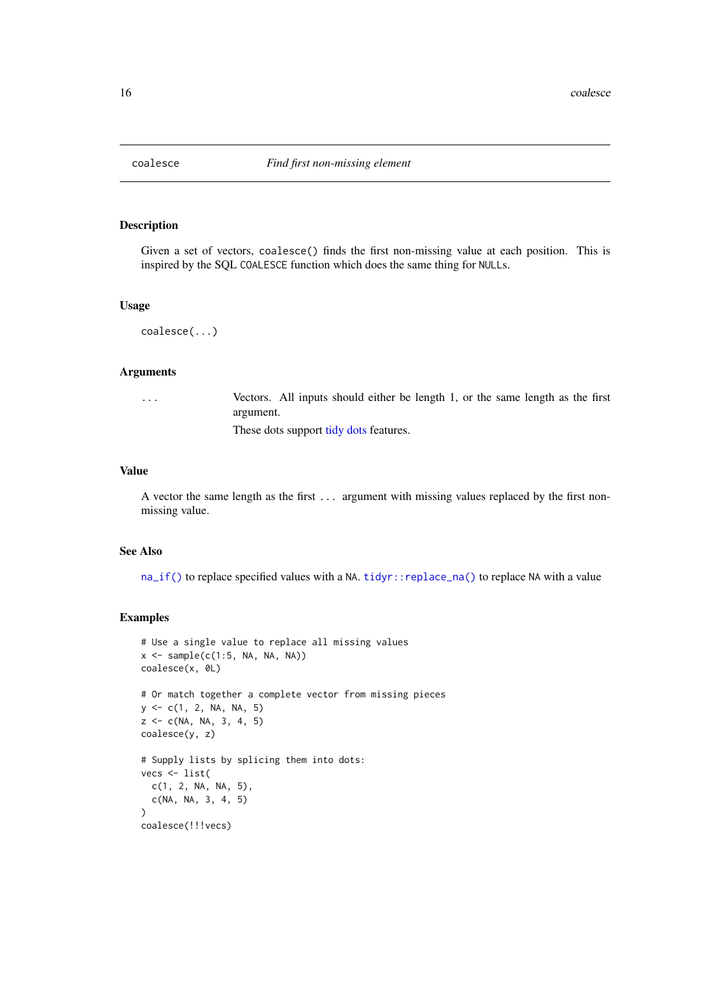<span id="page-15-0"></span>

Given a set of vectors, coalesce() finds the first non-missing value at each position. This is inspired by the SQL COALESCE function which does the same thing for NULLs.

### Usage

```
coalesce(...)
```
### Arguments

... Vectors. All inputs should either be length 1, or the same length as the first argument.

These dots support [tidy dots](#page-0-0) features.

#### Value

A vector the same length as the first ... argument with missing values replaced by the first nonmissing value.

#### See Also

[na\\_if\(\)](#page-50-1) to replace specified values with a NA. [tidyr::replace\\_na\(\)](#page-0-0) to replace NA with a value

```
# Use a single value to replace all missing values
x \leftarrow sample(c(1:5, NA, NA, NA))coalesce(x, 0L)
# Or match together a complete vector from missing pieces
y \leq -c(1, 2, NA, NA, 5)z <- c(NA, NA, 3, 4, 5)
coalesce(y, z)
# Supply lists by splicing them into dots:
vecs <- list(
  c(1, 2, NA, NA, 5),c(NA, NA, 3, 4, 5)
)
coalesce(!!!vecs)
```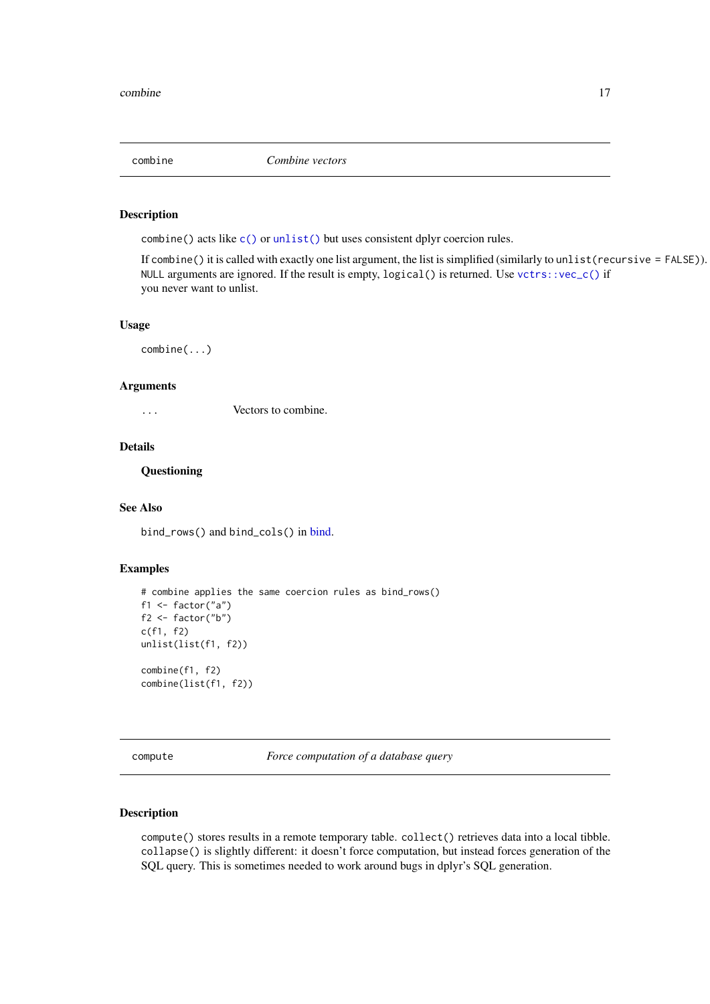<span id="page-16-0"></span>

combine() acts like [c\(\)](#page-0-0) or [unlist\(\)](#page-0-0) but uses consistent dplyr coercion rules.

If combine() it is called with exactly one list argument, the list is simplified (similarly to unlist(recursive = FALSE)). NULL arguments are ignored. If the result is empty, logical() is returned. Use [vctrs::vec\\_c\(\)](#page-0-0) if you never want to unlist.

### Usage

combine(...)

### Arguments

... Vectors to combine.

#### Details

**Questioning** 

### See Also

bind\_rows() and bind\_cols() in [bind.](#page-10-1)

### Examples

```
# combine applies the same coercion rules as bind_rows()
f1 <- factor("a")f2 <- factor("b")c(f1, f2)
unlist(list(f1, f2))
combine(f1, f2)
combine(list(f1, f2))
```
compute *Force computation of a database query*

#### <span id="page-16-1"></span>Description

compute() stores results in a remote temporary table. collect() retrieves data into a local tibble. collapse() is slightly different: it doesn't force computation, but instead forces generation of the SQL query. This is sometimes needed to work around bugs in dplyr's SQL generation.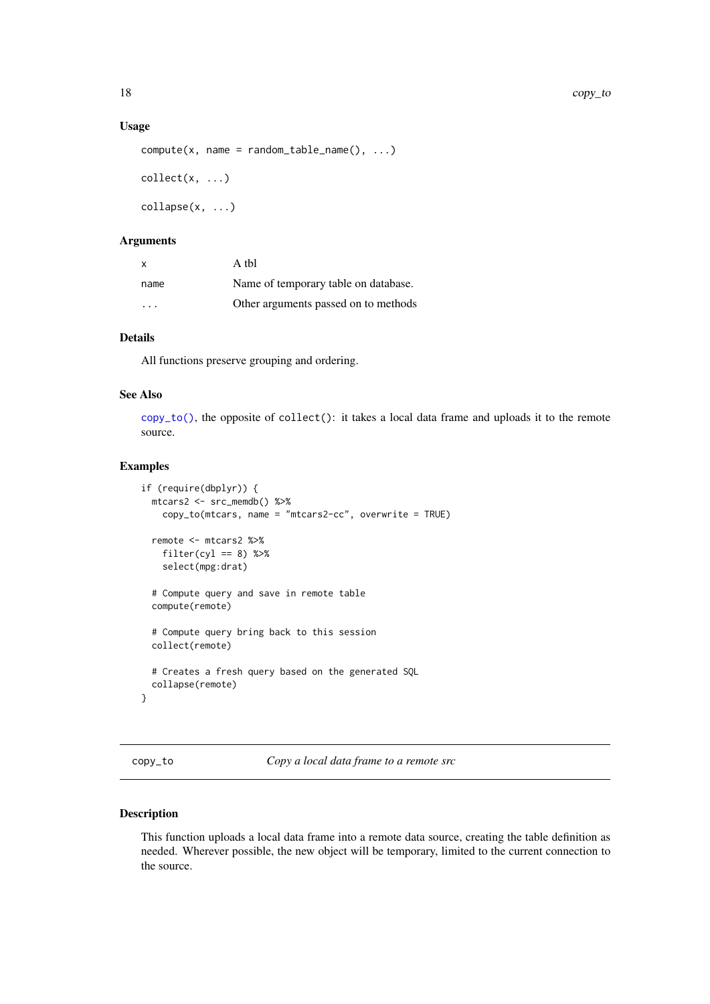#### <span id="page-17-0"></span>Usage

```
compute(x, name = random_table_name(), ...)collect(x, \ldots)
```
 $\text{collapse}(x, \ldots)$ 

### Arguments

| $\mathbf{x}$            | A thl                                |
|-------------------------|--------------------------------------|
| name                    | Name of temporary table on database. |
| $\cdot$ $\cdot$ $\cdot$ | Other arguments passed on to methods |

### Details

All functions preserve grouping and ordering.

#### See Also

[copy\\_to\(\)](#page-17-1), the opposite of collect(): it takes a local data frame and uploads it to the remote source.

### Examples

```
if (require(dbplyr)) {
  mtcars2 <- src_memdb() %>%
    copy_to(mtcars, name = "mtcars2-cc", overwrite = TRUE)
  remote <- mtcars2 %>%
    filter(cyl == 8) %>%
    select(mpg:drat)
  # Compute query and save in remote table
  compute(remote)
  # Compute query bring back to this session
  collect(remote)
  # Creates a fresh query based on the generated SQL
  collapse(remote)
}
```
<span id="page-17-1"></span>copy\_to *Copy a local data frame to a remote src*

### Description

This function uploads a local data frame into a remote data source, creating the table definition as needed. Wherever possible, the new object will be temporary, limited to the current connection to the source.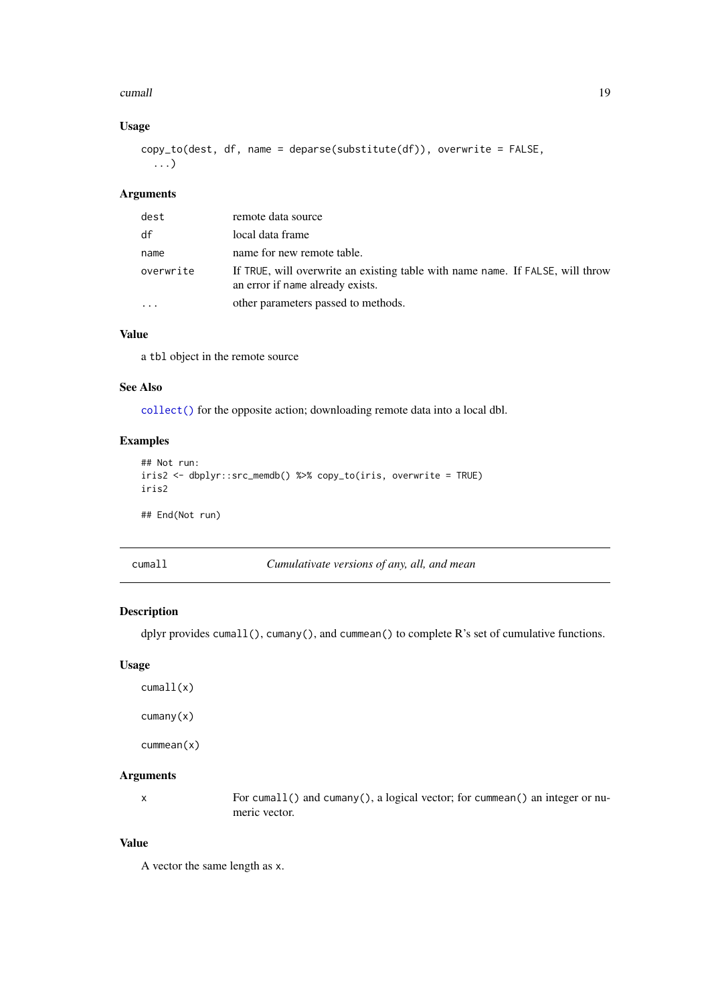#### <span id="page-18-0"></span>cumall the contract of the contract of the contract of the contract of the contract of the contract of the contract of the contract of the contract of the contract of the contract of the contract of the contract of the con

### Usage

```
copy_to(dest, df, name = deparse(substitute(df)), overwrite = FALSE,
  ...)
```
### Arguments

| dest      | remote data source                                                                                                 |
|-----------|--------------------------------------------------------------------------------------------------------------------|
| df        | local data frame                                                                                                   |
| name      | name for new remote table.                                                                                         |
| overwrite | If TRUE, will overwrite an existing table with name name. If FALSE, will throw<br>an error if name already exists. |
|           | other parameters passed to methods.                                                                                |

## Value

a tbl object in the remote source

### See Also

[collect\(\)](#page-16-1) for the opposite action; downloading remote data into a local dbl.

### Examples

```
## Not run:
iris2 <- dbplyr::src_memdb() %>% copy_to(iris, overwrite = TRUE)
iris2
```
## End(Not run)

| ıma |  |
|-----|--|
|     |  |

cumall *Cumulativate versions of any, all, and mean*

### Description

dplyr provides cumall(), cumany(), and cummean() to complete R's set of cumulative functions.

### Usage

cumall(x) cumany(x) cummean(x)

### Arguments

x For cumall() and cumany(), a logical vector; for cummean() an integer or numeric vector.

### Value

A vector the same length as x.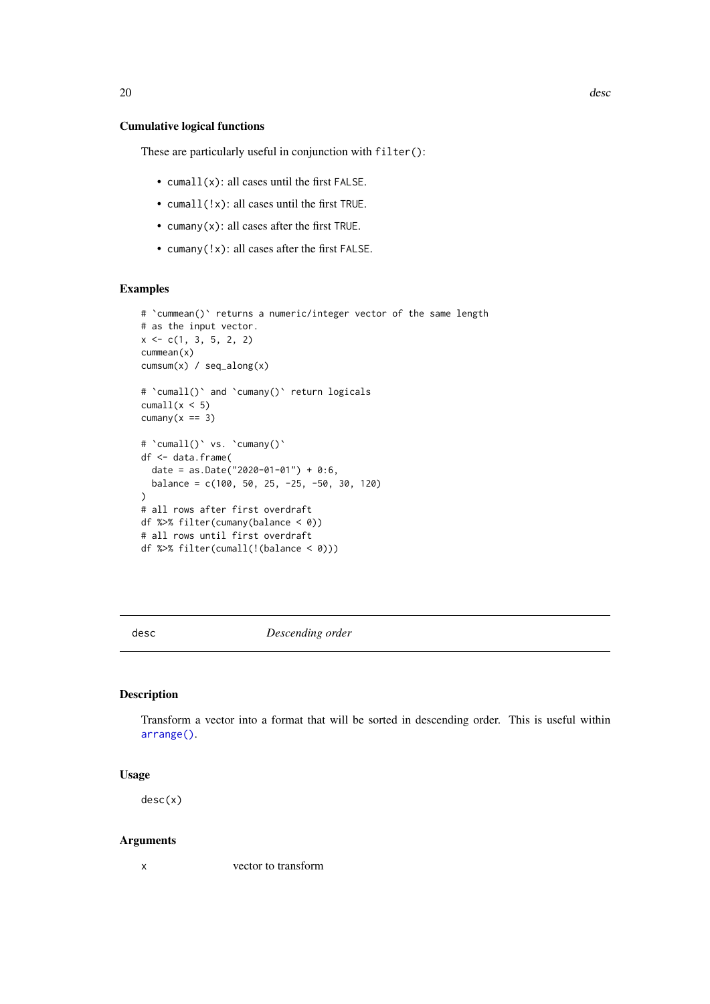### <span id="page-19-0"></span>Cumulative logical functions

These are particularly useful in conjunction with filter():

- cumall(x): all cases until the first FALSE.
- cumall(!x): all cases until the first TRUE.
- cumany(x): all cases after the first TRUE.
- cumany(!x): all cases after the first FALSE.

### Examples

```
# `cummean()` returns a numeric/integer vector of the same length
# as the input vector.
x \leq -c(1, 3, 5, 2, 2)cummean(x)
cumsum(x) / seq_along(x)
# 'cumall()' and 'cumany()' return logicals
cumall(x < 5)cumany(x == 3)# `cumall()` vs. `cumany()`
df <- data.frame(
  date = as.Date("2020-01-01") + 0:6,
  balance = c(100, 50, 25, -25, -50, 30, 120)
)
# all rows after first overdraft
df %>% filter(cumany(balance < 0))
# all rows until first overdraft
df %>% filter(cumall(!(balance < 0)))
```
<span id="page-19-1"></span>desc *Descending order*

#### Description

Transform a vector into a format that will be sorted in descending order. This is useful within [arrange\(\)](#page-5-1).

### Usage

desc(x)

### Arguments

x vector to transform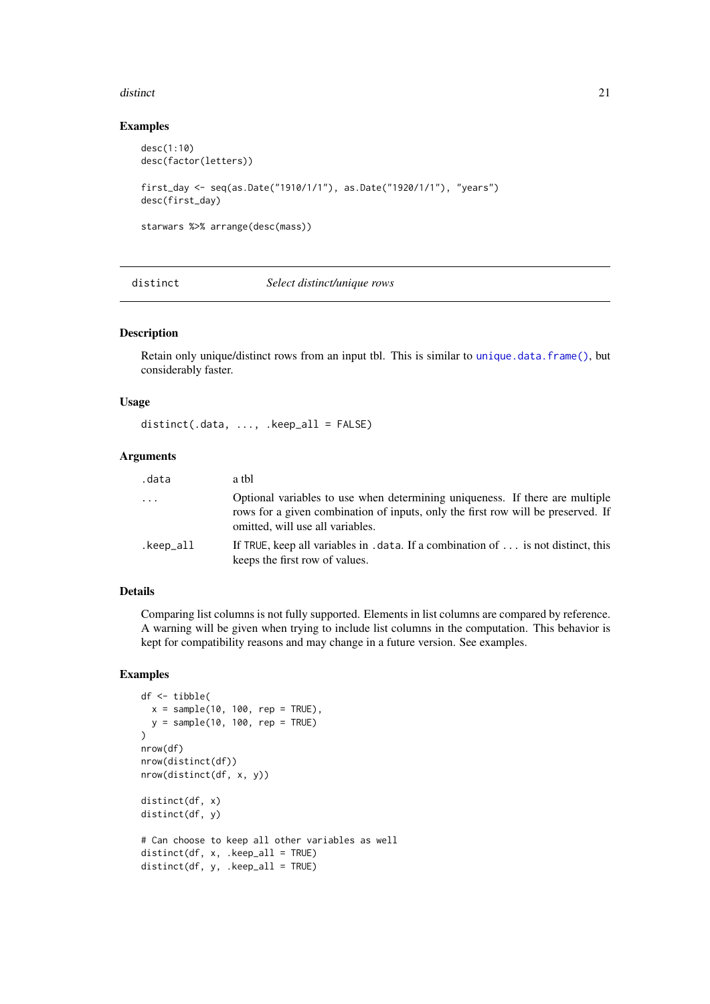#### <span id="page-20-0"></span>distinct 21 and 22 and 22 and 22 and 22 and 22 and 23 and 23 and 23 and 23 and 23 and 23 and 24 and 25 and 26 and 26 and 26 and 26 and 26 and 26 and 26 and 26 and 26 and 26 and 26 and 26 and 26 and 26 and 26 and 26 and 26

#### Examples

```
desc(1:10)
desc(factor(letters))
first_day <- seq(as.Date("1910/1/1"), as.Date("1920/1/1"), "years")
desc(first_day)
starwars %>% arrange(desc(mass))
```
<span id="page-20-1"></span>

#### distinct *Select distinct/unique rows*

### Description

Retain only unique/distinct rows from an input tbl. This is similar to [unique.data.frame\(\)](#page-0-0), but considerably faster.

### Usage

 $distinct(.data, ..., .keep_a11 = FALSE)$ 

#### Arguments

| .data     | a thl                                                                                                                                                                                                |
|-----------|------------------------------------------------------------------------------------------------------------------------------------------------------------------------------------------------------|
| $\cdots$  | Optional variables to use when determining uniqueness. If there are multiple<br>rows for a given combination of inputs, only the first row will be preserved. If<br>omitted, will use all variables. |
| .keep_all | If TRUE, keep all variables in $data$ . If a combination of $\dots$ is not distinct, this<br>keeps the first row of values.                                                                          |

#### Details

Comparing list columns is not fully supported. Elements in list columns are compared by reference. A warning will be given when trying to include list columns in the computation. This behavior is kept for compatibility reasons and may change in a future version. See examples.

```
df <- tibble(
 x = sample(10, 100, rep = TRUE),y = sample(10, 100, rep = TRUE)
)
nrow(df)
nrow(distinct(df))
nrow(distinct(df, x, y))
distinct(df, x)
distinct(df, y)
# Can choose to keep all other variables as well
distinct(df, x, .keep\_all = TRUE)distinct(df, y, .keep_all = TRUE)
```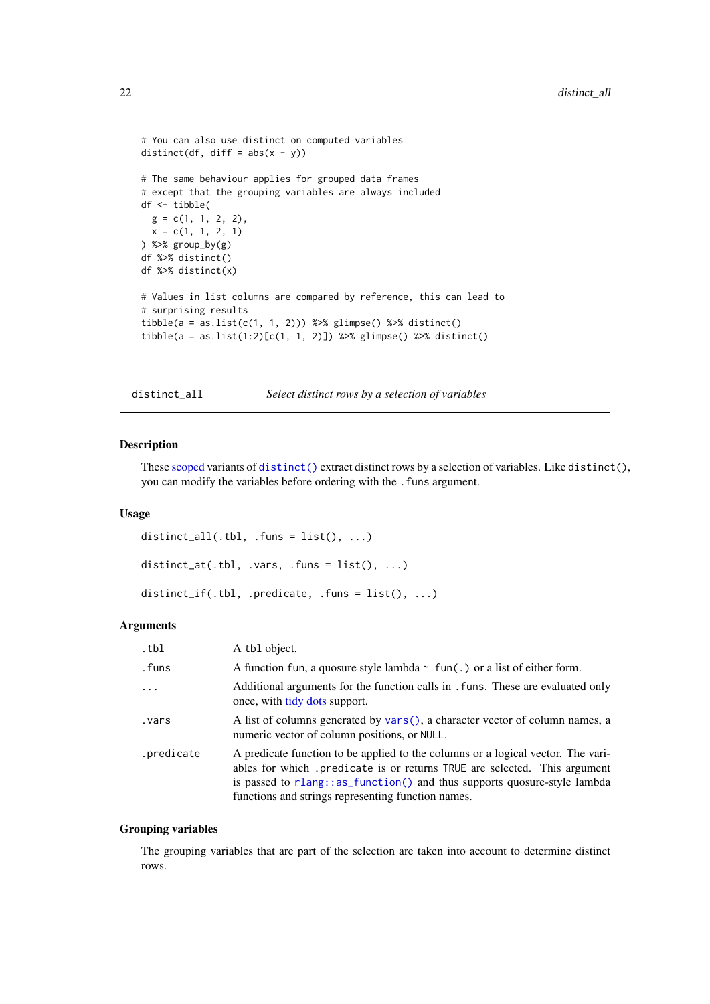```
# You can also use distinct on computed variables
distinct(df, diff = abs(x - y))
# The same behaviour applies for grouped data frames
# except that the grouping variables are always included
df <- tibble(
 g = c(1, 1, 2, 2),
 x = c(1, 1, 2, 1)) %>% group_by(g)
df %>% distinct()
df %>% distinct(x)
# Values in list columns are compared by reference, this can lead to
# surprising results
tibble(a = as.list(c(1, 1, 2))) %>% glimpse() %>% distinct()
tibble(a = as.list(1:2)[c(1, 1, 2)]) %>% glimpse() %>% distinct()
```
distinct\_all *Select distinct rows by a selection of variables*

#### Description

These [scoped](#page-61-1) variants of [distinct\(\)](#page-20-1) extract distinct rows by a selection of variables. Like distinct(), you can modify the variables before ordering with the . funs argument.

### Usage

```
distinct_all(.tbl, .funs = list(), ...)
distinct_at(.tbl, .vars, .funs = list(), ...)
distinct_if(.tbl, .predicate, .funs = list(), ...)
```
#### Arguments

| .tbl       | A tbl object.                                                                                                                                                                                                                                                                                  |
|------------|------------------------------------------------------------------------------------------------------------------------------------------------------------------------------------------------------------------------------------------------------------------------------------------------|
| .funs      | A function fun, a quosure style lambda $\sim$ fun(.) or a list of either form.                                                                                                                                                                                                                 |
|            | Additional arguments for the function calls in . funs. These are evaluated only<br>once, with tidy dots support.                                                                                                                                                                               |
| vars.      | A list of columns generated by vars(), a character vector of column names, a<br>numeric vector of column positions, or NULL.                                                                                                                                                                   |
| .predicate | A predicate function to be applied to the columns or a logical vector. The vari-<br>ables for which predicate is or returns TRUE are selected. This argument<br>is passed to rlang::as_function() and thus supports quosure-style lambda<br>functions and strings representing function names. |

#### Grouping variables

The grouping variables that are part of the selection are taken into account to determine distinct rows.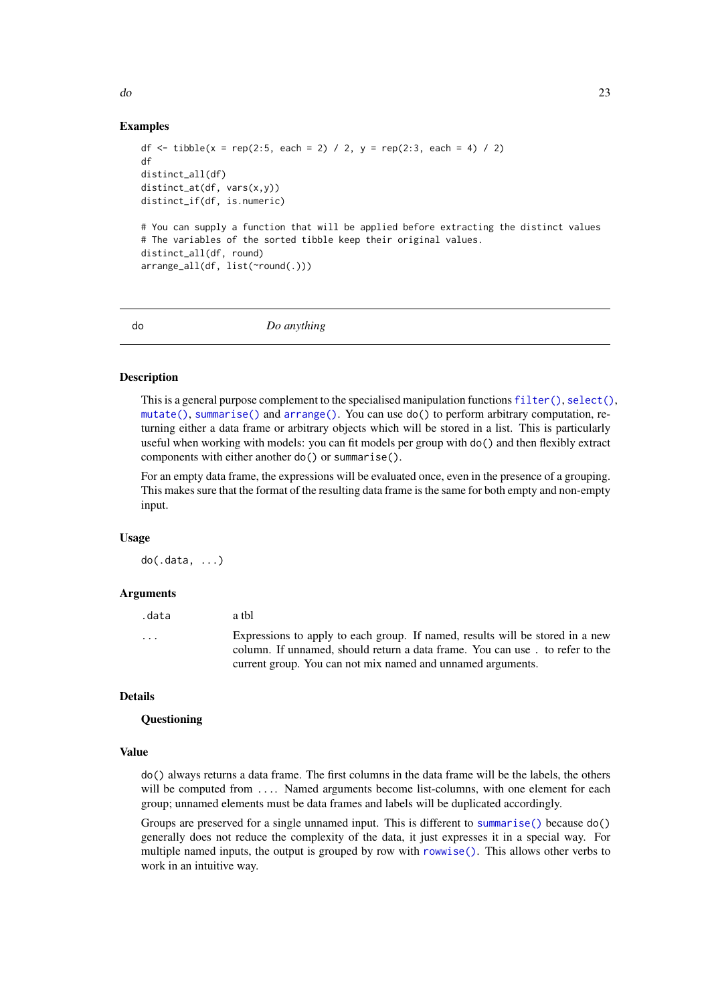<span id="page-22-0"></span>do 23

#### Examples

```
df <- tibble(x = rep(2:5, each = 2) / 2, y = rep(2:3, each = 4) / 2)
df
distinct_all(df)
distinct_at(df, vars(x,y))
distinct_if(df, is.numeric)
# You can supply a function that will be applied before extracting the distinct values
# The variables of the sorted tibble keep their original values.
distinct_all(df, round)
arrange_all(df, list(~round(.)))
```
#### do *Do anything*

#### Description

This is a general purpose complement to the specialised manipulation functions [filter\(\)](#page-25-1), [select\(\)](#page-63-1), [mutate\(\)](#page-44-1), [summarise\(\)](#page-74-1) and [arrange\(\)](#page-5-1). You can use do() to perform arbitrary computation, returning either a data frame or arbitrary objects which will be stored in a list. This is particularly useful when working with models: you can fit models per group with do() and then flexibly extract components with either another do() or summarise().

For an empty data frame, the expressions will be evaluated once, even in the presence of a grouping. This makes sure that the format of the resulting data frame is the same for both empty and non-empty input.

#### Usage

do(.data, ...)

### Arguments

| .data | a thl                                                                                                                                                                                                                        |
|-------|------------------------------------------------------------------------------------------------------------------------------------------------------------------------------------------------------------------------------|
| .     | Expressions to apply to each group. If named, results will be stored in a new<br>column. If unnamed, should return a data frame. You can use. to refer to the<br>current group. You can not mix named and unnamed arguments. |
|       |                                                                                                                                                                                                                              |

### Details

#### **Questioning**

#### Value

do() always returns a data frame. The first columns in the data frame will be the labels, the others will be computed from .... Named arguments become list-columns, with one element for each group; unnamed elements must be data frames and labels will be duplicated accordingly.

Groups are preserved for a single unnamed input. This is different to [summarise\(\)](#page-74-1) because do() generally does not reduce the complexity of the data, it just expresses it in a special way. For multiple named inputs, the output is grouped by row with [rowwise\(\)](#page-60-1). This allows other verbs to work in an intuitive way.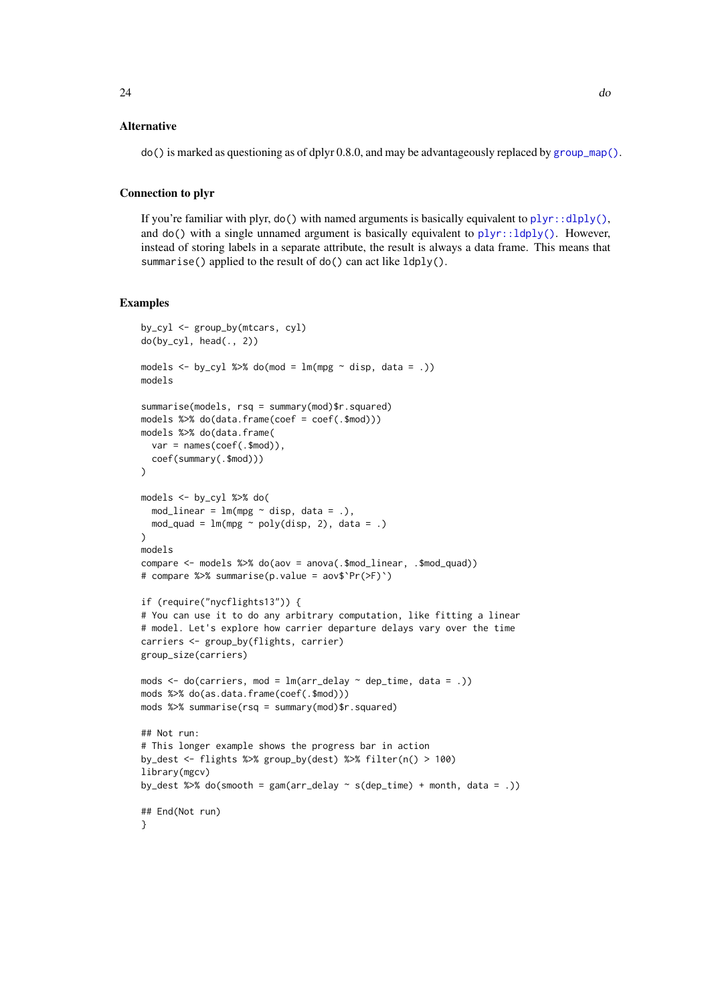$\text{do}()$  is marked as questioning as of dplyr 0.8.0, and may be advantageously replaced by [group\\_map\(\)](#page-36-1).

#### Connection to plyr

If you're familiar with plyr,  $do()$  with named arguments is basically equivalent to  $plyr:cdotdply(),$ and  $do()$  with a single unnamed argument is basically equivalent to  $plyr::ldyly()$ . However, instead of storing labels in a separate attribute, the result is always a data frame. This means that summarise() applied to the result of do() can act like ldply().

```
by_cyl <- group_by(mtcars, cyl)
do(by_cyl, head(., 2))models \leq by_cyl %>% do(mod = lm(mpg \sim disp, data = .))
models
summarise(models, rsq = summary(mod)$r.squared)
models %>% do(data.frame(coef = coef(.$mod)))
models %>% do(data.frame(
  var = names(coef(.$mod)),
  coef(summary(.$mod)))
\lambdamodels <- by_cyl %>% do(
 mod\_linear = lm(mpg \sim disp, data = .),mod\_quad = lm(mp < poly(disp, 2), data = .))
models
compare <- models %>% do(aov = anova(.$mod_linear, .$mod_quad))
# compare %>% summarise(p.value = aov$`Pr(>F)`)
if (require("nycflights13")) {
# You can use it to do any arbitrary computation, like fitting a linear
# model. Let's explore how carrier departure delays vary over the time
carriers <- group_by(flights, carrier)
group_size(carriers)
mods \leq do(carriers, mod = lm(ar_{delay} \sim dep_{time}, data = .))
mods %>% do(as.data.frame(coef(.$mod)))
mods %>% summarise(rsq = summary(mod)$r.squared)
## Not run:
# This longer example shows the progress bar in action
by_dest <- flights %>% group_by(dest) %>% filter(n() > 100)
library(mgcv)
by_dest %\gg% do(smooth = gam(arr_delay \sim s(dep_time) + month, data = .))
## End(Not run)
}
```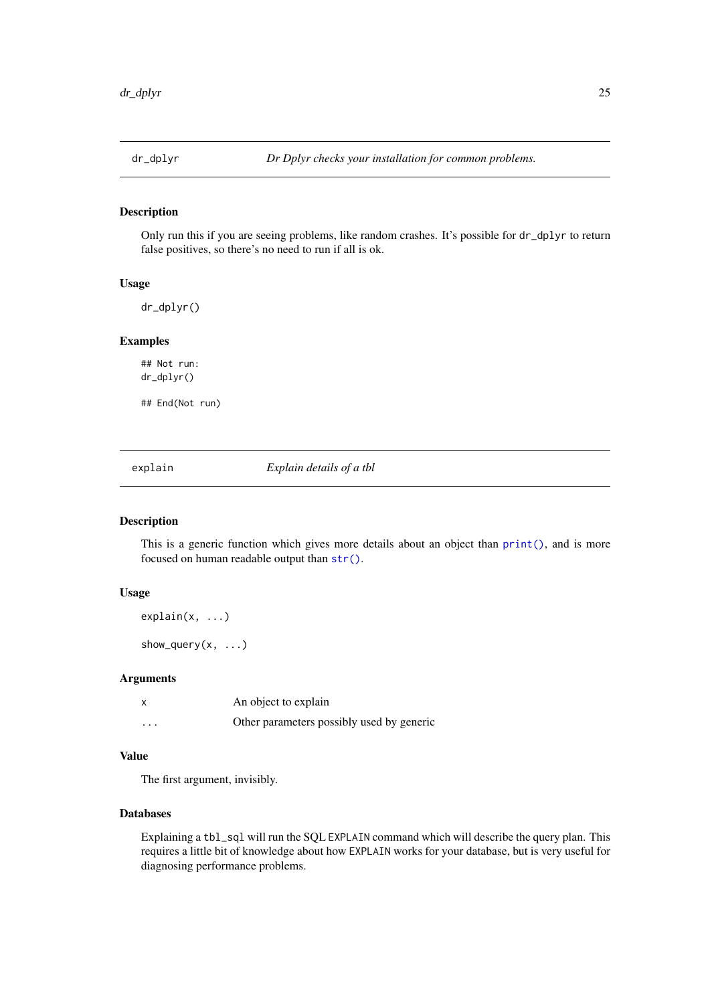<span id="page-24-0"></span>

Only run this if you are seeing problems, like random crashes. It's possible for dr\_dplyr to return false positives, so there's no need to run if all is ok.

#### Usage

dr\_dplyr()

#### Examples

## Not run: dr\_dplyr()

## End(Not run)

explain *Explain details of a tbl*

### Description

This is a generic function which gives more details about an object than  $print()$ , and is more focused on human readable output than [str\(\)](#page-0-0).

### Usage

```
explain(x, ...)show_query(x, \ldots)
```
#### Arguments

|   | An object to explain                      |
|---|-------------------------------------------|
| . | Other parameters possibly used by generic |

### Value

The first argument, invisibly.

### Databases

Explaining a tbl\_sql will run the SQL EXPLAIN command which will describe the query plan. This requires a little bit of knowledge about how EXPLAIN works for your database, but is very useful for diagnosing performance problems.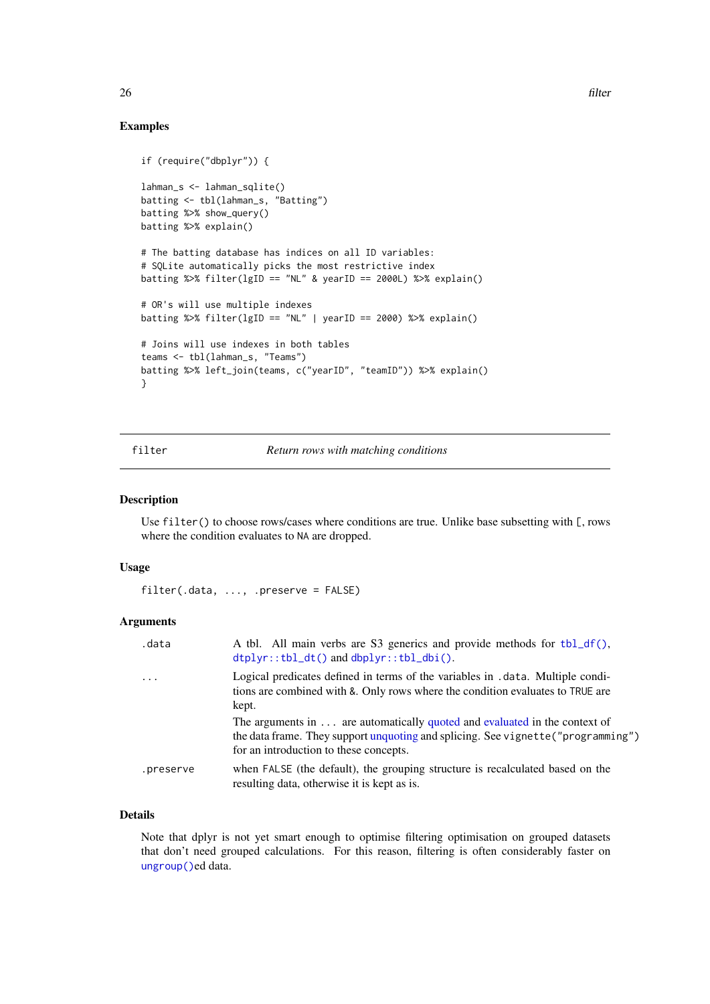### Examples

```
if (require("dbplyr")) {
lahman_s <- lahman_sqlite()
batting <- tbl(lahman_s, "Batting")
batting %>% show_query()
batting %>% explain()
# The batting database has indices on all ID variables:
# SQLite automatically picks the most restrictive index
batting %>% filter(lgID == "NL" & yearID == 2000L) %>% explain()
# OR's will use multiple indexes
batting %>% filter(lgID == "NL" | yearID == 2000) %>% explain()
# Joins will use indexes in both tables
teams <- tbl(lahman_s, "Teams")
batting %>% left_join(teams, c("yearID", "teamID")) %>% explain()
}
```
#### <span id="page-25-1"></span>filter *Return rows with matching conditions*

#### Description

Use filter() to choose rows/cases where conditions are true. Unlike base subsetting with [, rows where the condition evaluates to NA are dropped.

### Usage

```
filter(.data, ..., .preserve = FALSE)
```
#### Arguments

| .data     | A tbl. All main verbs are S3 generics and provide methods for tbl_df(),<br>$dtplyr::tbl_dt()$ and $dbplyr::tbl_dbi()$ .                                                                                  |
|-----------|----------------------------------------------------------------------------------------------------------------------------------------------------------------------------------------------------------|
| $\ddots$  | Logical predicates defined in terms of the variables in .data. Multiple condi-<br>tions are combined with &. Only rows where the condition evaluates to TRUE are<br>kept.                                |
|           | The arguments in are automatically quoted and evaluated in the context of<br>the data frame. They support unquoting and splicing. See vignette ("programming")<br>for an introduction to these concepts. |
| .preserve | when FALSE (the default), the grouping structure is recalculated based on the<br>resulting data, otherwise it is kept as is.                                                                             |

### Details

Note that dplyr is not yet smart enough to optimise filtering optimisation on grouped datasets that don't need grouped calculations. For this reason, filtering is often considerably faster on [ungroup\(\)](#page-30-1)ed data.

<span id="page-25-0"></span>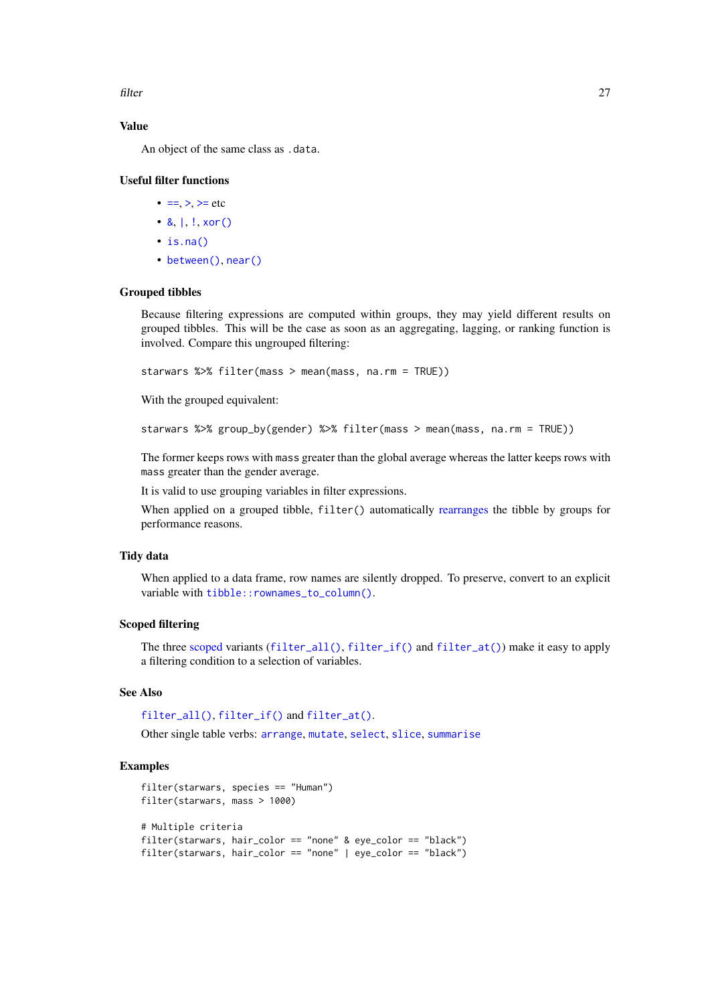filter 27

### Value

An object of the same class as .data.

### Useful filter functions

- $\bullet = \gt; \gt;$ = etc
- $8, |, !, x$  $8, |, !, x$  $8, |, !, x$  $8, |, !, x$  $8, |, !, x$ or()
- [is.na\(\)](#page-0-0)
- [between\(\)](#page-10-2), [near\(\)](#page-51-1)

### Grouped tibbles

Because filtering expressions are computed within groups, they may yield different results on grouped tibbles. This will be the case as soon as an aggregating, lagging, or ranking function is involved. Compare this ungrouped filtering:

starwars %>% filter(mass > mean(mass, na.rm = TRUE))

With the grouped equivalent:

```
starwars %>% group_by(gender) %>% filter(mass > mean(mass, na.rm = TRUE))
```
The former keeps rows with mass greater than the global average whereas the latter keeps rows with mass greater than the gender average.

It is valid to use grouping variables in filter expressions.

When applied on a grouped tibble, filter() automatically [rearranges](#page-5-1) the tibble by groups for performance reasons.

### Tidy data

When applied to a data frame, row names are silently dropped. To preserve, convert to an explicit variable with [tibble::rownames\\_to\\_column\(\)](#page-0-0).

### Scoped filtering

The three [scoped](#page-61-1) variants ([filter\\_all\(\)](#page-27-2), [filter\\_if\(\)](#page-27-1) and [filter\\_at\(\)](#page-27-1)) make it easy to apply a filtering condition to a selection of variables.

#### See Also

```
filter_all(), filter_if() and filter_at().
```
Other single table verbs: [arrange](#page-5-1), [mutate](#page-44-1), [select](#page-63-1), [slice](#page-68-1), [summarise](#page-74-1)

```
filter(starwars, species == "Human")
filter(starwars, mass > 1000)
# Multiple criteria
filter(starwars, hair_color == "none" & eye_color == "black")
filter(starwars, hair_color == "none" | eye_color == "black")
```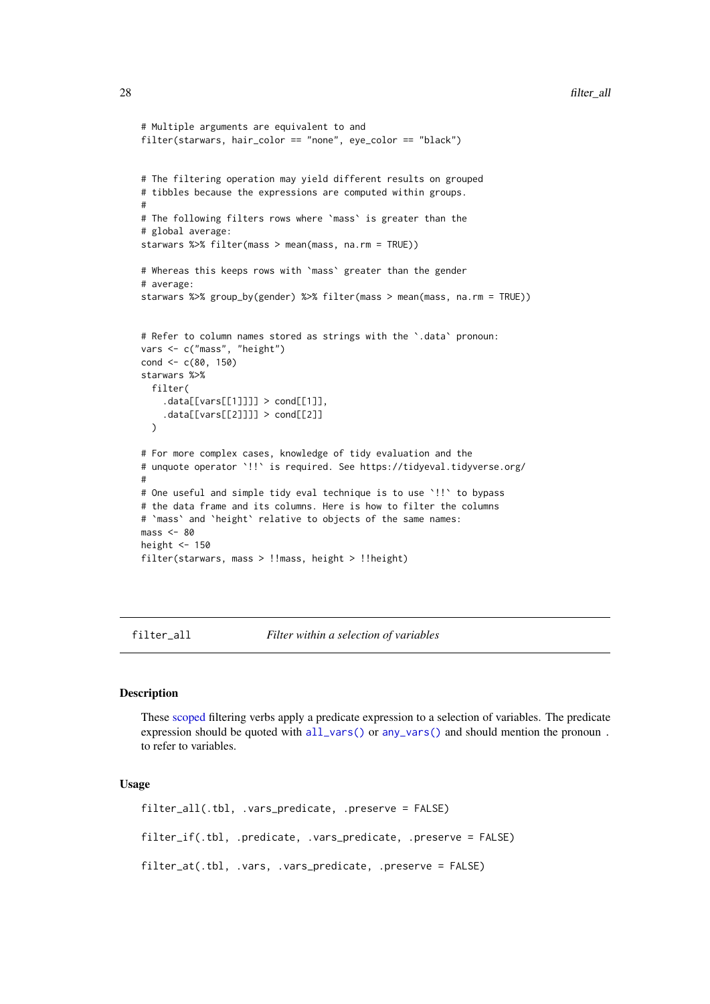```
# Multiple arguments are equivalent to and
filter(starwars, hair_color == "none", eye_color == "black")
# The filtering operation may yield different results on grouped
# tibbles because the expressions are computed within groups.
#
# The following filters rows where `mass` is greater than the
# global average:
starwars %>% filter(mass > mean(mass, na.rm = TRUE))
# Whereas this keeps rows with `mass` greater than the gender
# average:
starwars %>% group_by(gender) %>% filter(mass > mean(mass, na.rm = TRUE))
# Refer to column names stored as strings with the `.data` pronoun:
vars <- c("mass", "height")
cond <-c(80, 150)starwars %>%
  filter(
    data[[vars[[1]]]] > cond[[1]],
    .data[[vars[[2]]]] > cond[[2]]
  \lambda# For more complex cases, knowledge of tidy evaluation and the
# unquote operator `!!` is required. See https://tidyeval.tidyverse.org/
#
# One useful and simple tidy eval technique is to use `!!` to bypass
# the data frame and its columns. Here is how to filter the columns
# `mass` and `height` relative to objects of the same names:
mass < -80height <-150filter(starwars, mass > !!mass, height > !!height)
```
<span id="page-27-2"></span>filter\_all *Filter within a selection of variables*

#### <span id="page-27-1"></span>Description

These [scoped](#page-61-1) filtering verbs apply a predicate expression to a selection of variables. The predicate expression should be quoted with [all\\_vars\(\)](#page-4-1) or [any\\_vars\(\)](#page-4-2) and should mention the pronoun . to refer to variables.

#### Usage

filter\_all(.tbl, .vars\_predicate, .preserve = FALSE) filter\_if(.tbl, .predicate, .vars\_predicate, .preserve = FALSE) filter\_at(.tbl, .vars, .vars\_predicate, .preserve = FALSE)

<span id="page-27-0"></span>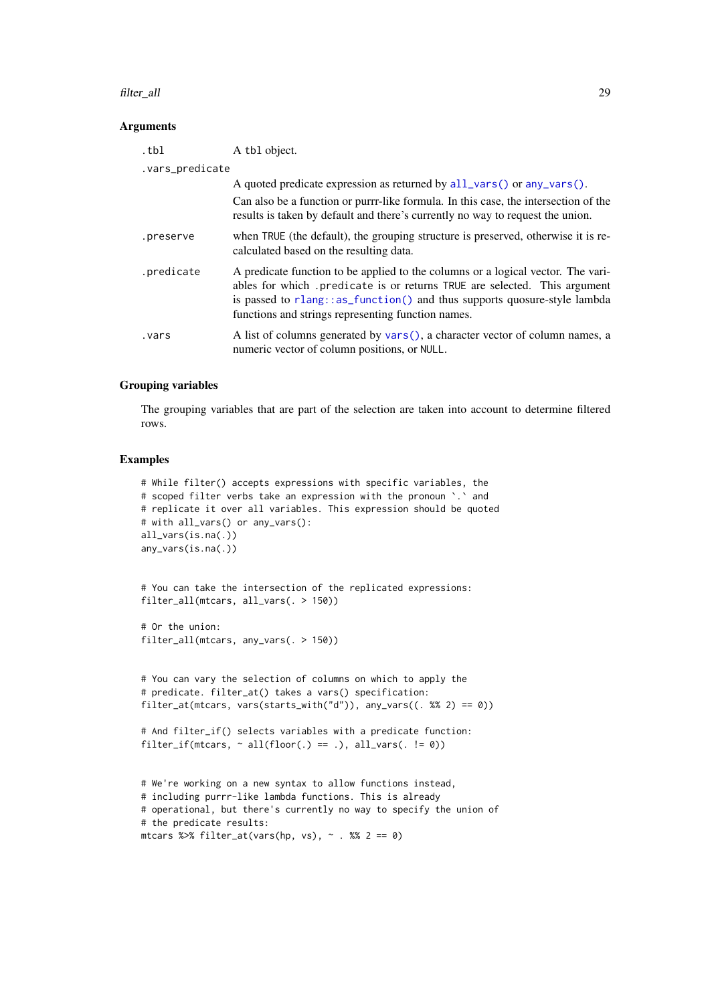#### filter\_all 29

#### Arguments

| .tbl            | A tbl object.                                                                                                                                                                                                                                                                                   |  |
|-----------------|-------------------------------------------------------------------------------------------------------------------------------------------------------------------------------------------------------------------------------------------------------------------------------------------------|--|
| .vars_predicate |                                                                                                                                                                                                                                                                                                 |  |
|                 | A quoted predicate expression as returned by all_vars() or any_vars().                                                                                                                                                                                                                          |  |
|                 | Can also be a function or purrr-like formula. In this case, the intersection of the<br>results is taken by default and there's currently no way to request the union.                                                                                                                           |  |
| .preserve       | when TRUE (the default), the grouping structure is preserved, otherwise it is re-<br>calculated based on the resulting data.                                                                                                                                                                    |  |
| .predicate      | A predicate function to be applied to the columns or a logical vector. The vari-<br>ables for which .predicate is or returns TRUE are selected. This argument<br>is passed to rlang::as_function() and thus supports quosure-style lambda<br>functions and strings representing function names. |  |
| .vars           | A list of columns generated by vars(), a character vector of column names, a<br>numeric vector of column positions, or NULL.                                                                                                                                                                    |  |

### Grouping variables

The grouping variables that are part of the selection are taken into account to determine filtered rows.

```
# While filter() accepts expressions with specific variables, the
# scoped filter verbs take an expression with the pronoun `.` and
# replicate it over all variables. This expression should be quoted
# with all_vars() or any_vars():
all_vars(is.na(.))
any_vars(is.na(.))
```

```
# You can take the intersection of the replicated expressions:
filter_all(mtcars, all_vars(. > 150))
```

```
# Or the union:
filter_all(mtcars, any_vars(. > 150))
```

```
# You can vary the selection of columns on which to apply the
# predicate. filter_at() takes a vars() specification:
filter_at(mtcars, vars(starts_with("d")), any_vars((. %% 2) == 0))
```

```
# And filter_if() selects variables with a predicate function:
filter_if(mtcars, \sim all(floor(.) == .), all_vars(. != 0))
```

```
# We're working on a new syntax to allow functions instead,
# including purrr-like lambda functions. This is already
# operational, but there's currently no way to specify the union of
# the predicate results:
mtcars %>% filter_at(vars(hp, vs), \sim . %% 2 == 0)
```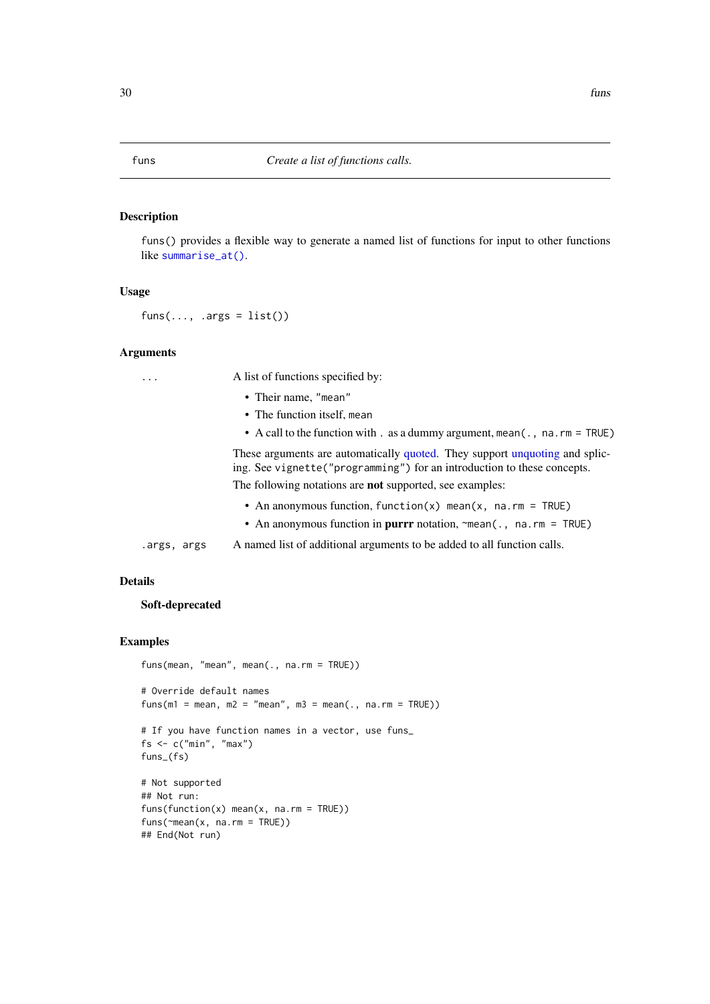<span id="page-29-0"></span>funs() provides a flexible way to generate a named list of functions for input to other functions like [summarise\\_at\(\)](#page-75-1).

### Usage

 $funs(..., .args = list())$ 

#### Arguments

... A list of functions specified by:

• Their name, "mean"

- The function itself, mean
- A call to the function with . as a dummy argument, mean(., na.rm = TRUE)

These arguments are automatically [quoted.](#page-0-0) They support [unquoting](#page-0-0) and splicing. See vignette("programming") for an introduction to these concepts.

The following notations are not supported, see examples:

- An anonymous function, function(x) mean(x, na.rm = TRUE)
- An anonymous function in purrr notation, ~mean(., na.rm = TRUE)
- .args, args A named list of additional arguments to be added to all function calls.

### Details

### Soft-deprecated

```
funs(mean, "mean", mean(., na.rm = TRUE))
# Override default names
funs(m1 = mean, m2 = "mean", m3 = mean(., na.rm = TRUE))
# If you have function names in a vector, use funs_
fs <- c("min", "max")
funs_(fs)
# Not supported
## Not run:
funs(function(x) mean(x, na.rm = TRUE))
funs(~mean(x, na.rm = TRUE))
## End(Not run)
```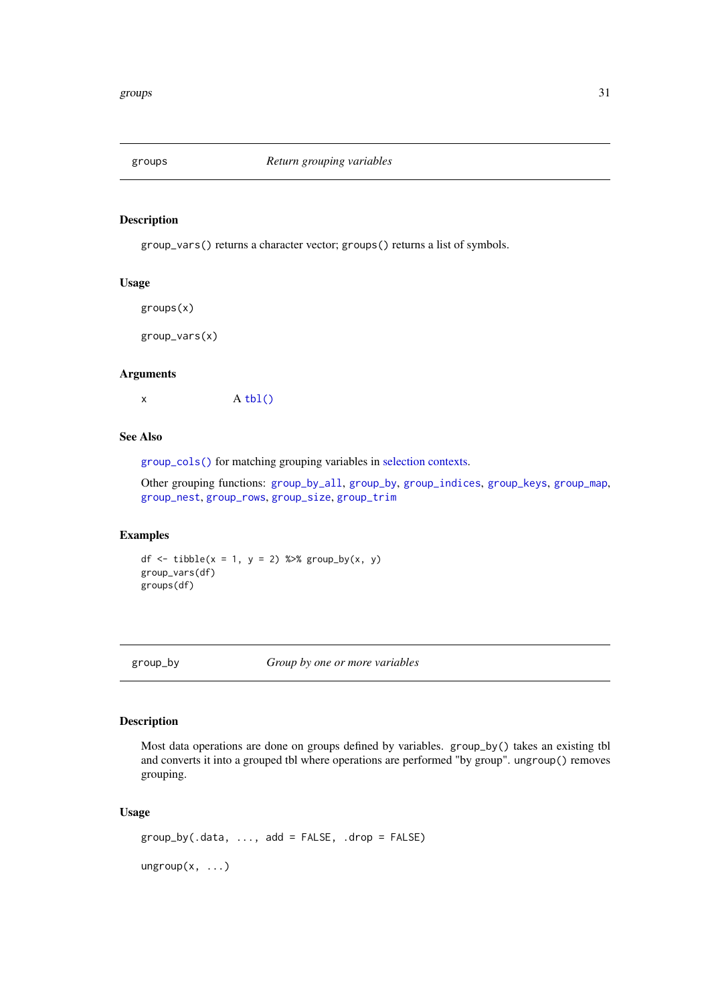<span id="page-30-4"></span><span id="page-30-3"></span><span id="page-30-0"></span>

group\_vars() returns a character vector; groups() returns a list of symbols.

### Usage

groups(x)

group\_vars(x)

### Arguments

 $x \qquad A \text{ thl}()$ 

### See Also

[group\\_cols\(\)](#page-33-1) for matching grouping variables in [selection contexts.](#page-63-1)

Other grouping functions: [group\\_by\\_all](#page-32-1), [group\\_by](#page-30-2), [group\\_indices](#page-0-0), [group\\_keys](#page-34-1), [group\\_map](#page-36-1), [group\\_nest](#page-0-0), [group\\_rows](#page-37-1), [group\\_size](#page-0-0), [group\\_trim](#page-38-1)

#### Examples

df  $\le$  tibble(x = 1, y = 2) %>% group\_by(x, y) group\_vars(df) groups(df)

<span id="page-30-2"></span>group\_by *Group by one or more variables*

### <span id="page-30-1"></span>Description

Most data operations are done on groups defined by variables. group\_by() takes an existing tbl and converts it into a grouped tbl where operations are performed "by group". ungroup() removes grouping.

### Usage

```
group_by(.data, ..., add = FALSE, .drop = FALSE)
ungroup(x, ...)
```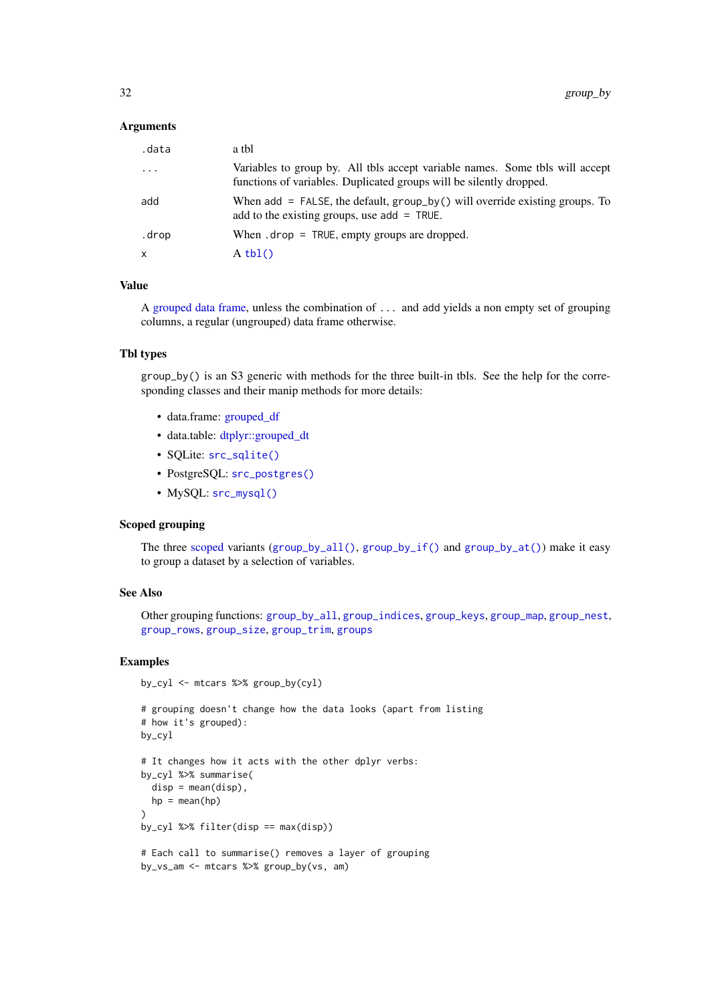### Arguments

| .data        | a tbl                                                                                                                                               |
|--------------|-----------------------------------------------------------------------------------------------------------------------------------------------------|
| $\ddotsc$    | Variables to group by. All tbls accept variable names. Some tbls will accept<br>functions of variables. Duplicated groups will be silently dropped. |
| add          | When add $=$ FALSE, the default, group_by() will override existing groups. To<br>add to the existing groups, use $add = TRUE$ .                     |
| .drop        | When $drop = TRUE$ , empty groups are dropped.                                                                                                      |
| $\mathsf{x}$ | $A \text{thl}()$                                                                                                                                    |

### Value

A [grouped data frame,](#page-0-0) unless the combination of ... and add yields a non empty set of grouping columns, a regular (ungrouped) data frame otherwise.

#### Tbl types

group\_by() is an S3 generic with methods for the three built-in tbls. See the help for the corresponding classes and their manip methods for more details:

- data.frame: [grouped\\_df](#page-0-0)
- data.table: [dtplyr::grouped\\_dt](#page-0-0)
- SOLite: [src\\_sqlite\(\)](#page-70-1)
- PostgreSQL: [src\\_postgres\(\)](#page-70-1)

by\_cyl <- mtcars %>% group\_by(cyl)

• MySQL: [src\\_mysql\(\)](#page-70-1)

#### Scoped grouping

The three [scoped](#page-61-1) variants ([group\\_by\\_all\(\)](#page-32-1), [group\\_by\\_if\(\)](#page-32-2) and [group\\_by\\_at\(\)](#page-32-2)) make it easy to group a dataset by a selection of variables.

### See Also

Other grouping functions: [group\\_by\\_all](#page-32-1), [group\\_indices](#page-0-0), [group\\_keys](#page-34-1), [group\\_map](#page-36-1), [group\\_nest](#page-0-0), [group\\_rows](#page-37-1), [group\\_size](#page-0-0), [group\\_trim](#page-38-1), [groups](#page-30-3)

```
# grouping doesn't change how the data looks (apart from listing
# how it's grouped):
by_cyl
# It changes how it acts with the other dplyr verbs:
by_cyl %>% summarise(
 disp = mean(disp),
 hp = mean(hp)\lambdaby_cyl %>% filter(disp == max(disp))
# Each call to summarise() removes a layer of grouping
by_vs_am <- mtcars %>% group_by(vs, am)
```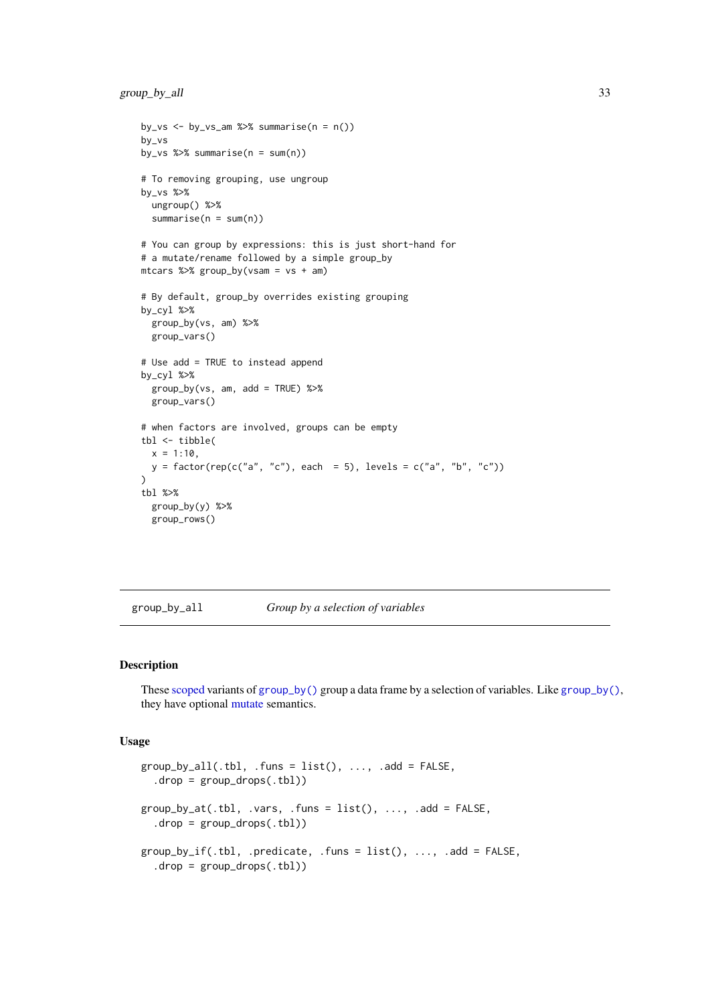```
by_vs \leq - by_vs_am %>% summarise(n = n())
by_vs
by_vs %>% summarise(n = sum(n))
# To removing grouping, use ungroup
by_vs %>%
  ungroup() %>%
  summarise(n = sum(n))
# You can group by expressions: this is just short-hand for
# a mutate/rename followed by a simple group_by
mtcars %>% group_by(vsam = vs + am)
# By default, group_by overrides existing grouping
by_cyl %>%
  group_by(vs, am) %>%
  group_vars()
# Use add = TRUE to instead append
by_cyl %>%
  group_by(vs, am, add = TRUE) %>%
  group_vars()
# when factors are involved, groups can be empty
tbl <- tibble(
  x = 1:10.
  y = factor(rep(c("a", "c"), each = 5), levels = c("a", "b", "c"))\lambdatbl %>%
  group_by(y) %>%
  group_rows()
```
<span id="page-32-1"></span>group\_by\_all *Group by a selection of variables*

#### <span id="page-32-2"></span>Description

These [scoped](#page-61-1) variants of [group\\_by\(\)](#page-30-2) group a data frame by a selection of variables. Like [group\\_by\(\)](#page-30-2), they have optional [mutate](#page-44-1) semantics.

#### Usage

```
group_by_and1(.th1, .funs = list(), . . . , .add = FALSE,.drop = group_drops(.tbl))
group_by_at(.th1, .vars, .funs = list(), . . . , .add = FALSE,drop = group_drops(.th1))group_by_if(.th], .predicate, .funs = list(), ..., .add = FALSE,drop = group_drops(.th1))
```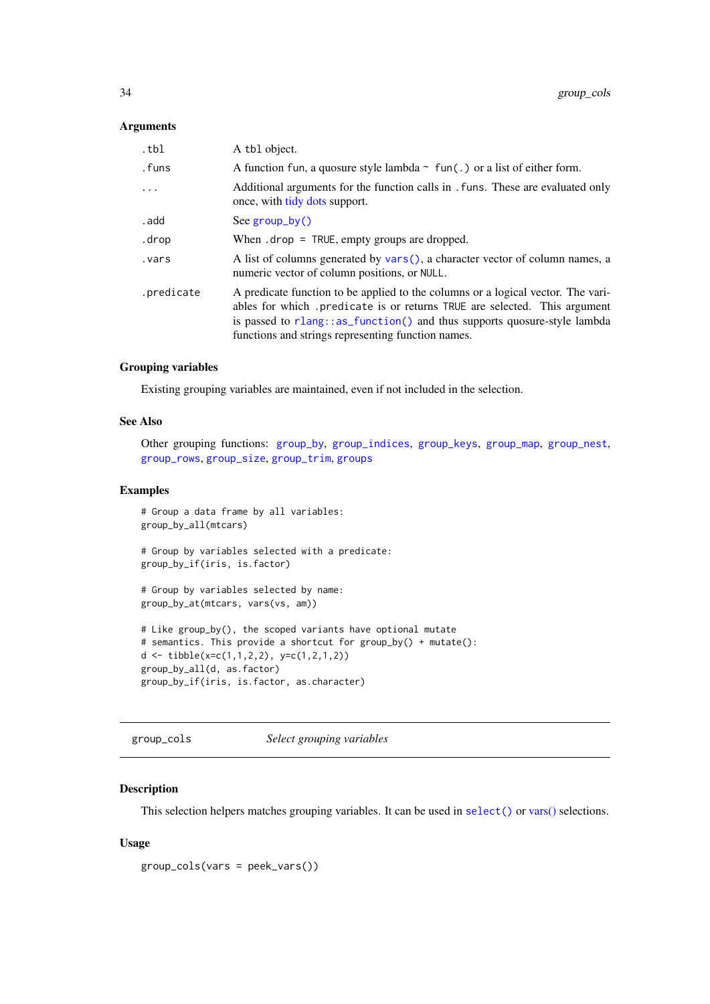### <span id="page-33-0"></span>Arguments

| .tbl       | A tbl object.                                                                                                                                                                                                                                                                                  |
|------------|------------------------------------------------------------------------------------------------------------------------------------------------------------------------------------------------------------------------------------------------------------------------------------------------|
| .funs      | A function fun, a quosure style lambda $\sim$ fun(.) or a list of either form.                                                                                                                                                                                                                 |
| $\ddots$   | Additional arguments for the function calls in . funs. These are evaluated only<br>once, with tidy dots support.                                                                                                                                                                               |
| . add      | See $group_by()$                                                                                                                                                                                                                                                                               |
| .drop      | When $drop = TRUE$ , empty groups are dropped.                                                                                                                                                                                                                                                 |
| vars.      | A list of columns generated by vars(), a character vector of column names, a<br>numeric vector of column positions, or NULL.                                                                                                                                                                   |
| .predicate | A predicate function to be applied to the columns or a logical vector. The vari-<br>ables for which predicate is or returns TRUE are selected. This argument<br>is passed to rlang::as_function() and thus supports quosure-style lambda<br>functions and strings representing function names. |

#### Grouping variables

Existing grouping variables are maintained, even if not included in the selection.

#### See Also

Other grouping functions: [group\\_by](#page-30-2), [group\\_indices](#page-0-0), [group\\_keys](#page-34-1), [group\\_map](#page-36-1), [group\\_nest](#page-0-0), [group\\_rows](#page-37-1), [group\\_size](#page-0-0), [group\\_trim](#page-38-1), [groups](#page-30-3)

### Examples

```
# Group a data frame by all variables:
group_by_all(mtcars)
# Group by variables selected with a predicate:
group_by_if(iris, is.factor)
# Group by variables selected by name:
group_by_at(mtcars, vars(vs, am))
# Like group_by(), the scoped variants have optional mutate
# semantics. This provide a shortcut for group_by() + mutate():
d <- tibble(x=c(1,1,2,2), y=c(1,2,1,2))
group_by_all(d, as.factor)
group_by_if(iris, is.factor, as.character)
```
<span id="page-33-1"></span>group\_cols *Select grouping variables*

### Description

This selection helpers matches grouping variables. It can be used in [select\(\)](#page-63-1) or [vars\(\)](#page-61-1) selections.

### Usage

```
group_cols(vars = peek_vars())
```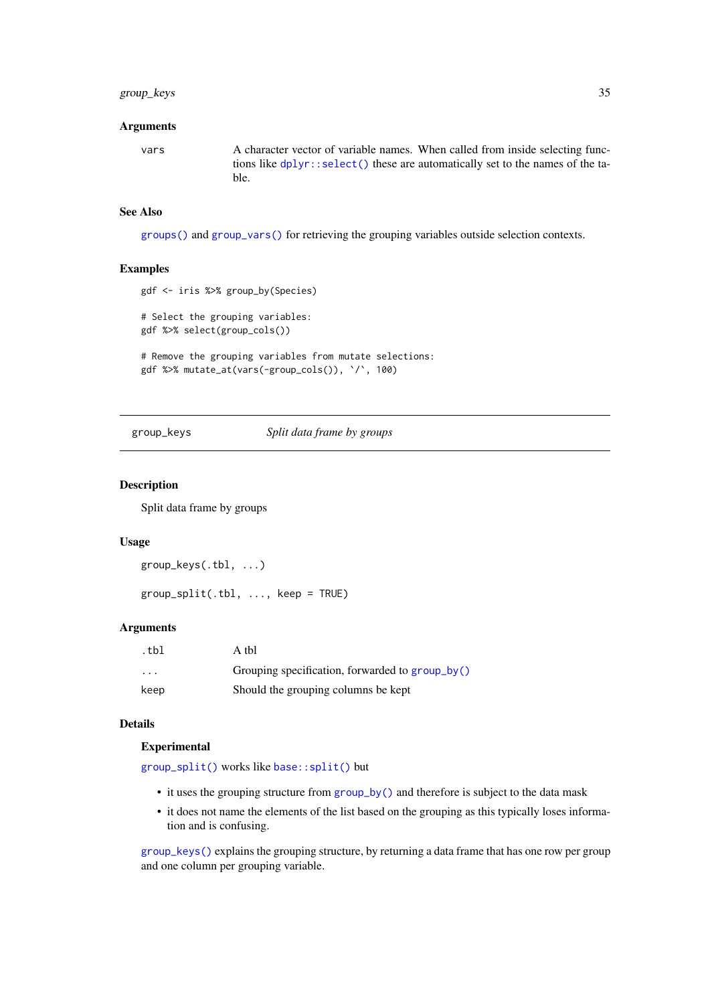#### <span id="page-34-0"></span>group\_keys 35

### Arguments

vars A character vector of variable names. When called from inside selecting functions like [dplyr::select\(\)](#page-0-0) these are automatically set to the names of the table.

### See Also

[groups\(\)](#page-30-3) and [group\\_vars\(\)](#page-30-4) for retrieving the grouping variables outside selection contexts.

### Examples

```
gdf <- iris %>% group_by(Species)
# Select the grouping variables:
gdf %>% select(group_cols())
```

```
# Remove the grouping variables from mutate selections:
gdf %>% mutate_at(vars(-group_cols()), `/`, 100)
```
<span id="page-34-1"></span>group\_keys *Split data frame by groups*

#### <span id="page-34-2"></span>Description

Split data frame by groups

### Usage

```
group_keys(.tbl, ...)
```
 $group\_split(.th1, ..., keep = TRUE)$ 

### Arguments

| .tbl                    | A tbl                                           |
|-------------------------|-------------------------------------------------|
| $\cdot$ $\cdot$ $\cdot$ | Grouping specification, forwarded to group_by() |
| keep                    | Should the grouping columns be kept             |

### Details

#### Experimental

[group\\_split\(\)](#page-34-2) works like [base::split\(\)](#page-0-0) but

- it uses the grouping structure from [group\\_by\(\)](#page-30-2) and therefore is subject to the data mask
- it does not name the elements of the list based on the grouping as this typically loses information and is confusing.

[group\\_keys\(\)](#page-34-1) explains the grouping structure, by returning a data frame that has one row per group and one column per grouping variable.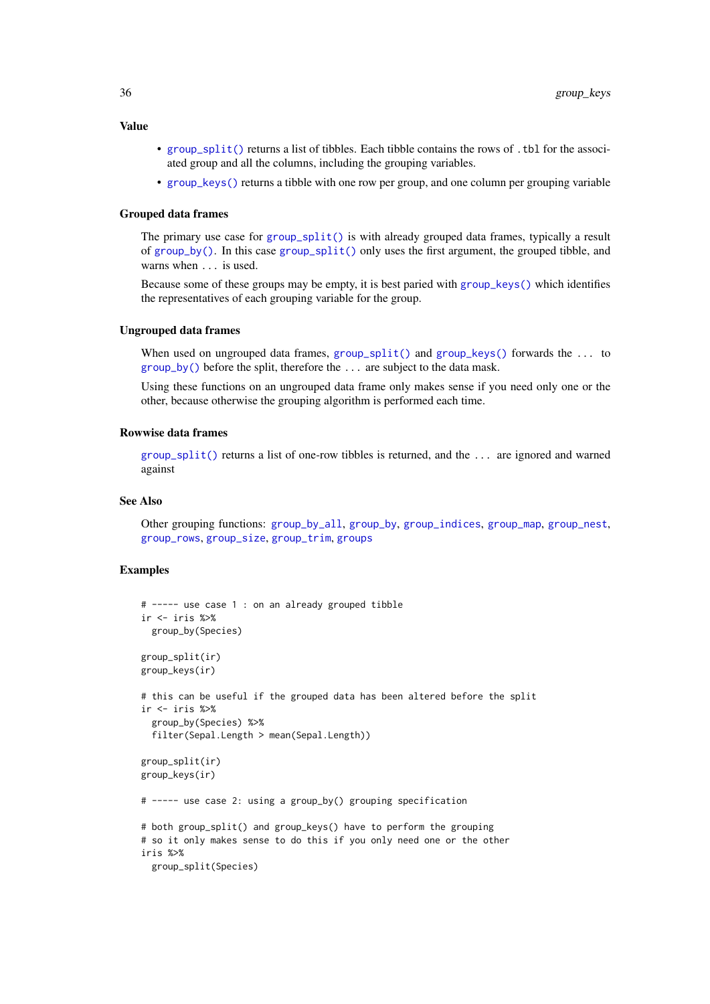#### Value

- [group\\_split\(\)](#page-34-2) returns a list of tibbles. Each tibble contains the rows of .tbl for the associated group and all the columns, including the grouping variables.
- [group\\_keys\(\)](#page-34-1) returns a tibble with one row per group, and one column per grouping variable

### Grouped data frames

The primary use case for [group\\_split\(\)](#page-34-2) is with already grouped data frames, typically a result of [group\\_by\(\)](#page-30-2). In this case [group\\_split\(\)](#page-34-2) only uses the first argument, the grouped tibble, and warns when ... is used.

Because some of these groups may be empty, it is best paried with group  $\text{keys}()$  which identifies the representatives of each grouping variable for the group.

#### Ungrouped data frames

When used on ungrouped data frames, [group\\_split\(\)](#page-34-2) and [group\\_keys\(\)](#page-34-1) forwards the ... to [group\\_by\(\)](#page-30-2) before the split, therefore the ... are subject to the data mask.

Using these functions on an ungrouped data frame only makes sense if you need only one or the other, because otherwise the grouping algorithm is performed each time.

#### Rowwise data frames

group  $split()$  returns a list of one-row tibbles is returned, and the ... are ignored and warned against

#### See Also

Other grouping functions: [group\\_by\\_all](#page-32-1), [group\\_by](#page-30-2), [group\\_indices](#page-0-0), [group\\_map](#page-36-1), [group\\_nest](#page-0-0), [group\\_rows](#page-37-1), [group\\_size](#page-0-0), [group\\_trim](#page-38-1), [groups](#page-30-3)

```
# ----- use case 1 : on an already grouped tibble
ir <- iris %>%
 group_by(Species)
group_split(ir)
group_keys(ir)
# this can be useful if the grouped data has been altered before the split
ir <- iris %>%
  group_by(Species) %>%
  filter(Sepal.Length > mean(Sepal.Length))
group_split(ir)
group_keys(ir)
# ----- use case 2: using a group_by() grouping specification
# both group_split() and group_keys() have to perform the grouping
# so it only makes sense to do this if you only need one or the other
iris %>%
  group_split(Species)
```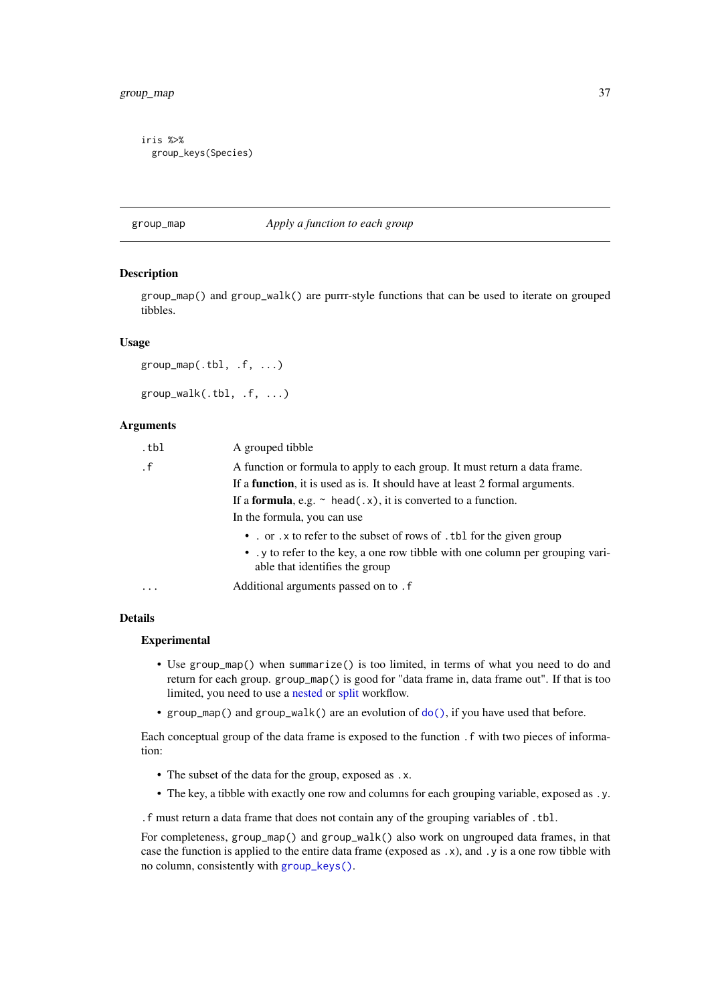### group\_map 37

```
iris %>%
  group_keys(Species)
```
#### <span id="page-36-0"></span>group\_map *Apply a function to each group*

#### Description

group\_map() and group\_walk() are purrr-style functions that can be used to iterate on grouped tibbles.

### Usage

```
group_map(.th1, .f, . . .)group_walk(.tbl, .f, ...)
```
#### Arguments

| .tbl      | A grouped tibble                                                                                               |
|-----------|----------------------------------------------------------------------------------------------------------------|
| $\cdot$ f | A function or formula to apply to each group. It must return a data frame.                                     |
|           | If a <b>function</b> , it is used as is. It should have at least 2 formal arguments.                           |
|           | If a <b>formula</b> , e.g. $\sim$ head(.x), it is converted to a function.                                     |
|           | In the formula, you can use                                                                                    |
|           | • . or . x to refer to the subset of rows of . tbl for the given group                                         |
|           | • y to refer to the key, a one row tibble with one column per grouping vari-<br>able that identifies the group |
| $\cdots$  | Additional arguments passed on to . f                                                                          |

### Details

#### Experimental

- Use group\_map() when summarize() is too limited, in terms of what you need to do and return for each group. group\_map() is good for "data frame in, data frame out". If that is too limited, you need to use a [nested](#page-0-0) or [split](#page-34-0) workflow.
- group\_map() and group\_walk() are an evolution of  $do()$ , if you have used that before.

Each conceptual group of the data frame is exposed to the function .f with two pieces of information:

- The subset of the data for the group, exposed as .x.
- The key, a tibble with exactly one row and columns for each grouping variable, exposed as .y.

.f must return a data frame that does not contain any of the grouping variables of .tbl.

For completeness, group\_map() and group\_walk() also work on ungrouped data frames, in that case the function is applied to the entire data frame (exposed as .x), and .y is a one row tibble with no column, consistently with [group\\_keys\(\)](#page-34-1).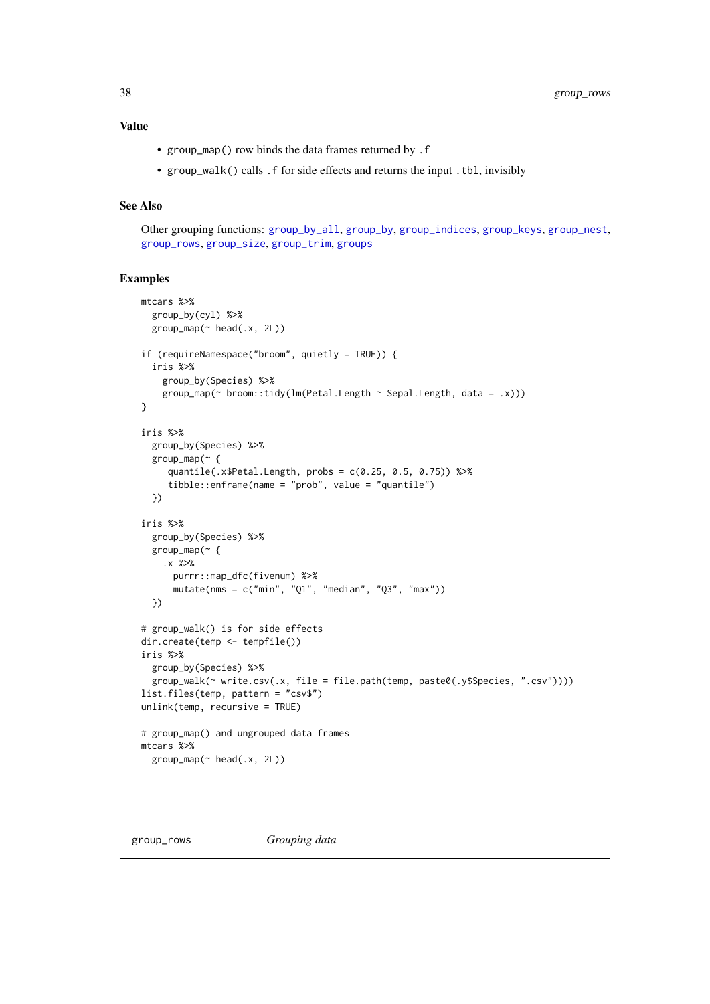# Value

- group\_map() row binds the data frames returned by .f
- group\_walk() calls .f for side effects and returns the input .tbl, invisibly

# See Also

Other grouping functions: [group\\_by\\_all](#page-32-0), [group\\_by](#page-30-0), [group\\_indices](#page-0-0), [group\\_keys](#page-34-1), [group\\_nest](#page-0-0), [group\\_rows](#page-37-0), [group\\_size](#page-0-0), [group\\_trim](#page-38-0), [groups](#page-30-1)

```
mtcars %>%
  group_by(cyl) %>%
  group_map(~ head(.x, 2L))
if (requireNamespace("broom", quietly = TRUE)) {
  iris %>%
    group_by(Species) %>%
    group_map(~ broom::tidy(lm(Petal.Length ~ Sepal.Length, data = .x)))
}
iris %>%
  group_by(Species) %>%
  group_map(~ {
     quantile(.x$Petal.Length, probs = c(0.25, 0.5, 0.75)) %>%
     tibble::enframe(name = "prob", value = "quantile")
  })
iris %>%
  group_by(Species) %>%
  group_map(~ {
   .x %>%
     purrr::map_dfc(fivenum) %>%
      mutate(nms = c("min", "Q1", "median", "Q3", "max"))
  })
# group_walk() is for side effects
dir.create(temp <- tempfile())
iris %>%
  group_by(Species) %>%
  group_walk(~ write.csv(.x, file = file.path(temp, paste0(.y$Species, ".csv"))))
list.files(temp, pattern = "csv$")
unlink(temp, recursive = TRUE)
# group_map() and ungrouped data frames
mtcars %>%
  group_map(~ head(.x, 2L))
```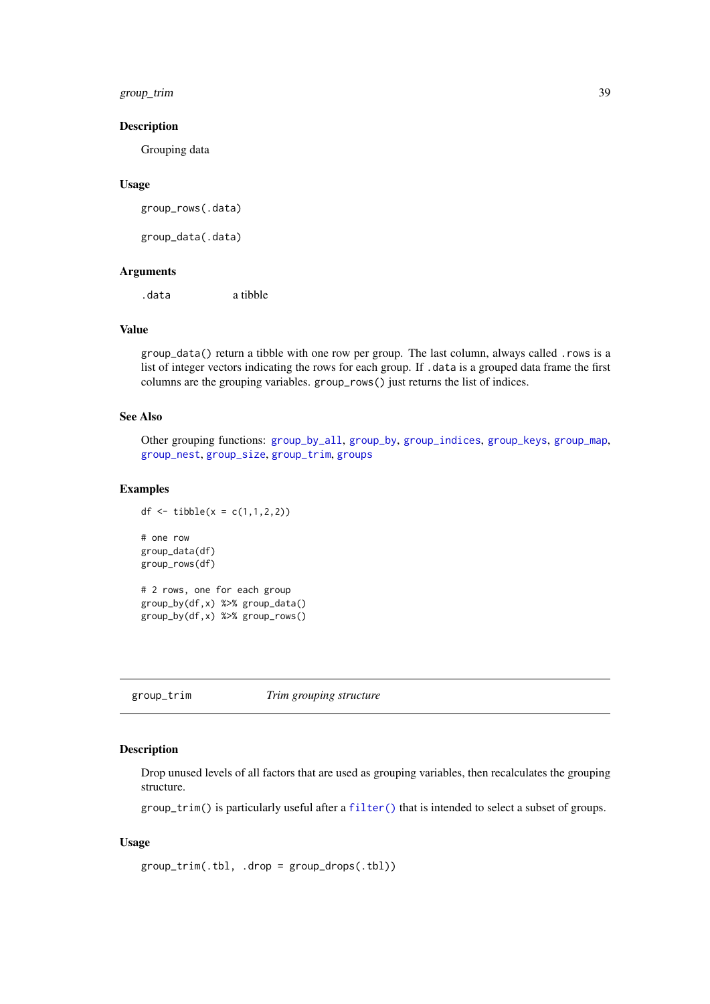### group\_trim 39

### Description

Grouping data

# Usage

group\_rows(.data)

group\_data(.data)

# Arguments

.data a tibble

# Value

group\_data() return a tibble with one row per group. The last column, always called .rows is a list of integer vectors indicating the rows for each group. If . data is a grouped data frame the first columns are the grouping variables. group\_rows() just returns the list of indices.

# See Also

Other grouping functions: [group\\_by\\_all](#page-32-0), [group\\_by](#page-30-0), [group\\_indices](#page-0-0), [group\\_keys](#page-34-1), [group\\_map](#page-36-0), [group\\_nest](#page-0-0), [group\\_size](#page-0-0), [group\\_trim](#page-38-0), [groups](#page-30-1)

## Examples

```
df <- tibble(x = c(1, 1, 2, 2))
# one row
group_data(df)
group_rows(df)
# 2 rows, one for each group
group_by(df,x) %>% group_data()
group_by(df,x) %>% group_rows()
```
<span id="page-38-0"></span>group\_trim *Trim grouping structure*

# Description

Drop unused levels of all factors that are used as grouping variables, then recalculates the grouping structure.

group\_trim() is particularly useful after a [filter\(\)](#page-25-0) that is intended to select a subset of groups.

# Usage

group\_trim(.tbl, .drop = group\_drops(.tbl))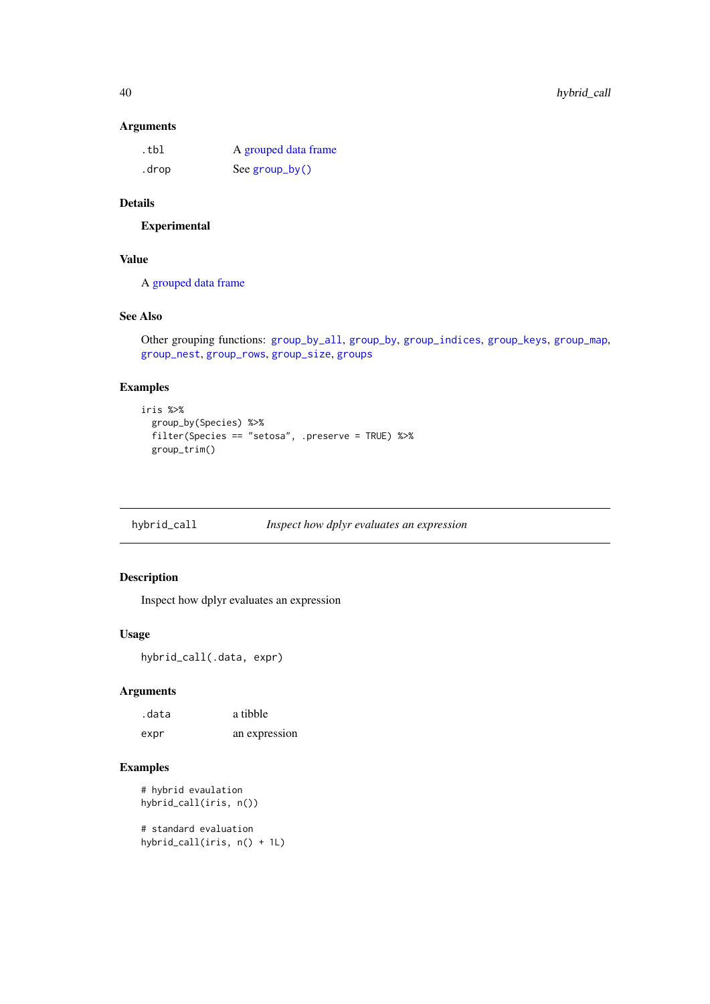# Arguments

| .tbl  | A grouped data frame |
|-------|----------------------|
| .drop | See group_by()       |

# Details

Experimental

# Value

A [grouped data frame](#page-0-0)

# See Also

Other grouping functions: [group\\_by\\_all](#page-32-0), [group\\_by](#page-30-0), [group\\_indices](#page-0-0), [group\\_keys](#page-34-1), [group\\_map](#page-36-0), [group\\_nest](#page-0-0), [group\\_rows](#page-37-0), [group\\_size](#page-0-0), [groups](#page-30-1)

# Examples

```
iris %>%
  group_by(Species) %>%
  filter(Species == "setosa", .preserve = TRUE) %>%
  group_trim()
```

| hybrid_call | Inspect how dplyr evaluates an expression |  |
|-------------|-------------------------------------------|--|
|             |                                           |  |

# Description

Inspect how dplyr evaluates an expression

# Usage

```
hybrid_call(.data, expr)
```
# Arguments

| .data | a tibble      |
|-------|---------------|
| expr  | an expression |

# Examples

# hybrid evaulation hybrid\_call(iris, n())

```
# standard evaluation
hybrid_call(iris, n() + 1L)
```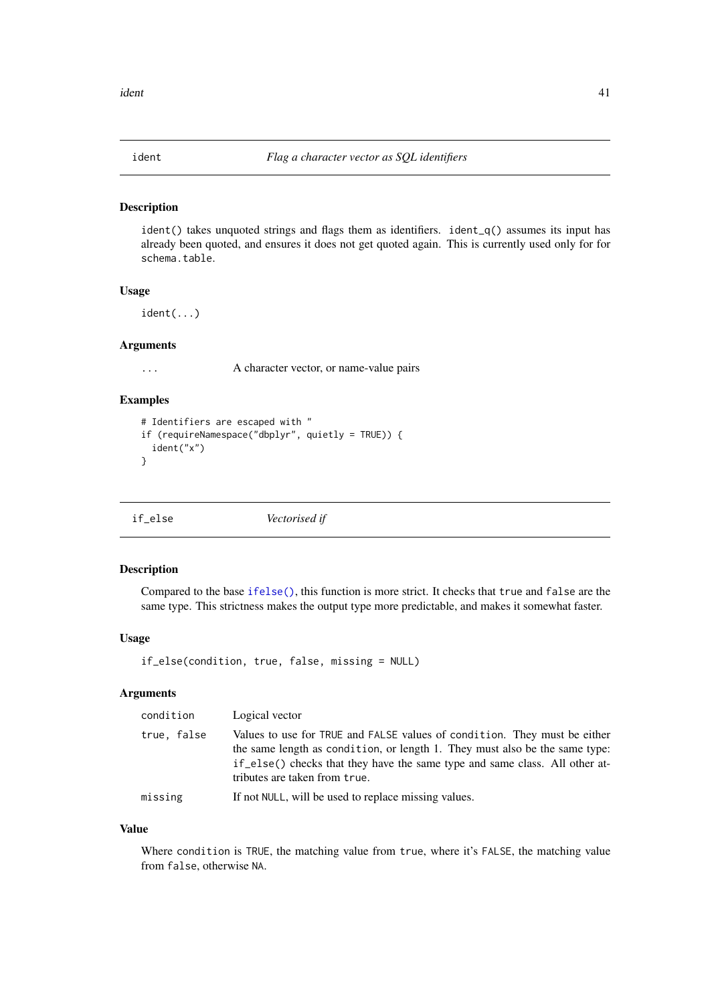### Description

ident() takes unquoted strings and flags them as identifiers. ident\_q() assumes its input has already been quoted, and ensures it does not get quoted again. This is currently used only for for schema.table.

### Usage

ident(...)

# Arguments

... A character vector, or name-value pairs

#### Examples

```
# Identifiers are escaped with "
if (requireNamespace("dbplyr", quietly = TRUE)) {
  ident("x")
}
```
<span id="page-40-0"></span>

|  | if_else | Vectorised if |  |
|--|---------|---------------|--|
|--|---------|---------------|--|

# Description

Compared to the base [ifelse\(\)](#page-0-0), this function is more strict. It checks that true and false are the same type. This strictness makes the output type more predictable, and makes it somewhat faster.

#### Usage

if\_else(condition, true, false, missing = NULL)

### Arguments

| condition   | Logical vector                                                                                                                                                                                                                                                           |
|-------------|--------------------------------------------------------------------------------------------------------------------------------------------------------------------------------------------------------------------------------------------------------------------------|
| true, false | Values to use for TRUE and FALSE values of condition. They must be either<br>the same length as condition, or length 1. They must also be the same type:<br>if else() checks that they have the same type and same class. All other at-<br>tributes are taken from true. |
| missing     | If not NULL, will be used to replace missing values.                                                                                                                                                                                                                     |

# Value

Where condition is TRUE, the matching value from true, where it's FALSE, the matching value from false, otherwise NA.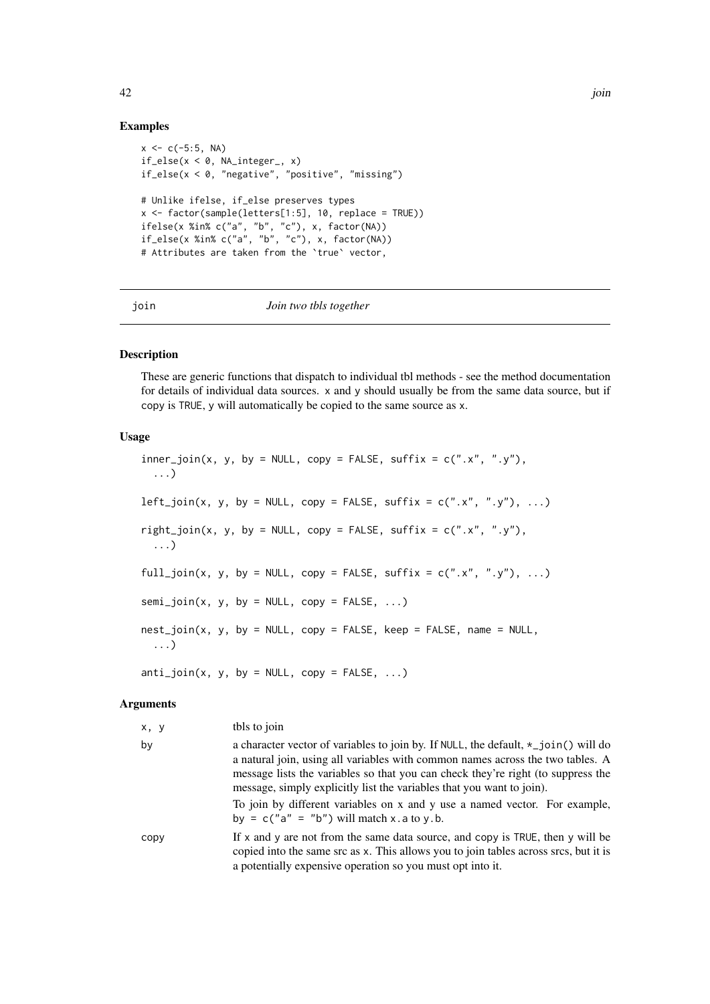### Examples

```
x < -c(-5:5, NA)if_else(x < 0, NA_integer_, x)
if_else(x < 0, "negative", "positive", "missing")
# Unlike ifelse, if_else preserves types
x <- factor(sample(letters[1:5], 10, replace = TRUE))
ifelse(x %in% c("a", "b", "c"), x, factor(NA))
if_else(x %in% c("a", "b", "c"), x, factor(NA))
# Attributes are taken from the `true` vector,
```
<span id="page-41-0"></span>

join *Join two tbls together*

#### Description

These are generic functions that dispatch to individual tbl methods - see the method documentation for details of individual data sources. x and y should usually be from the same data source, but if copy is TRUE, y will automatically be copied to the same source as x.

# Usage

 $inner\_join(x, y, by = NULL, copy = FALSE, suffix = c(".x", ".y"),$ ...)  $left\_join(x, y, by = NULL, copy = FALSE, suffix = c("x", "y"), ...)$ right\_join(x, y, by = NULL, copy = FALSE, suffix =  $c("x", "y")$ , ...) full\_join(x, y, by = NULL, copy = FALSE, suffix =  $c("x", "y"), ...$  $semi\_join(x, y, by = NULL, copy = FALSE, ...)$  $nest\_join(x, y, by = NULL, copy = FALSE, keep = FALSE, name = NULL,$ ...)  $anti\_join(x, y, by = NULL, copy = FALSE, ...)$ 

### Arguments

| x, y | tbls to join                                                                                                                                                                                                                                                                                                                                                                                                           |
|------|------------------------------------------------------------------------------------------------------------------------------------------------------------------------------------------------------------------------------------------------------------------------------------------------------------------------------------------------------------------------------------------------------------------------|
| by   | a character vector of variables to join by. If NULL, the default, $\star$ _join() will do<br>a natural join, using all variables with common names across the two tables. A<br>message lists the variables so that you can check they're right (to suppress the<br>message, simply explicitly list the variables that you want to join).<br>To join by different variables on x and y use a named vector. For example, |
|      | by = $c("a" = "b")$ will match x.a to y.b.                                                                                                                                                                                                                                                                                                                                                                             |
| copy | If x and y are not from the same data source, and copy is TRUE, then y will be<br>copied into the same src as x. This allows you to join tables across srcs, but it is<br>a potentially expensive operation so you must opt into it.                                                                                                                                                                                   |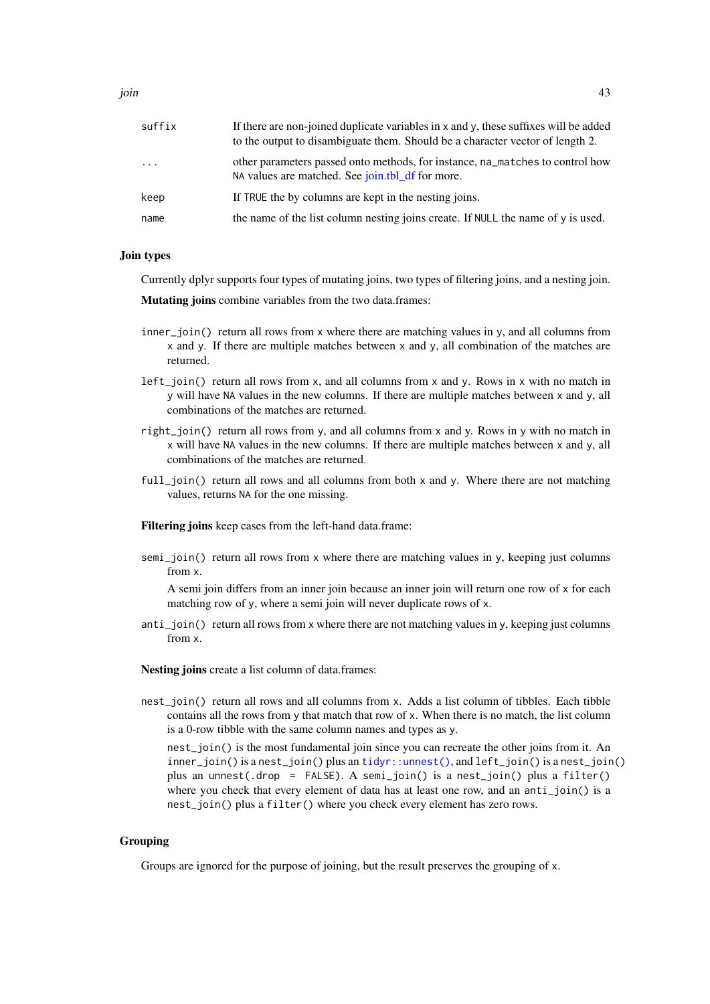join 43

| suffix   | If there are non-joined duplicate variables in x and y, these suffixes will be added<br>to the output to disambiguate them. Should be a character vector of length 2. |
|----------|-----------------------------------------------------------------------------------------------------------------------------------------------------------------------|
| $\cdots$ | other parameters passed onto methods, for instance, na matches to control how<br>NA values are matched. See join.tbl_df for more.                                     |
| keep     | If TRUE the by columns are kept in the nesting joins.                                                                                                                 |
| name     | the name of the list column nesting joins create. If NULL the name of $\nu$ is used.                                                                                  |

# Join types

Currently dplyr supports four types of mutating joins, two types of filtering joins, and a nesting join.

Mutating joins combine variables from the two data.frames:

- inner\_join() return all rows from x where there are matching values in y, and all columns from x and y. If there are multiple matches between x and y, all combination of the matches are returned.
- left\_join() return all rows from x, and all columns from x and y. Rows in x with no match in y will have NA values in the new columns. If there are multiple matches between x and y, all combinations of the matches are returned.
- right\_join() return all rows from y, and all columns from x and y. Rows in y with no match in x will have NA values in the new columns. If there are multiple matches between x and y, all combinations of the matches are returned.
- full\_join() return all rows and all columns from both x and y. Where there are not matching values, returns NA for the one missing.

Filtering joins keep cases from the left-hand data.frame:

semi\_join() return all rows from x where there are matching values in y, keeping just columns from x.

A semi join differs from an inner join because an inner join will return one row of x for each matching row of y, where a semi join will never duplicate rows of x.

anti\_join() return all rows from x where there are not matching values in y, keeping just columns from x.

Nesting joins create a list column of data.frames:

nest\_join() return all rows and all columns from x. Adds a list column of tibbles. Each tibble contains all the rows from y that match that row of x. When there is no match, the list column is a 0-row tibble with the same column names and types as y.

nest\_join() is the most fundamental join since you can recreate the other joins from it. An inner\_join() is a nest\_join() plus an [tidyr::unnest\(\)](#page-0-0), and left\_join() is a nest\_join() plus an unnest(.drop = FALSE). A semi\_join() is a nest\_join() plus a filter() where you check that every element of data has at least one row, and an anti-join() is a nest\_join() plus a filter() where you check every element has zero rows.

### Grouping

Groups are ignored for the purpose of joining, but the result preserves the grouping of x.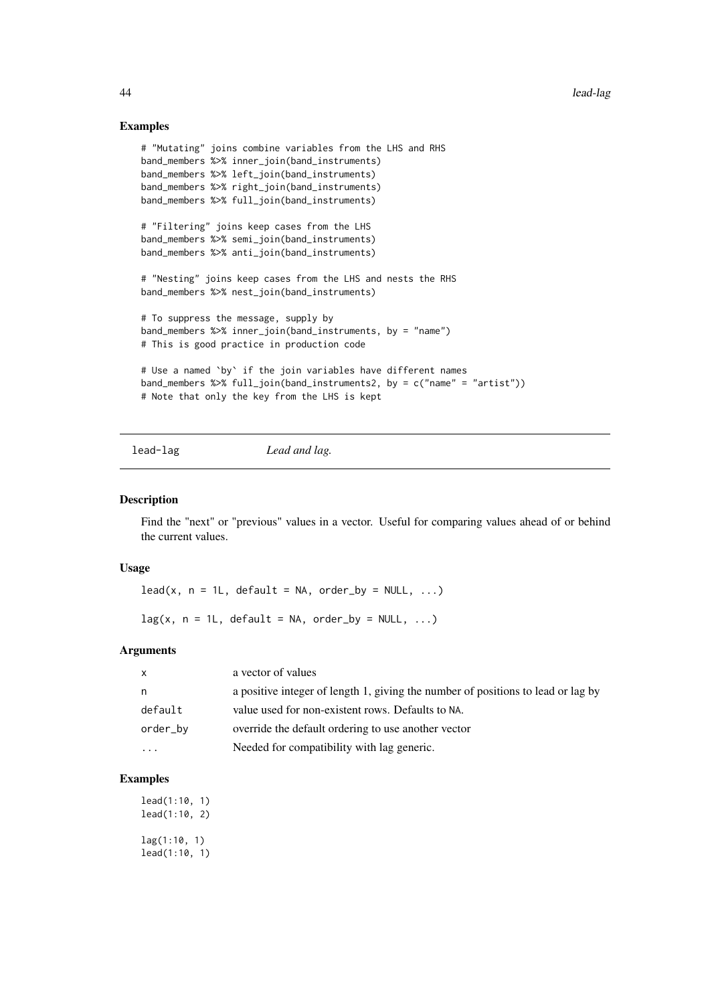### Examples

```
# "Mutating" joins combine variables from the LHS and RHS
band_members %>% inner_join(band_instruments)
band_members %>% left_join(band_instruments)
band_members %>% right_join(band_instruments)
band_members %>% full_join(band_instruments)
# "Filtering" joins keep cases from the LHS
band_members %>% semi_join(band_instruments)
band_members %>% anti_join(band_instruments)
# "Nesting" joins keep cases from the LHS and nests the RHS
band_members %>% nest_join(band_instruments)
# To suppress the message, supply by
band_members %>% inner_join(band_instruments, by = "name")
# This is good practice in production code
# Use a named `by` if the join variables have different names
band_members %>% full_join(band_instruments2, by = c("name" = "artist"))
# Note that only the key from the LHS is kept
```

```
lead-lag Lead and lag.
```
#### <span id="page-43-0"></span>Description

Find the "next" or "previous" values in a vector. Useful for comparing values ahead of or behind the current values.

# Usage

 $lead(x, n = 1L, default = NA, order_by = NULL, ...)$ 

 $lag(x, n = 1L, default = NA, order_by = NULL, ...)$ 

# Arguments

| $\mathsf{x}$ | a vector of values                                                               |
|--------------|----------------------------------------------------------------------------------|
| n.           | a positive integer of length 1, giving the number of positions to lead or lag by |
| default      | value used for non-existent rows. Defaults to NA.                                |
| order_by     | override the default ordering to use another vector                              |
| .            | Needed for compatibility with lag generic.                                       |

```
lead(1:10, 1)
lead(1:10, 2)
lag(1:10, 1)
lead(1:10, 1)
```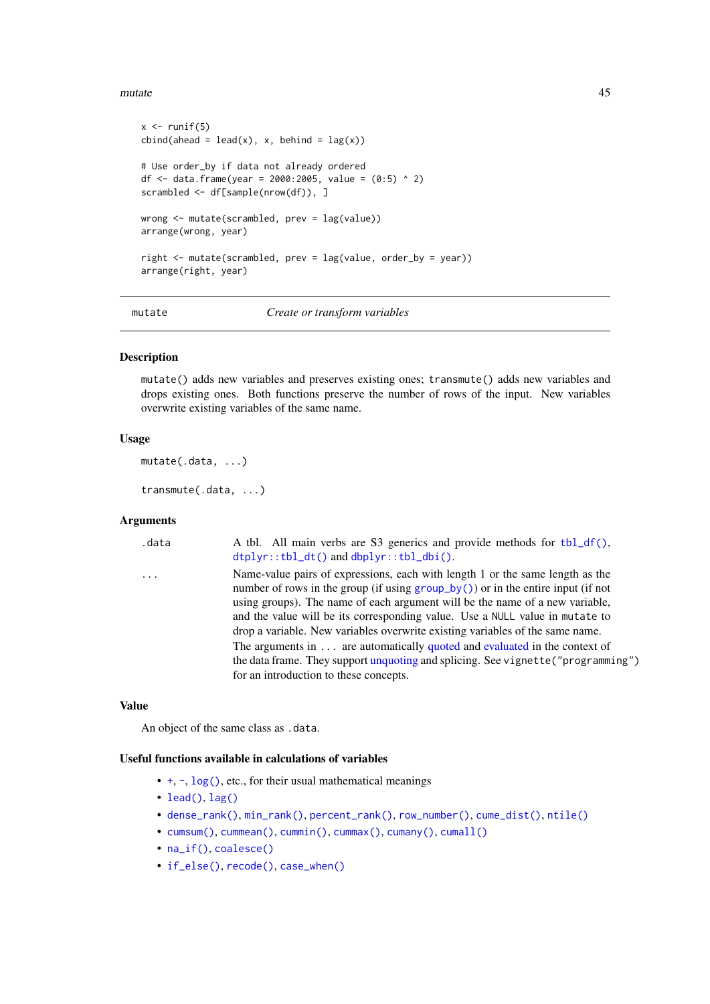#### mutate and the set of the set of the set of the set of the set of the set of the set of the set of the set of the set of the set of the set of the set of the set of the set of the set of the set of the set of the set of th

```
x \leftarrow runif(5)cbind( ahead = lead(x), x, behind = lag(x))# Use order_by if data not already ordered
df <- data.frame(year = 2000:2005, value = (0:5) ^ 2)
scrambled <- df[sample(nrow(df)), ]
wrong <- mutate(scrambled, prev = lag(value))
arrange(wrong, year)
right <- mutate(scrambled, prev = lag(value, order_by = year))
arrange(right, year)
```
#### <span id="page-44-0"></span>mutate *Create or transform variables*

### <span id="page-44-1"></span>Description

mutate() adds new variables and preserves existing ones; transmute() adds new variables and drops existing ones. Both functions preserve the number of rows of the input. New variables overwrite existing variables of the same name.

# Usage

mutate(.data, ...)

transmute(.data, ...)

# Arguments

| .data   | A tbl. All main verbs are S3 generics and provide methods for tbl_df(),<br>dtplyr::tbl_dt() and dbplyr::tbl_dbi().                                                                                                                                                                                                                                                                                                    |
|---------|-----------------------------------------------------------------------------------------------------------------------------------------------------------------------------------------------------------------------------------------------------------------------------------------------------------------------------------------------------------------------------------------------------------------------|
| $\cdot$ | Name-value pairs of expressions, each with length 1 or the same length as the<br>number of rows in the group (if using $group_by()$ ) or in the entire input (if not<br>using groups). The name of each argument will be the name of a new variable,<br>and the value will be its corresponding value. Use a NULL value in mutate to<br>drop a variable. New variables overwrite existing variables of the same name. |
|         | The arguments in $\dots$ are automatically quoted and evaluated in the context of<br>the data frame. They support unquoting and splicing. See vignette ("programming")<br>for an introduction to these concepts.                                                                                                                                                                                                      |

#### Value

An object of the same class as .data.

### Useful functions available in calculations of variables

- [+](#page-0-0), [-](#page-0-0), [log\(\)](#page-0-0), etc., for their usual mathematical meanings
- [lead\(\)](#page-43-0), [lag\(\)](#page-43-0)
- [dense\\_rank\(\)](#page-56-0), [min\\_rank\(\)](#page-56-0), [percent\\_rank\(\)](#page-56-0), [row\\_number\(\)](#page-56-0), [cume\\_dist\(\)](#page-56-0), [ntile\(\)](#page-56-0)
- [cumsum\(\)](#page-0-0), [cummean\(\)](#page-18-0), [cummin\(\)](#page-0-0), [cummax\(\)](#page-0-0), [cumany\(\)](#page-18-0), [cumall\(\)](#page-18-1)
- [na\\_if\(\)](#page-50-0), [coalesce\(\)](#page-15-0)
- [if\\_else\(\)](#page-40-0), [recode\(\)](#page-58-0), [case\\_when\(\)](#page-12-0)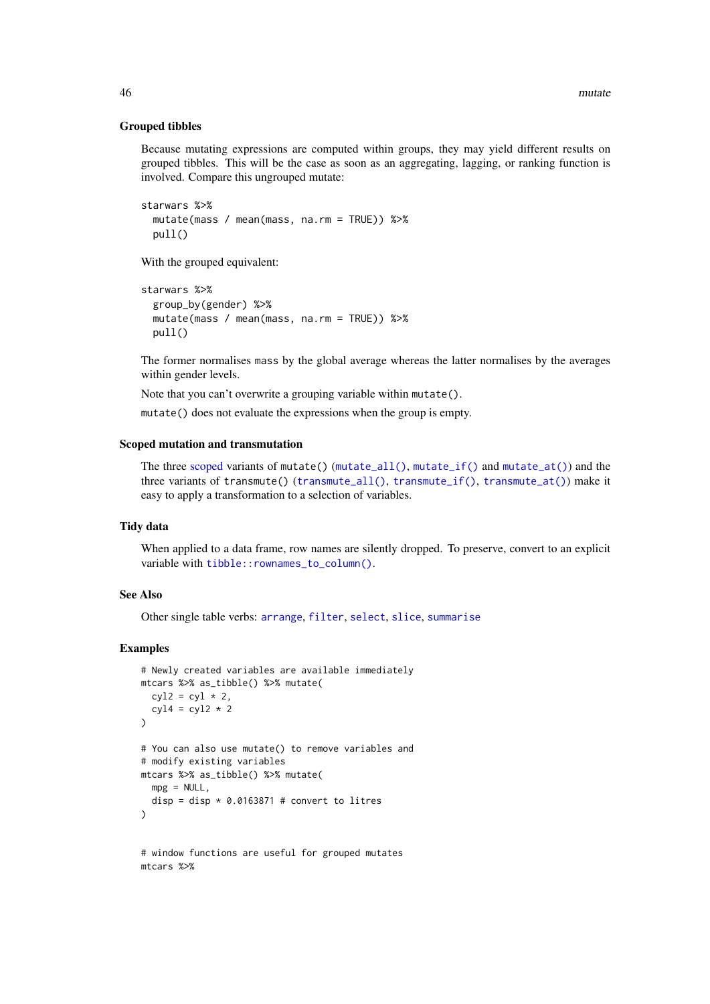#### Grouped tibbles

Because mutating expressions are computed within groups, they may yield different results on grouped tibbles. This will be the case as soon as an aggregating, lagging, or ranking function is involved. Compare this ungrouped mutate:

```
starwars %>%
 mutate(mass / mean(mass, na.rm = TRUE)) %>%
 pull()
```
With the grouped equivalent:

```
starwars %>%
 group_by(gender) %>%
 mutate(mass / mean(mass, na.rm = TRUE)) %>%
 pull()
```
The former normalises mass by the global average whereas the latter normalises by the averages within gender levels.

Note that you can't overwrite a grouping variable within mutate().

mutate() does not evaluate the expressions when the group is empty.

### Scoped mutation and transmutation

The three [scoped](#page-61-0) variants of mutate() ([mutate\\_all\(\)](#page-46-0), [mutate\\_if\(\)](#page-46-1) and [mutate\\_at\(\)](#page-46-1)) and the three variants of transmute() ([transmute\\_all\(\)](#page-46-1), [transmute\\_if\(\)](#page-46-1), [transmute\\_at\(\)](#page-46-1)) make it easy to apply a transformation to a selection of variables.

#### Tidy data

When applied to a data frame, row names are silently dropped. To preserve, convert to an explicit variable with [tibble::rownames\\_to\\_column\(\)](#page-0-0).

#### See Also

Other single table verbs: [arrange](#page-5-0), [filter](#page-25-0), [select](#page-63-0), [slice](#page-68-0), [summarise](#page-74-0)

#### Examples

```
# Newly created variables are available immediately
mtcars %>% as_tibble() %>% mutate(
 cyl2 = cyl * 2,cyl4 = cyl2 * 2\lambda# You can also use mutate() to remove variables and
# modify existing variables
mtcars %>% as_tibble() %>% mutate(
 mpg = NULL,disp = disp * 0.0163871 # convert to litres
\lambda# window functions are useful for grouped mutates
```
mtcars %>%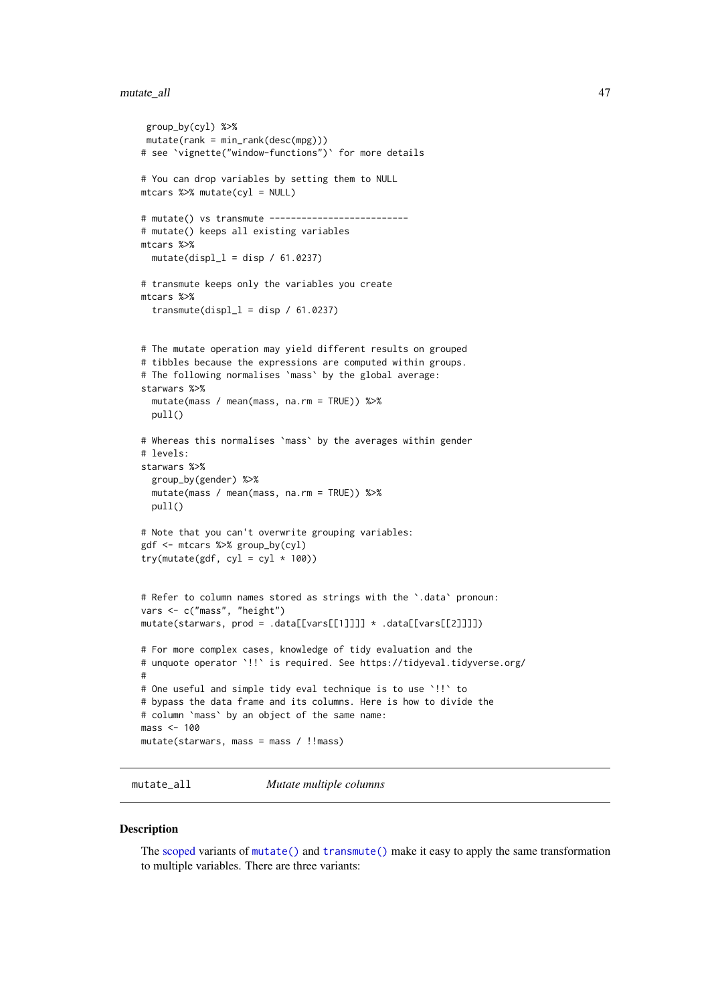#### mutate\_all 47

```
group_by(cyl) %>%
mutate(rank = min\_rank(desc(mpg)))# see `vignette("window-functions")` for more details
# You can drop variables by setting them to NULL
mtcars %>% mutate(cyl = NULL)
# mutate() vs transmute --------------------------
# mutate() keeps all existing variables
mtcars %>%
 mutate(displ_l = disp / 61.0237)
# transmute keeps only the variables you create
mtcars %>%
 transmute(displ_1 = disp / 61.0237)
# The mutate operation may yield different results on grouped
# tibbles because the expressions are computed within groups.
# The following normalises `mass` by the global average:
starwars %>%
  mutate(mass / mean(mass, na.rm = TRUE)) %>%
  pull()
# Whereas this normalises `mass` by the averages within gender
# levels:
starwars %>%
  group_by(gender) %>%
 mutate(mass / mean(mass, na.rm = TRUE)) %>%
 pull()
# Note that you can't overwrite grouping variables:
gdf <- mtcars %>% group_by(cyl)
try(mutate(gdf, cyl = cyl * 100))# Refer to column names stored as strings with the `.data` pronoun:
vars <- c("mass", "height")
mutate(starwars, prod = .data[[vars[[1]]]] \star .data[[vars[[2]]]])
# For more complex cases, knowledge of tidy evaluation and the
# unquote operator `!!` is required. See https://tidyeval.tidyverse.org/
#
# One useful and simple tidy eval technique is to use `!!` to
# bypass the data frame and its columns. Here is how to divide the
# column `mass` by an object of the same name:
mass < -100mutate(starwars, mass = mass / !!mass)
```
<span id="page-46-0"></span>mutate\_all *Mutate multiple columns*

#### <span id="page-46-1"></span>Description

The [scoped](#page-61-0) variants of [mutate\(\)](#page-44-0) and [transmute\(\)](#page-44-1) make it easy to apply the same transformation to multiple variables. There are three variants: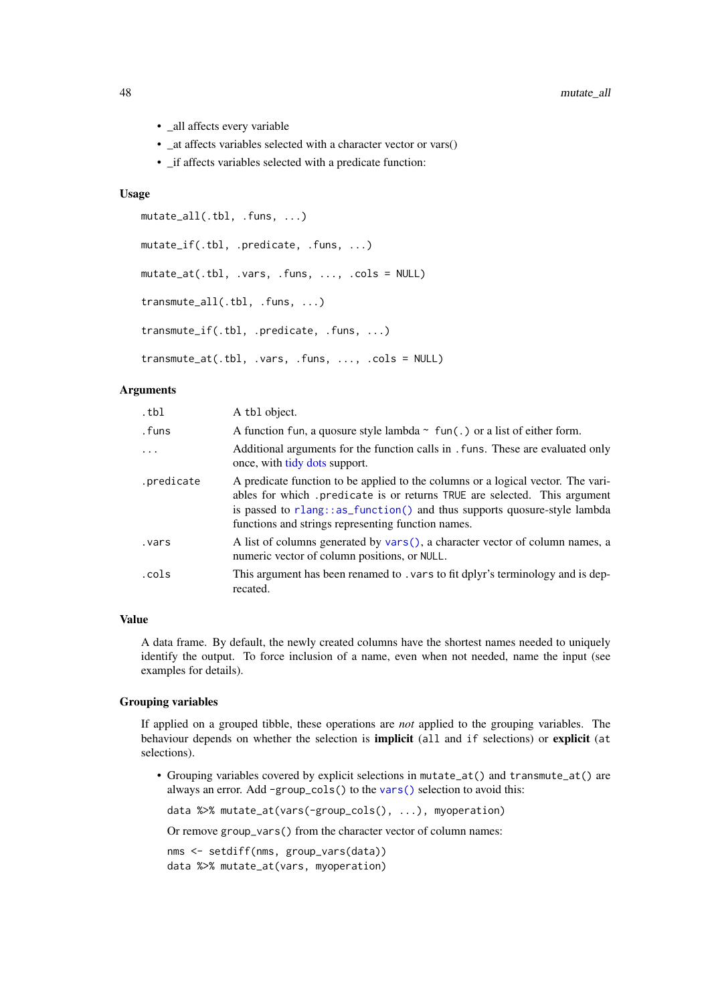- all affects every variable
- \_at affects variables selected with a character vector or vars()
- if affects variables selected with a predicate function:

## Usage

```
mutate_all(.tbl, .funs, ...)
mutate_if(.tbl, .predicate, .funs, ...)
mutate_at(.tbl, .vars, .funs, ..., .cols = NULL)
transmute_all(.tbl, .funs, ...)
transmute_if(.tbl, .predicate, .funs, ...)
transmute_at(.tbl, .vars, .funs, ..., .cols = NULL)
```
#### Arguments

| .tbl       | A tbl object.                                                                                                                                                                                                                                                                                  |
|------------|------------------------------------------------------------------------------------------------------------------------------------------------------------------------------------------------------------------------------------------------------------------------------------------------|
| .funs      | A function fun, a quosure style lambda $\sim$ fun(.) or a list of either form.                                                                                                                                                                                                                 |
| $\ddots$ . | Additional arguments for the function calls in . funs. These are evaluated only<br>once, with tidy dots support.                                                                                                                                                                               |
| .predicate | A predicate function to be applied to the columns or a logical vector. The vari-<br>ables for which predicate is or returns TRUE are selected. This argument<br>is passed to rlang::as_function() and thus supports quosure-style lambda<br>functions and strings representing function names. |
| .vars      | A list of columns generated by vars(), a character vector of column names, a<br>numeric vector of column positions, or NULL.                                                                                                                                                                   |
| .cols      | This argument has been renamed to . vars to fit dplyr's terminology and is dep-<br>recated.                                                                                                                                                                                                    |

## Value

A data frame. By default, the newly created columns have the shortest names needed to uniquely identify the output. To force inclusion of a name, even when not needed, name the input (see examples for details).

### Grouping variables

If applied on a grouped tibble, these operations are *not* applied to the grouping variables. The behaviour depends on whether the selection is implicit (all and if selections) or explicit (at selections).

• Grouping variables covered by explicit selections in mutate\_at() and transmute\_at() are always an error. Add -group\_cols() to the [vars\(\)](#page-83-0) selection to avoid this:

data %>% mutate\_at(vars(-group\_cols(), ...), myoperation)

Or remove group\_vars() from the character vector of column names:

```
nms <- setdiff(nms, group_vars(data))
data %>% mutate_at(vars, myoperation)
```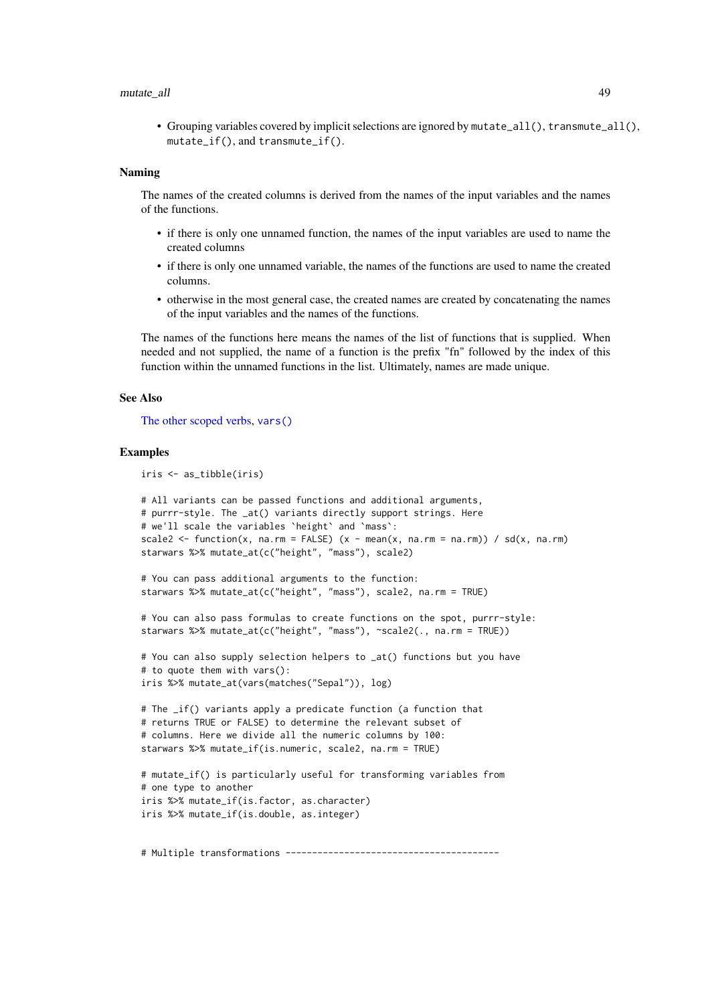#### mutate\_all 49

• Grouping variables covered by implicit selections are ignored by mutate\_all(), transmute\_all(), mutate\_if(), and transmute\_if().

#### Naming

The names of the created columns is derived from the names of the input variables and the names of the functions.

- if there is only one unnamed function, the names of the input variables are used to name the created columns
- if there is only one unnamed variable, the names of the functions are used to name the created columns.
- otherwise in the most general case, the created names are created by concatenating the names of the input variables and the names of the functions.

The names of the functions here means the names of the list of functions that is supplied. When needed and not supplied, the name of a function is the prefix "fn" followed by the index of this function within the unnamed functions in the list. Ultimately, names are made unique.

### See Also

[The other scoped verbs,](#page-61-0) [vars\(\)](#page-83-0)

```
iris <- as_tibble(iris)
```

```
# All variants can be passed functions and additional arguments,
# purrr-style. The _at() variants directly support strings. Here
# we'll scale the variables `height` and `mass`:
scale2 <- function(x, na.rm = FALSE) (x - mean(x, na.rm = na.rm)) / sd(x, na.rm)
starwars %>% mutate_at(c("height", "mass"), scale2)
# You can pass additional arguments to the function:
starwars %>% mutate_at(c("height", "mass"), scale2, na.rm = TRUE)
# You can also pass formulas to create functions on the spot, purrr-style:
starwars %>% mutate_at(c("height", "mass"), ~scale2(., na.rm = TRUE))
# You can also supply selection helpers to _at() functions but you have
# to quote them with vars():
iris %>% mutate_at(vars(matches("Sepal")), log)
# The _if() variants apply a predicate function (a function that
# returns TRUE or FALSE) to determine the relevant subset of
# columns. Here we divide all the numeric columns by 100:
starwars %>% mutate_if(is.numeric, scale2, na.rm = TRUE)
# mutate_if() is particularly useful for transforming variables from
# one type to another
iris %>% mutate_if(is.factor, as.character)
iris %>% mutate_if(is.double, as.integer)
```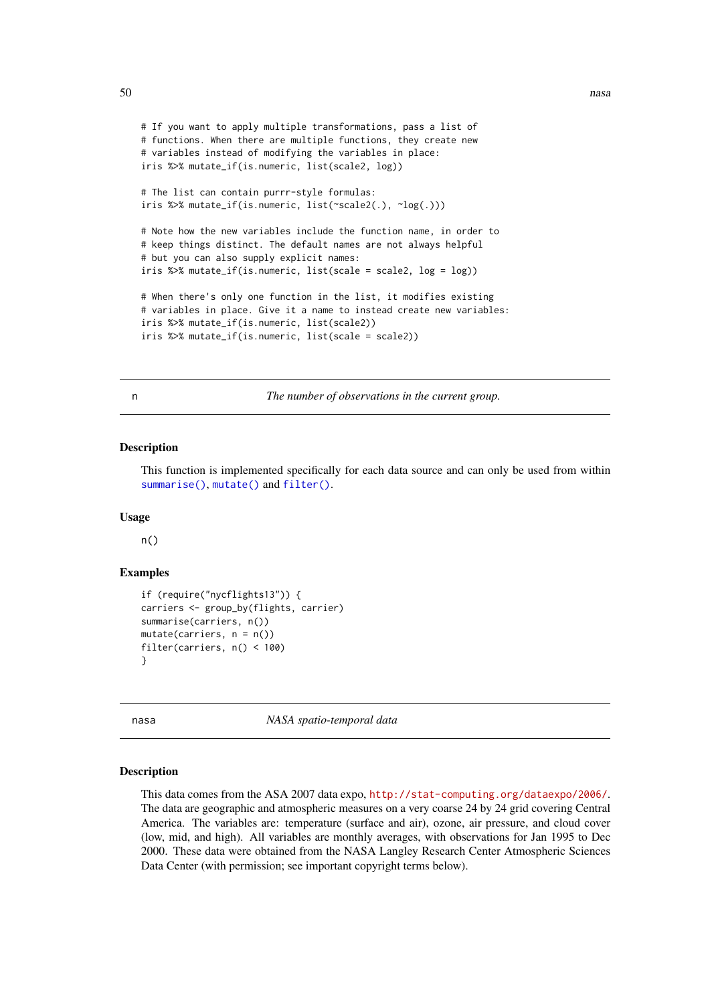```
# If you want to apply multiple transformations, pass a list of
# functions. When there are multiple functions, they create new
# variables instead of modifying the variables in place:
iris %>% mutate_if(is.numeric, list(scale2, log))
# The list can contain purrr-style formulas:
iris %>% mutate_if(is.numeric, list(~scale2(.), ~log(.)))
# Note how the new variables include the function name, in order to
# keep things distinct. The default names are not always helpful
# but you can also supply explicit names:
iris %>% mutate_if(is.numeric, list(scale = scale2, log = log))
# When there's only one function in the list, it modifies existing
# variables in place. Give it a name to instead create new variables:
iris %>% mutate_if(is.numeric, list(scale2))
iris %>% mutate_if(is.numeric, list(scale = scale2))
```
n *The number of observations in the current group.*

#### Description

This function is implemented specifically for each data source and can only be used from within [summarise\(\)](#page-74-0), [mutate\(\)](#page-44-0) and [filter\(\)](#page-25-0).

### Usage

n()

# Examples

```
if (require("nycflights13")) {
carriers <- group_by(flights, carrier)
summarise(carriers, n())
mutate(carriers, n = n())filter(carriers, n() < 100)
}
```
nasa *NASA spatio-temporal data*

#### Description

This data comes from the ASA 2007 data expo, <http://stat-computing.org/dataexpo/2006/>. The data are geographic and atmospheric measures on a very coarse 24 by 24 grid covering Central America. The variables are: temperature (surface and air), ozone, air pressure, and cloud cover (low, mid, and high). All variables are monthly averages, with observations for Jan 1995 to Dec 2000. These data were obtained from the NASA Langley Research Center Atmospheric Sciences Data Center (with permission; see important copyright terms below).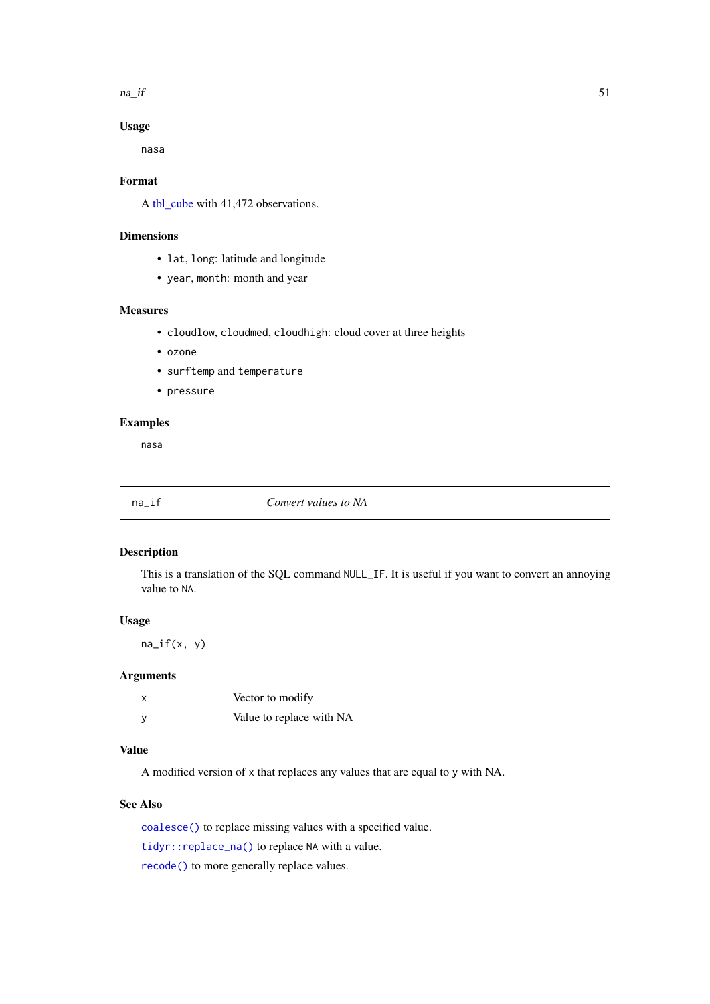$na\_if$  51

# Usage

nasa

# Format

A [tbl\\_cube](#page-80-0) with 41,472 observations.

### Dimensions

- lat, long: latitude and longitude
- year, month: month and year

# Measures

- cloudlow, cloudmed, cloudhigh: cloud cover at three heights
- ozone
- surftemp and temperature
- pressure

# Examples

nasa

<span id="page-50-0"></span>

na\_if *Convert values to NA*

### Description

This is a translation of the SQL command NULL\_IF. It is useful if you want to convert an annoying value to NA.

# Usage

na\_if(x, y)

# Arguments

| Vector to modify         |
|--------------------------|
| Value to replace with NA |

# Value

A modified version of x that replaces any values that are equal to y with NA.

# See Also

[coalesce\(\)](#page-15-0) to replace missing values with a specified value.

[tidyr::replace\\_na\(\)](#page-0-0) to replace NA with a value.

[recode\(\)](#page-58-0) to more generally replace values.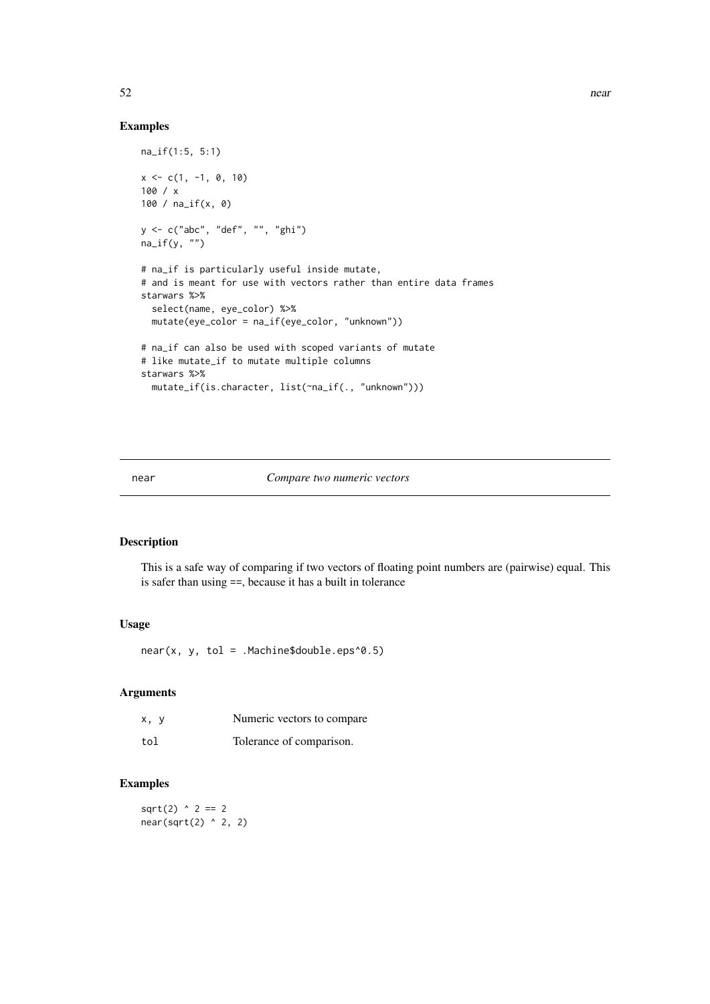## Examples

```
na_if(1:5, 5:1)
x \leq -c(1, -1, 0, 10)100 / x
100 / na_if(x, 0)
y <- c("abc", "def", "", "ghi")
na_i f(y, "")# na_if is particularly useful inside mutate,
# and is meant for use with vectors rather than entire data frames
starwars %>%
  select(name, eye_color) %>%
  mutate(eye_color = na_if(eye_color, "unknown"))
# na_if can also be used with scoped variants of mutate
# like mutate_if to mutate multiple columns
starwars %>%
  mutate_if(is.character, list(~na_if(., "unknown")))
```
#### near *Compare two numeric vectors*

### Description

This is a safe way of comparing if two vectors of floating point numbers are (pairwise) equal. This is safer than using ==, because it has a built in tolerance

# Usage

 $near(x, y, tol = .Machine$double.eps^0.5)$ 

#### Arguments

| x, y | Numeric vectors to compare |
|------|----------------------------|
| tol  | Tolerance of comparison.   |

## Examples

 $sqrt(2)$  ^ 2 == 2 near(sqrt(2) ^ 2, 2)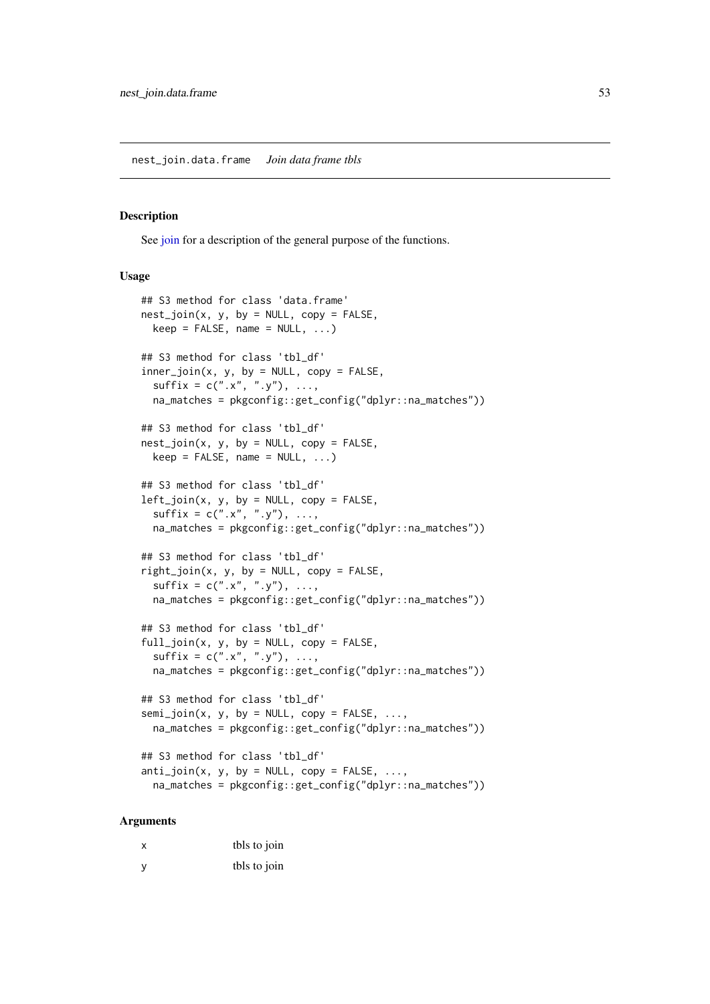nest\_join.data.frame *Join data frame tbls*

### <span id="page-52-0"></span>Description

See [join](#page-41-0) for a description of the general purpose of the functions.

### Usage

```
## S3 method for class 'data.frame'
nest\_join(x, y, by = NULL, copy = FALSE,keep = FALSE, name = NULL, ...)## S3 method for class 'tbl_df'
inner\_join(x, y, by = NULL, copy = FALSE,sufficient = c("x", "y"), ...,na_matches = pkgconfig::get_config("dplyr::na_matches"))
## S3 method for class 'tbl df'
nest\_join(x, y, by = NULL, copy = FALSE,keep = FALSE, name = NULL, ...)## S3 method for class 'tbl df'
left\_join(x, y, by = NULL, copy = FALSE,sufficient = c("x", "y"), ...,na_matches = pkgconfig::get_config("dplyr::na_matches"))
## S3 method for class 'tbl_df'
right\_join(x, y, by = NULL, copy = FALSE,sufficient = c("x", "y"), ...na_matches = pkgconfig::get_config("dplyr::na_matches"))
## S3 method for class 'tbl_df'
full\_join(x, y, by = NULL, copy = FALSE,sufficient = c("x", "y"), ...,na_matches = pkgconfig::get_config("dplyr::na_matches"))
## S3 method for class 'tbl df'
semi\_join(x, y, by = NULL, copy = FALSE, ...na_matches = pkgconfig::get_config("dplyr::na_matches"))
## S3 method for class 'tbl_df'
anti\_join(x, y, by = NULL, copy = FALSE, ...na_matches = pkgconfig::get_config("dplyr::na_matches"))
```
#### Arguments

| X   | tbls to join |
|-----|--------------|
| - V | tbls to join |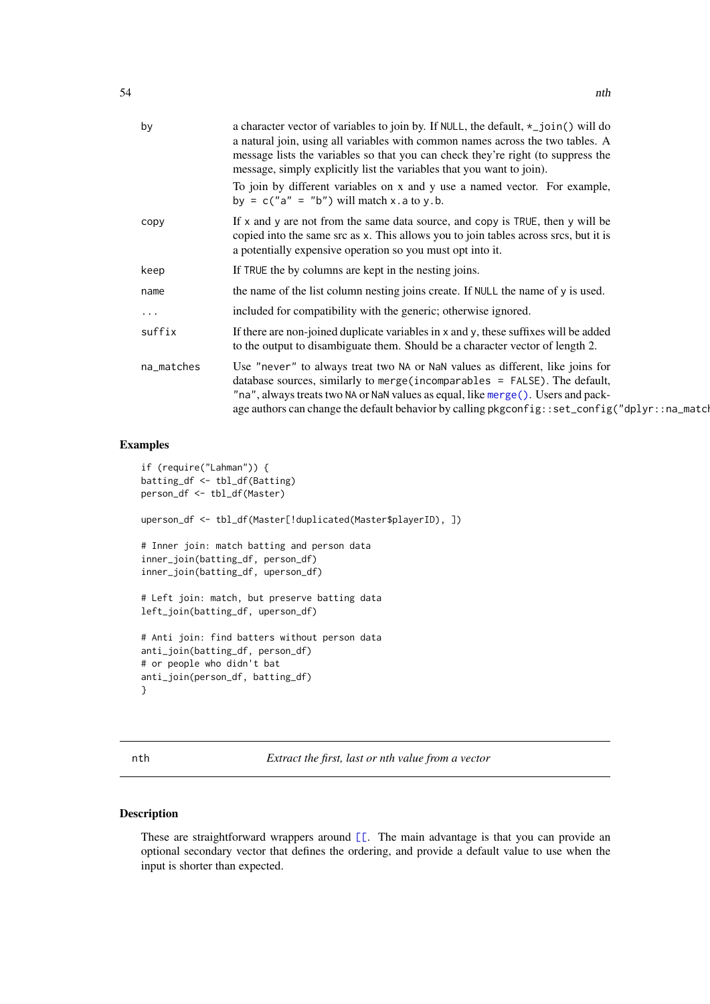| by         | a character vector of variables to join by. If NULL, the default, *_join() will do<br>a natural join, using all variables with common names across the two tables. A<br>message lists the variables so that you can check they're right (to suppress the<br>message, simply explicitly list the variables that you want to join).<br>To join by different variables on x and y use a named vector. For example,<br>by = $c("a" = "b")$ will match x.a to y.b. |
|------------|---------------------------------------------------------------------------------------------------------------------------------------------------------------------------------------------------------------------------------------------------------------------------------------------------------------------------------------------------------------------------------------------------------------------------------------------------------------|
| copy       | If x and y are not from the same data source, and copy is TRUE, then y will be<br>copied into the same src as x. This allows you to join tables across srcs, but it is<br>a potentially expensive operation so you must opt into it.                                                                                                                                                                                                                          |
| keep       | If TRUE the by columns are kept in the nesting joins.                                                                                                                                                                                                                                                                                                                                                                                                         |
| name       | the name of the list column nesting joins create. If NULL the name of y is used.                                                                                                                                                                                                                                                                                                                                                                              |
| $\cdots$   | included for compatibility with the generic; otherwise ignored.                                                                                                                                                                                                                                                                                                                                                                                               |
| suffix     | If there are non-joined duplicate variables in x and y, these suffixes will be added<br>to the output to disambiguate them. Should be a character vector of length 2.                                                                                                                                                                                                                                                                                         |
| na_matches | Use "never" to always treat two NA or NaN values as different, like joins for<br>database sources, similarly to merge (incomparables = $FALSE$ ). The default,<br>"na", always treats two NA or NaN values as equal, like merge(). Users and pack-<br>age authors can change the default behavior by calling pkgconfig: : set_config("dplyr: : na_matcl                                                                                                       |

## Examples

```
if (require("Lahman")) {
batting_df <- tbl_df(Batting)
person_df <- tbl_df(Master)
uperson_df <- tbl_df(Master[!duplicated(Master$playerID), ])
# Inner join: match batting and person data
inner_join(batting_df, person_df)
inner_join(batting_df, uperson_df)
# Left join: match, but preserve batting data
left_join(batting_df, uperson_df)
# Anti join: find batters without person data
anti_join(batting_df, person_df)
# or people who didn't bat
anti_join(person_df, batting_df)
}
```
nth *Extract the first, last or nth value from a vector*

### Description

These are straightforward wrappers around [\[\[](#page-0-0). The main advantage is that you can provide an optional secondary vector that defines the ordering, and provide a default value to use when the input is shorter than expected.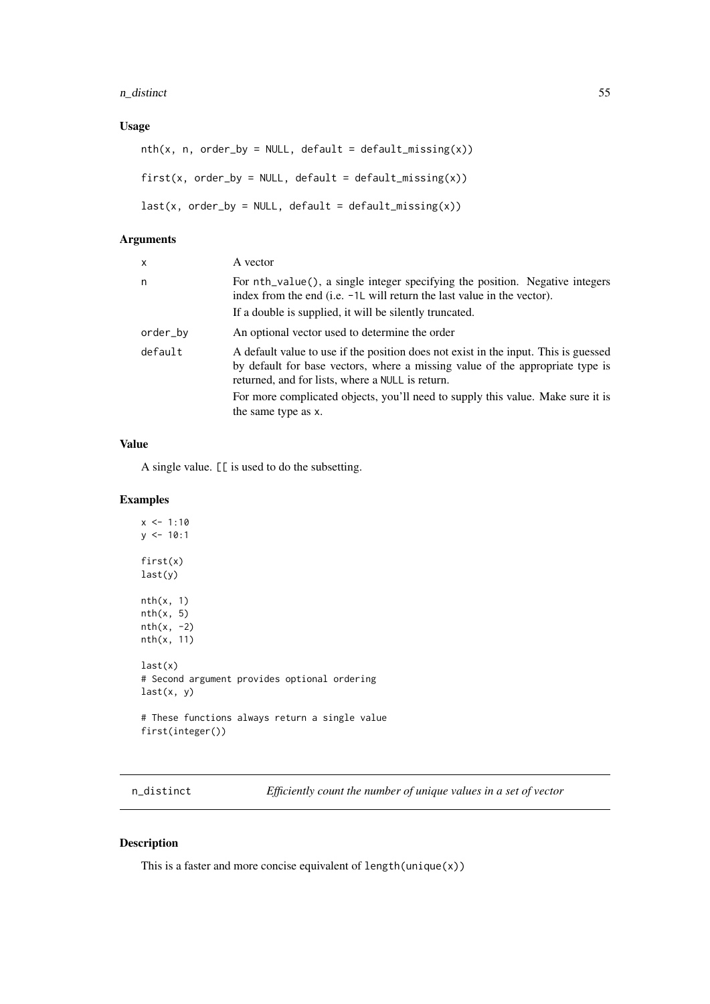#### n\_distinct 55

# Usage

```
nth(x, n, order_by = NULL, default = default\_missing(x))first(x, order_by = NULL, default = default_missing(x))
last(x, order_by = NULL, default = default\_missing(x))
```
## Arguments

| $\mathsf{x}$ | A vector                                                                                                                                                                                                                 |
|--------------|--------------------------------------------------------------------------------------------------------------------------------------------------------------------------------------------------------------------------|
| n            | For nth_value(), a single integer specifying the position. Negative integers<br>index from the end (i.e. -1L will return the last value in the vector).                                                                  |
|              | If a double is supplied, it will be silently truncated.                                                                                                                                                                  |
| order_by     | An optional vector used to determine the order                                                                                                                                                                           |
| default      | A default value to use if the position does not exist in the input. This is guessed<br>by default for base vectors, where a missing value of the appropriate type is<br>returned, and for lists, where a NULL is return. |
|              | For more complicated objects, you'll need to supply this value. Make sure it is<br>the same type as x.                                                                                                                   |

# Value

A single value. [[ is used to do the subsetting.

## Examples

```
x < -1:10y \le -10:1first(x)
last(y)
nth(x, 1)nth(x, 5)
nth(x, -2)nth(x, 11)
last(x)
# Second argument provides optional ordering
last(x, y)
# These functions always return a single value
first(integer())
```
n\_distinct *Efficiently count the number of unique values in a set of vector*

### Description

This is a faster and more concise equivalent of length(unique(x))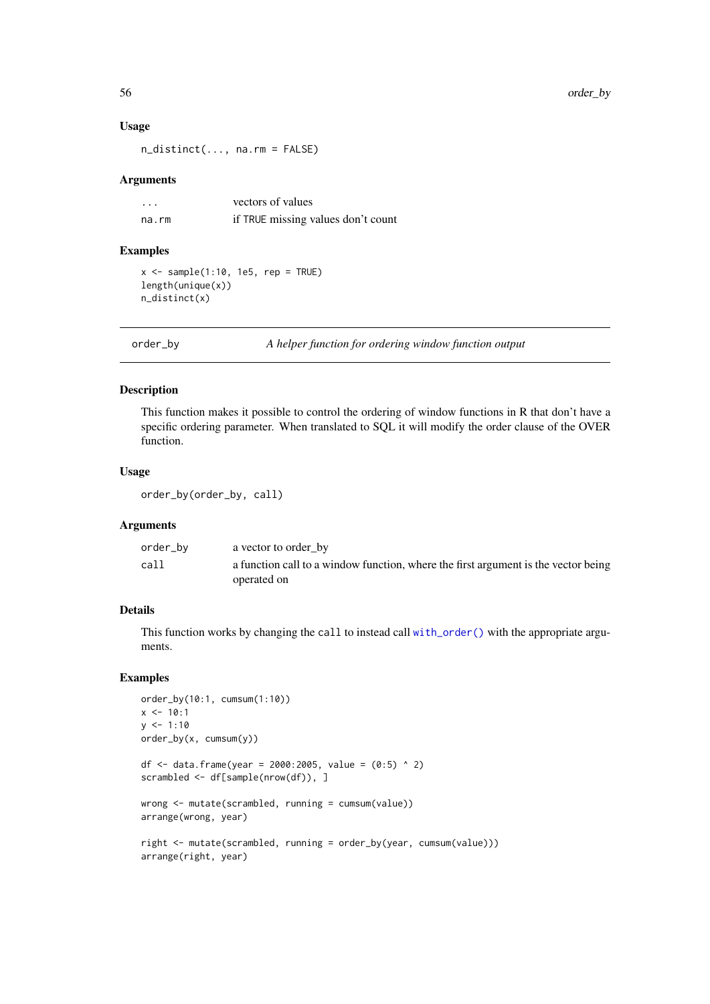### Usage

n\_distinct(..., na.rm = FALSE)

#### Arguments

| .     | vectors of values                  |
|-------|------------------------------------|
| na.rm | if TRUE missing values don't count |

#### Examples

```
x \leq - sample(1:10, 1e5, rep = TRUE)
length(unique(x))
n_distinct(x)
```
order\_by *A helper function for ordering window function output*

#### Description

This function makes it possible to control the ordering of window functions in R that don't have a specific ordering parameter. When translated to SQL it will modify the order clause of the OVER function.

#### Usage

```
order_by(order_by, call)
```
### Arguments

| order_bv | a vector to order by                                                               |
|----------|------------------------------------------------------------------------------------|
| call     | a function call to a window function, where the first argument is the vector being |
|          | operated on                                                                        |

### Details

This function works by changing the call to instead call [with\\_order\(\)](#page-0-0) with the appropriate arguments.

```
order_by(10:1, cumsum(1:10))
x \le -10:1y \le -1:10order_by(x, cumsum(y))
df <- data.frame(year = 2000:2005, value = (0:5) ^ 2)
scrambled <- df[sample(nrow(df)), ]
wrong <- mutate(scrambled, running = cumsum(value))
arrange(wrong, year)
right <- mutate(scrambled, running = order_by(year, cumsum(value)))
arrange(right, year)
```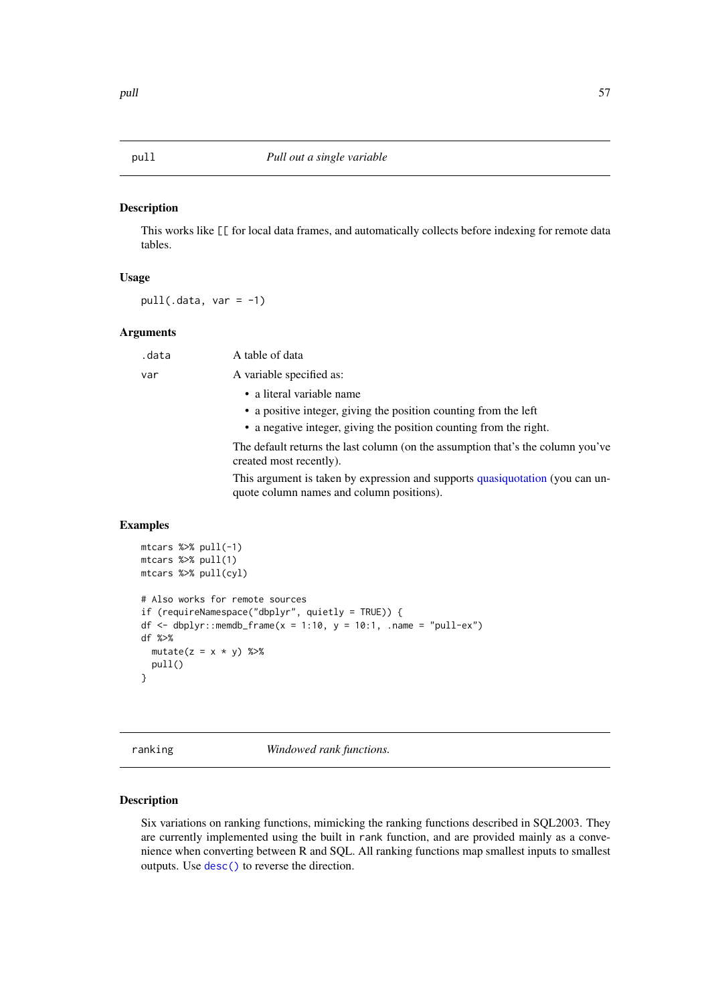## Description

This works like [[ for local data frames, and automatically collects before indexing for remote data tables.

### Usage

 $pull(.data, var = -1)$ 

## Arguments

| .data | A table of data                                                                                                            |
|-------|----------------------------------------------------------------------------------------------------------------------------|
| var   | A variable specified as:                                                                                                   |
|       | • a literal variable name                                                                                                  |
|       | • a positive integer, giving the position counting from the left                                                           |
|       | • a negative integer, giving the position counting from the right.                                                         |
|       | The default returns the last column (on the assumption that's the column you've<br>created most recently).                 |
|       | This argument is taken by expression and supports quasiquotation (you can un-<br>quote column names and column positions). |

### Examples

```
mtcars %>% pull(-1)
mtcars %>% pull(1)
mtcars %>% pull(cyl)
# Also works for remote sources
if (requireNamespace("dbplyr", quietly = TRUE)) {
df \le dbplyr::memdb_frame(x = 1:10, y = 10:1, .name = "pull-ex")
df %>%
  mutate(z = x * y) %pull()
}
```
ranking *Windowed rank functions.*

### <span id="page-56-0"></span>Description

Six variations on ranking functions, mimicking the ranking functions described in SQL2003. They are currently implemented using the built in rank function, and are provided mainly as a convenience when converting between R and SQL. All ranking functions map smallest inputs to smallest outputs. Use [desc\(\)](#page-19-0) to reverse the direction.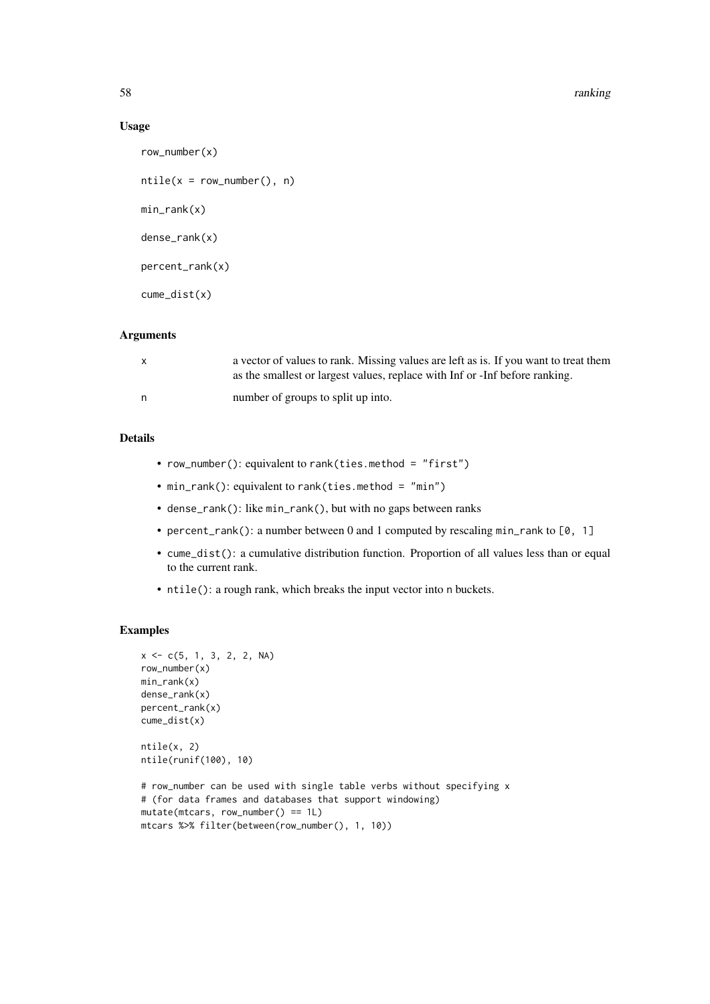58 ranking the state of the state of the state of the state of the state of the state of the state of the state of the state of the state of the state of the state of the state of the state of the state of the state of the

## Usage

```
row_number(x)
ntile(x = row_number(), n)min_rank(x)
dense_rank(x)
percent_rank(x)
cume_dist(x)
```
### Arguments

|   | a vector of values to rank. Missing values are left as is. If you want to treat them<br>as the smallest or largest values, replace with Inf or -Inf before ranking. |
|---|---------------------------------------------------------------------------------------------------------------------------------------------------------------------|
| n | number of groups to split up into.                                                                                                                                  |

# Details

- row\_number(): equivalent to rank(ties.method = "first")
- min\_rank(): equivalent to rank(ties.method = "min")
- dense\_rank(): like min\_rank(), but with no gaps between ranks
- percent\_rank(): a number between 0 and 1 computed by rescaling min\_rank to [0, 1]
- cume\_dist(): a cumulative distribution function. Proportion of all values less than or equal to the current rank.
- ntile(): a rough rank, which breaks the input vector into n buckets.

```
x \leq -c(5, 1, 3, 2, 2, NA)row_number(x)
min_rank(x)
dense_rank(x)
percent_rank(x)
cume_dist(x)
ntile(x, 2)
ntile(runif(100), 10)
# row_number can be used with single table verbs without specifying x
# (for data frames and databases that support windowing)
mutate(mtcars, row_number() == 1L)
mtcars %>% filter(between(row_number(), 1, 10))
```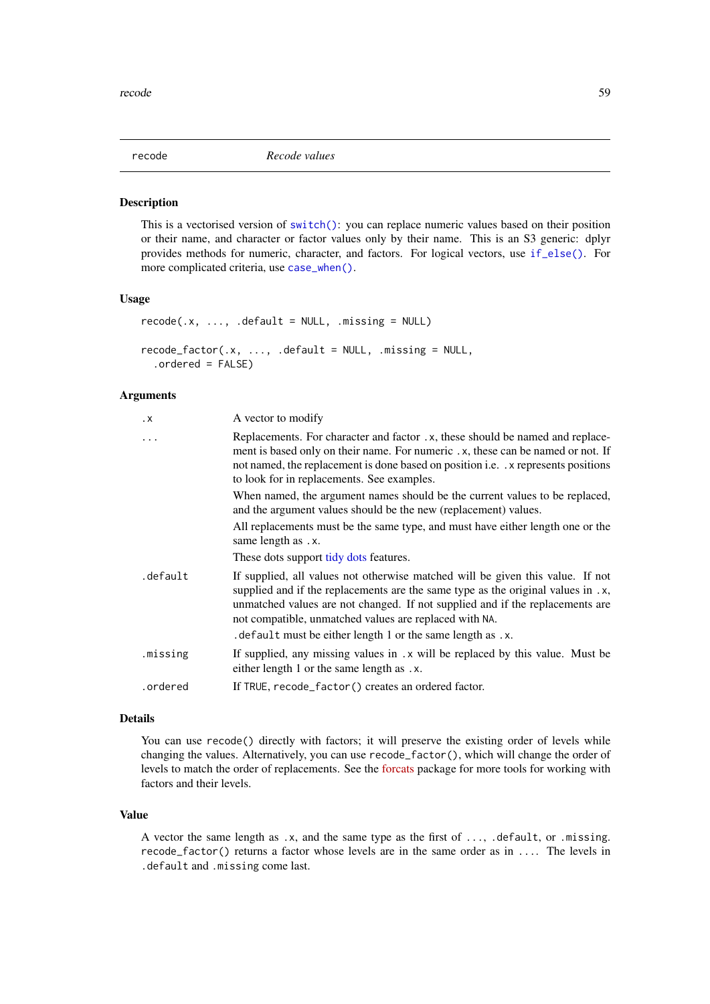<span id="page-58-0"></span>

## Description

This is a vectorised version of [switch\(\)](#page-0-0): you can replace numeric values based on their position or their name, and character or factor values only by their name. This is an S3 generic: dplyr provides methods for numeric, character, and factors. For logical vectors, use [if\\_else\(\)](#page-40-0). For more complicated criteria, use [case\\_when\(\)](#page-12-0).

# Usage

```
recode(x, ..., .default = NULL, .missing = NULL)recode_factor(.x, ..., .default = NULL, .missing = NULL,
  .ordered = FALSE)
```
### Arguments

| $\cdot$ X | A vector to modify                                                                                                                                                                                                                                                                                            |
|-----------|---------------------------------------------------------------------------------------------------------------------------------------------------------------------------------------------------------------------------------------------------------------------------------------------------------------|
| .         | Replacements. For character and factor .x, these should be named and replace-<br>ment is based only on their name. For numeric . x, these can be named or not. If<br>not named, the replacement is done based on position i.e. x represents positions<br>to look for in replacements. See examples.           |
|           | When named, the argument names should be the current values to be replaced,<br>and the argument values should be the new (replacement) values.                                                                                                                                                                |
|           | All replacements must be the same type, and must have either length one or the<br>same length as .x.                                                                                                                                                                                                          |
|           | These dots support tidy dots features.                                                                                                                                                                                                                                                                        |
| .default  | If supplied, all values not otherwise matched will be given this value. If not<br>supplied and if the replacements are the same type as the original values in .x,<br>unmatched values are not changed. If not supplied and if the replacements are<br>not compatible, unmatched values are replaced with NA. |
|           | . default must be either length 1 or the same length as .x.                                                                                                                                                                                                                                                   |
| .missing  | If supplied, any missing values in .x will be replaced by this value. Must be<br>either length 1 or the same length as .x.                                                                                                                                                                                    |
| .ordered  | If TRUE, recode_factor() creates an ordered factor.                                                                                                                                                                                                                                                           |
|           |                                                                                                                                                                                                                                                                                                               |

### Details

You can use recode() directly with factors; it will preserve the existing order of levels while changing the values. Alternatively, you can use recode\_factor(), which will change the order of levels to match the order of replacements. See the [forcats](http://forcats.tidyverse.org/) package for more tools for working with factors and their levels.

### Value

A vector the same length as .x, and the same type as the first of ..., .default, or .missing. recode\_factor() returns a factor whose levels are in the same order as in .... The levels in .default and .missing come last.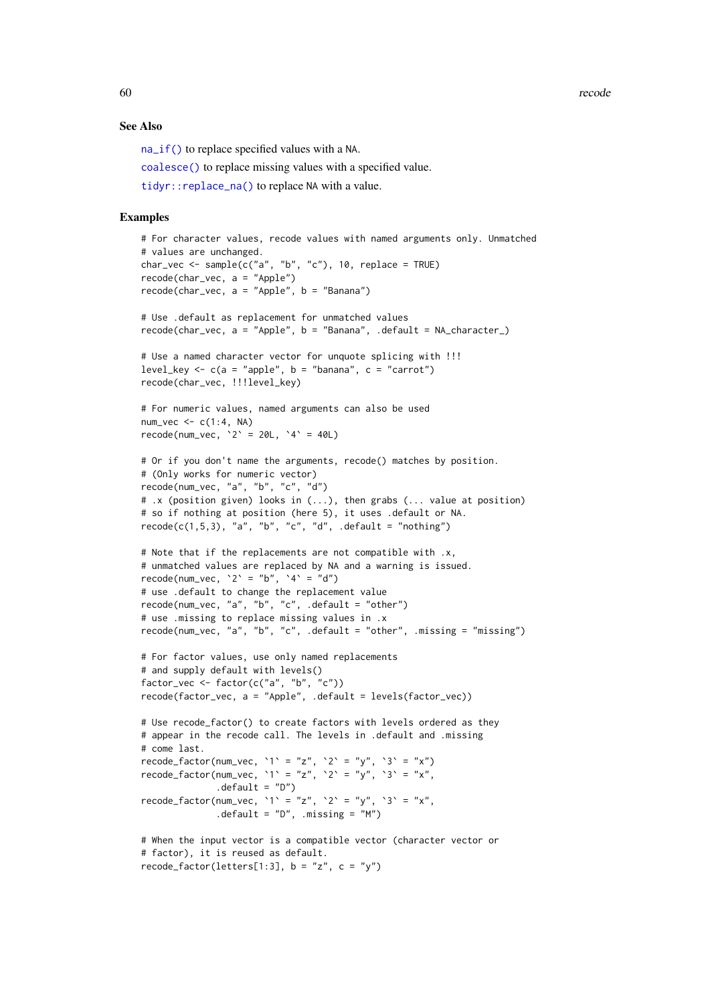60 recode

#### See Also

[na\\_if\(\)](#page-50-0) to replace specified values with a NA.

[coalesce\(\)](#page-15-0) to replace missing values with a specified value.

[tidyr::replace\\_na\(\)](#page-0-0) to replace NA with a value.

```
# For character values, recode values with named arguments only. Unmatched
# values are unchanged.
char_vec <- sample(c("a", "b", "c"), 10, replace = TRUE)
recode(char_vec, a = "Apple")
recode(char_vec, a = "Apple", b = "Banana")
# Use .default as replacement for unmatched values
recode(char_vec, a = "Apple", b = "Banana", .default = NA_character_)
# Use a named character vector for unquote splicing with !!!
level_key <- c(a = "apple", b = "banana", c = "carrot")recode(char_vec, !!!level_key)
# For numeric values, named arguments can also be used
num\_vec \leftarrow c(1:4, NA)recode(num_vec, 2' = 20L, 4' = 40L)
# Or if you don't name the arguments, recode() matches by position.
# (Only works for numeric vector)
recode(num_vec, "a", "b", "c", "d")
# .x (position given) looks in (...), then grabs (... value at position)
# so if nothing at position (here 5), it uses .default or NA.
recode(c(1,5,3), "a", "b", "c", "d", .default = "nothing")# Note that if the replacements are not compatible with .x,
# unmatched values are replaced by NA and a warning is issued.
recode(num_vec, '2' = "b", '4' = "d")
# use .default to change the replacement value
recode(num_vec, "a", "b", "c", .default = "other")
# use .missing to replace missing values in .x
recode(num_vec, "a", "b", "c", .default = "other", .missing = "missing")
# For factor values, use only named replacements
# and supply default with levels()
factor_vec <- factor(c("a", "b", "c"))
recode(factor_vec, a = "Apple", .default = levels(factor_vec))
# Use recode_factor() to create factors with levels ordered as they
# appear in the recode call. The levels in .default and .missing
# come last.
recode_factor(num_vec, `1` = "z", `2` = "y", `3` = "x")
recode_factor(num_vec, `1` = "z", `2` = "y", `3` = "x",
              .default = "D")
recode_factor(num_vec, `1` = "z", `2` = "y", `3` = "x".
              .default = "D", .missing = "M")
# When the input vector is a compatible vector (character vector or
# factor), it is reused as default.
recode_factor(letters[1:3], b = "z", c = "y")
```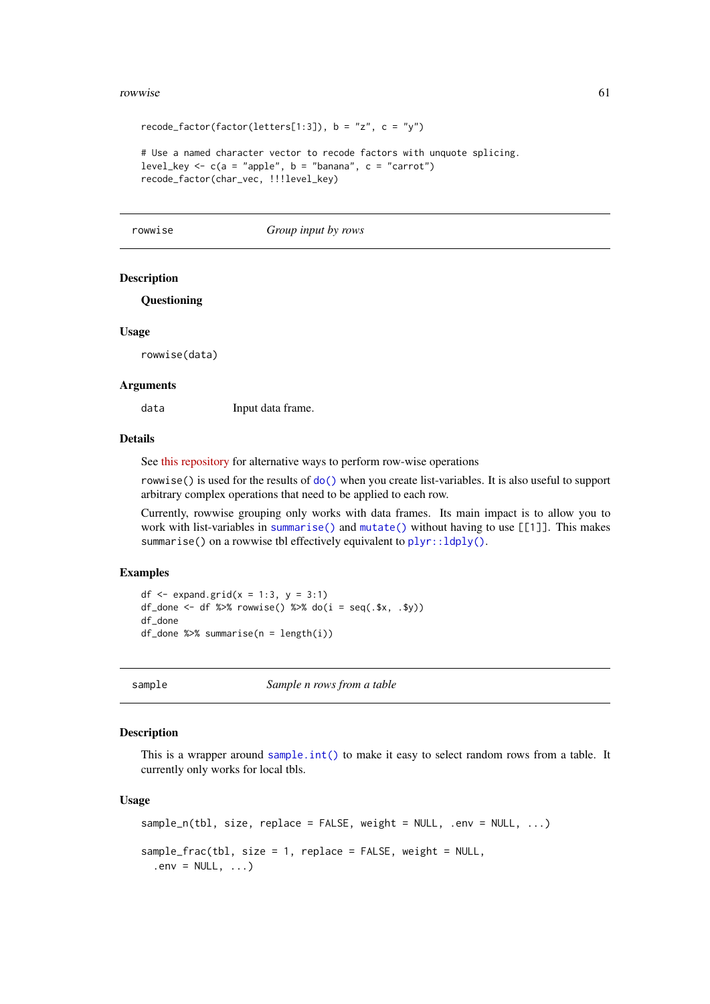#### rowwise 61

```
recode_factor(factor(letters[1:3]), b = "z", c = "y")
```

```
# Use a named character vector to recode factors with unquote splicing.
level_key <- c(a = "apple", b = "banana", c = "carrot")recode_factor(char_vec, !!!level_key)
```
rowwise *Group input by rows*

### Description

### **Questioning**

### Usage

rowwise(data)

### Arguments

data Input data frame.

# Details

See [this repository](https://github.com/jennybc/row-oriented-workflows) for alternative ways to perform row-wise operations

rowwise() is used for the results of [do\(\)](#page-22-0) when you create list-variables. It is also useful to support arbitrary complex operations that need to be applied to each row.

Currently, rowwise grouping only works with data frames. Its main impact is to allow you to work with list-variables in [summarise\(\)](#page-74-0) and [mutate\(\)](#page-44-0) without having to use [[1]]. This makes summarise() on a rowwise tbl effectively equivalent to  $plyr::ldply()$ .

### Examples

```
df \le expand.grid(x = 1:3, y = 3:1)
df_done <- df %>% rowwise() %>% do(i = seq(.$x, .$y))
df_done
df_done %>% summarise(n = length(i))
```
sample *Sample n rows from a table*

### Description

This is a wrapper around [sample.int\(\)](#page-0-0) to make it easy to select random rows from a table. It currently only works for local tbls.

# Usage

```
sample_n(tbl, size, replace = FALSE, weight = NULL, .env = NULL, . . .)sample_frac(tbl, size = 1, replace = FALSE, weight = NULL,
  env = NULL, ...
```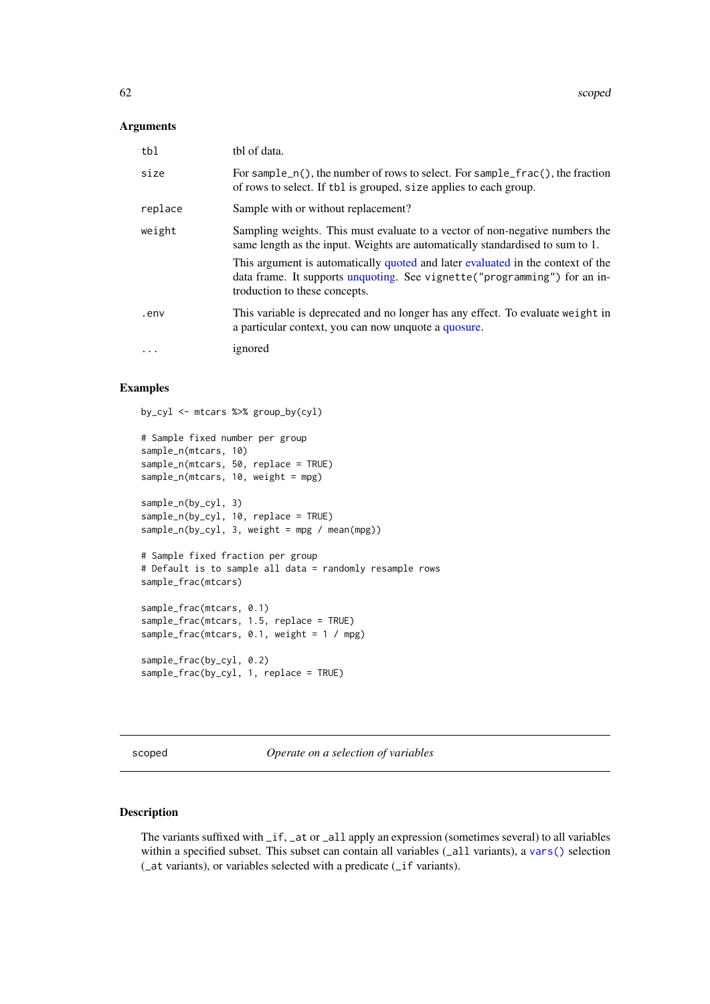## Arguments

| tbl       | tbl of data.                                                                                                                                                                                   |
|-----------|------------------------------------------------------------------------------------------------------------------------------------------------------------------------------------------------|
| size      | For sample $_n()$ , the number of rows to select. For sample $frac()$ , the fraction<br>of rows to select. If the is grouped, size applies to each group.                                      |
| replace   | Sample with or without replacement?                                                                                                                                                            |
| weight    | Sampling weights. This must evaluate to a vector of non-negative numbers the<br>same length as the input. Weights are automatically standardised to sum to 1.                                  |
|           | This argument is automatically quoted and later evaluated in the context of the<br>data frame. It supports unquoting. See vignette ("programming") for an in-<br>troduction to these concepts. |
| .env      | This variable is deprecated and no longer has any effect. To evaluate weight in<br>a particular context, you can now unquote a quosure.                                                        |
| $\ddotsc$ | ignored                                                                                                                                                                                        |

# Examples

by\_cyl <- mtcars %>% group\_by(cyl) # Sample fixed number per group sample\_n(mtcars, 10) sample\_n(mtcars, 50, replace = TRUE) sample\_n(mtcars, 10, weight = mpg) sample\_n(by\_cyl, 3) sample\_n(by\_cyl, 10, replace = TRUE) sample\_n(by\_cyl, 3, weight = mpg / mean(mpg)) # Sample fixed fraction per group # Default is to sample all data = randomly resample rows sample\_frac(mtcars) sample\_frac(mtcars, 0.1) sample\_frac(mtcars, 1.5, replace = TRUE) sample\_frac(mtcars, 0.1, weight = 1 / mpg) sample\_frac(by\_cyl, 0.2) sample\_frac(by\_cyl, 1, replace = TRUE)

<span id="page-61-0"></span>scoped *Operate on a selection of variables*

### Description

The variants suffixed with \_if, \_at or \_all apply an expression (sometimes several) to all variables within a specified subset. This subset can contain all variables (\_all variants), a [vars\(\)](#page-83-0) selection (\_at variants), or variables selected with a predicate (\_if variants).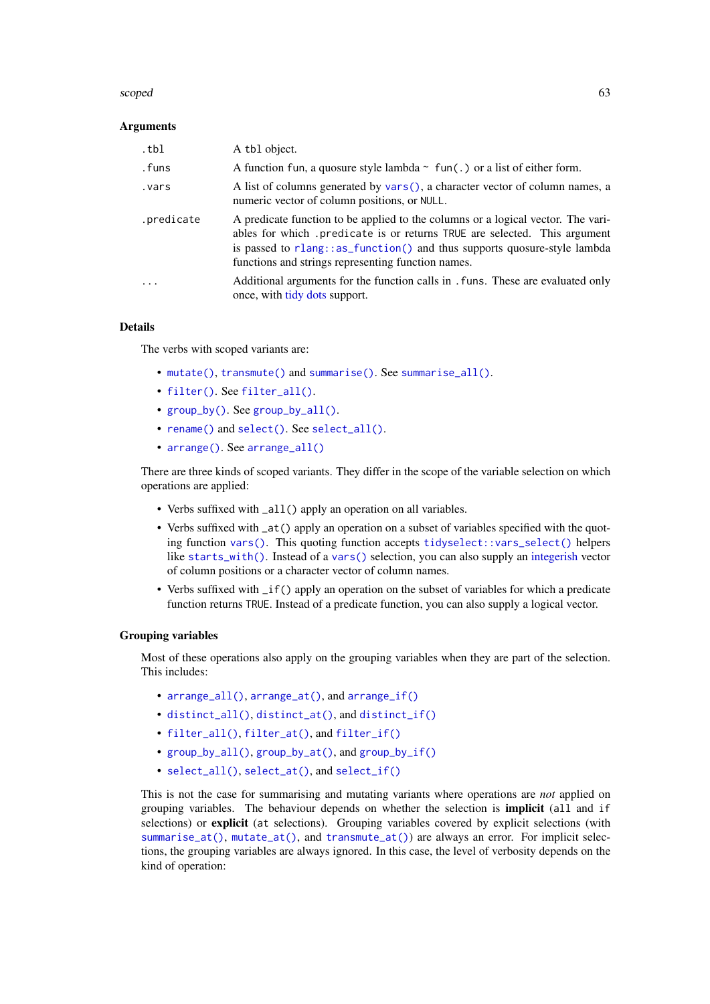#### scoped 63

### Arguments

| .tbl       | A tbl object.                                                                                                                                                                                                                                                                                  |
|------------|------------------------------------------------------------------------------------------------------------------------------------------------------------------------------------------------------------------------------------------------------------------------------------------------|
| .funs      | A function fun, a quosure style lambda $\sim$ fun(.) or a list of either form.                                                                                                                                                                                                                 |
| vars.      | A list of columns generated by vars(), a character vector of column names, a<br>numeric vector of column positions, or NULL.                                                                                                                                                                   |
| .predicate | A predicate function to be applied to the columns or a logical vector. The vari-<br>ables for which predicate is or returns TRUE are selected. This argument<br>is passed to rlang::as_function() and thus supports quosure-style lambda<br>functions and strings representing function names. |
| $\ddotsc$  | Additional arguments for the function calls in . funs. These are evaluated only<br>once, with tidy dots support.                                                                                                                                                                               |

#### Details

The verbs with scoped variants are:

- [mutate\(\)](#page-44-0), [transmute\(\)](#page-44-1) and [summarise\(\)](#page-74-0). See [summarise\\_all\(\)](#page-75-0).
- [filter\(\)](#page-25-0). See [filter\\_all\(\)](#page-27-0).
- [group\\_by\(\)](#page-30-0). See [group\\_by\\_all\(\)](#page-32-0).
- [rename\(\)](#page-63-1) and [select\(\)](#page-63-0). See [select\\_all\(\)](#page-65-0).
- [arrange\(\)](#page-5-0). See [arrange\\_all\(\)](#page-6-0)

There are three kinds of scoped variants. They differ in the scope of the variable selection on which operations are applied:

- Verbs suffixed with \_all() apply an operation on all variables.
- Verbs suffixed with  $at()$  apply an operation on a subset of variables specified with the quoting function [vars\(\)](#page-83-0). This quoting function accepts [tidyselect::vars\\_select\(\)](#page-0-0) helpers like [starts\\_with\(\)](#page-0-0). Instead of a [vars\(\)](#page-83-0) selection, you can also supply an [integerish](#page-0-0) vector of column positions or a character vector of column names.
- Verbs suffixed with  $if()$  apply an operation on the subset of variables for which a predicate function returns TRUE. Instead of a predicate function, you can also supply a logical vector.

### Grouping variables

Most of these operations also apply on the grouping variables when they are part of the selection. This includes:

- [arrange\\_all\(\)](#page-6-0), [arrange\\_at\(\)](#page-6-1), and [arrange\\_if\(\)](#page-6-1)
- [distinct\\_all\(\)](#page-21-0), [distinct\\_at\(\)](#page-21-1), and [distinct\\_if\(\)](#page-21-1)
- [filter\\_all\(\)](#page-27-0), [filter\\_at\(\)](#page-27-1), and [filter\\_if\(\)](#page-27-1)
- [group\\_by\\_all\(\)](#page-32-0), [group\\_by\\_at\(\)](#page-32-1), and [group\\_by\\_if\(\)](#page-32-1)
- [select\\_all\(\)](#page-65-0), [select\\_at\(\)](#page-65-1), and [select\\_if\(\)](#page-65-1)

This is not the case for summarising and mutating variants where operations are *not* applied on grouping variables. The behaviour depends on whether the selection is implicit (all and if selections) or **explicit** (at selections). Grouping variables covered by explicit selections (with [summarise\\_at\(\)](#page-75-1), [mutate\\_at\(\)](#page-46-1), and [transmute\\_at\(\)](#page-46-1)) are always an error. For implicit selections, the grouping variables are always ignored. In this case, the level of verbosity depends on the kind of operation: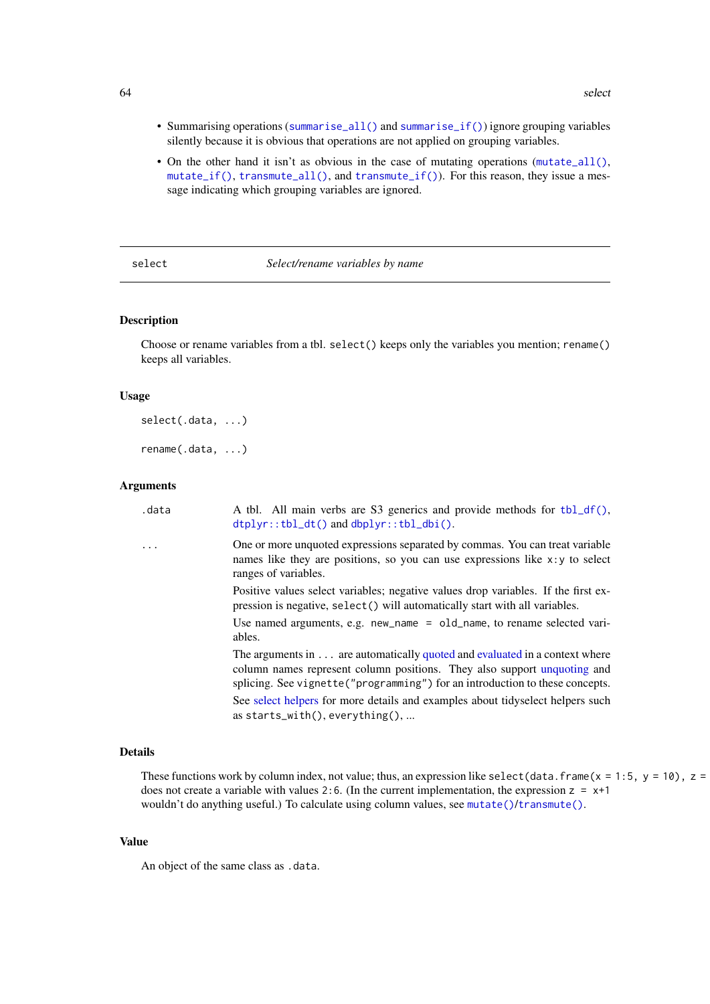- Summarising operations ([summarise\\_all\(\)](#page-75-0) and [summarise\\_if\(\)](#page-75-1)) ignore grouping variables silently because it is obvious that operations are not applied on grouping variables.
- On the other hand it isn't as obvious in the case of mutating operations ([mutate\\_all\(\)](#page-46-0), [mutate\\_if\(\)](#page-46-1), [transmute\\_all\(\)](#page-46-1), and [transmute\\_if\(\)](#page-46-1)). For this reason, they issue a message indicating which grouping variables are ignored.

#### <span id="page-63-0"></span>select *Select/rename variables by name*

### <span id="page-63-1"></span>Description

Choose or rename variables from a tbl. select() keeps only the variables you mention; rename() keeps all variables.

#### Usage

```
select(.data, ...)
```
rename(.data, ...)

#### Arguments

| One or more unquoted expressions separated by commas. You can treat variable<br>$\cdot$ $\cdot$ $\cdot$<br>names like they are positions, so you can use expressions like $x : y$ to select<br>ranges of variables.<br>Positive values select variables; negative values drop variables. If the first ex-<br>pression is negative, select () will automatically start with all variables.<br>Use named arguments, e.g. new_name $=$ old_name, to rename selected vari-<br>ables.<br>The arguments in are automatically quoted and evaluated in a context where<br>column names represent column positions. They also support unquoting and<br>splicing. See vignette ("programming") for an introduction to these concepts.<br>See select helpers for more details and examples about tidyselect helpers such<br>as starts_with(), everything(), | .data | A tbl. All main verbs are S3 generics and provide methods for tbl_df(),<br>$dtplyr::tbl_dt()$ and $dbplyr::tbl_dbi()$ . |
|--------------------------------------------------------------------------------------------------------------------------------------------------------------------------------------------------------------------------------------------------------------------------------------------------------------------------------------------------------------------------------------------------------------------------------------------------------------------------------------------------------------------------------------------------------------------------------------------------------------------------------------------------------------------------------------------------------------------------------------------------------------------------------------------------------------------------------------------------|-------|-------------------------------------------------------------------------------------------------------------------------|
|                                                                                                                                                                                                                                                                                                                                                                                                                                                                                                                                                                                                                                                                                                                                                                                                                                                  |       |                                                                                                                         |
|                                                                                                                                                                                                                                                                                                                                                                                                                                                                                                                                                                                                                                                                                                                                                                                                                                                  |       |                                                                                                                         |
|                                                                                                                                                                                                                                                                                                                                                                                                                                                                                                                                                                                                                                                                                                                                                                                                                                                  |       |                                                                                                                         |
|                                                                                                                                                                                                                                                                                                                                                                                                                                                                                                                                                                                                                                                                                                                                                                                                                                                  |       |                                                                                                                         |
|                                                                                                                                                                                                                                                                                                                                                                                                                                                                                                                                                                                                                                                                                                                                                                                                                                                  |       |                                                                                                                         |

# Details

These functions work by column index, not value; thus, an expression like select (data.frame(x = 1:5, y = 10), z = does not create a variable with values 2:6. (In the current implementation, the expression  $z = x+1$ wouldn't do anything useful.) To calculate using column values, see [mutate\(\)](#page-44-0)/[transmute\(\)](#page-44-1).

# Value

An object of the same class as .data.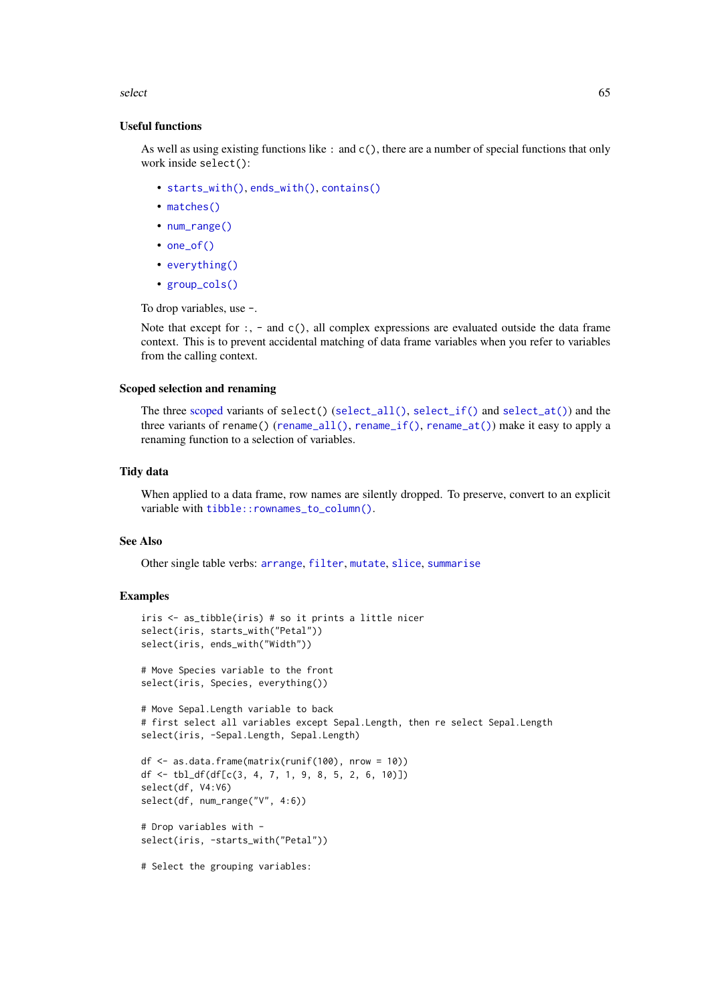#### select 65

### Useful functions

As well as using existing functions like : and c(), there are a number of special functions that only work inside select():

- [starts\\_with\(\)](#page-0-0), [ends\\_with\(\)](#page-0-0), [contains\(\)](#page-0-0)
- [matches\(\)](#page-0-0)
- [num\\_range\(\)](#page-0-0)
- [one\\_of\(\)](#page-0-0)
- [everything\(\)](#page-0-0)
- [group\\_cols\(\)](#page-33-0)

To drop variables, use -.

Note that except for :, - and  $c()$ , all complex expressions are evaluated outside the data frame context. This is to prevent accidental matching of data frame variables when you refer to variables from the calling context.

## Scoped selection and renaming

The three [scoped](#page-61-0) variants of select() ([select\\_all\(\)](#page-65-0), [select\\_if\(\)](#page-65-1) and [select\\_at\(\)](#page-65-1)) and the three variants of rename() ([rename\\_all\(\)](#page-65-1), [rename\\_if\(\)](#page-65-1), [rename\\_at\(\)](#page-65-1)) make it easy to apply a renaming function to a selection of variables.

### Tidy data

When applied to a data frame, row names are silently dropped. To preserve, convert to an explicit variable with [tibble::rownames\\_to\\_column\(\)](#page-0-0).

#### See Also

Other single table verbs: [arrange](#page-5-0), [filter](#page-25-0), [mutate](#page-44-0), [slice](#page-68-0), [summarise](#page-74-0)

```
iris <- as_tibble(iris) # so it prints a little nicer
select(iris, starts_with("Petal"))
select(iris, ends_with("Width"))
# Move Species variable to the front
select(iris, Species, everything())
# Move Sepal.Length variable to back
# first select all variables except Sepal.Length, then re select Sepal.Length
select(iris, -Sepal.Length, Sepal.Length)
df <- as.data.frame(matrix(runif(100), nrow = 10))
df <- tbl_df(df[c(3, 4, 7, 1, 9, 8, 5, 2, 6, 10)])
select(df, V4:V6)
select(df, num_range("V", 4:6))
# Drop variables with -
select(iris, -starts_with("Petal"))
# Select the grouping variables:
```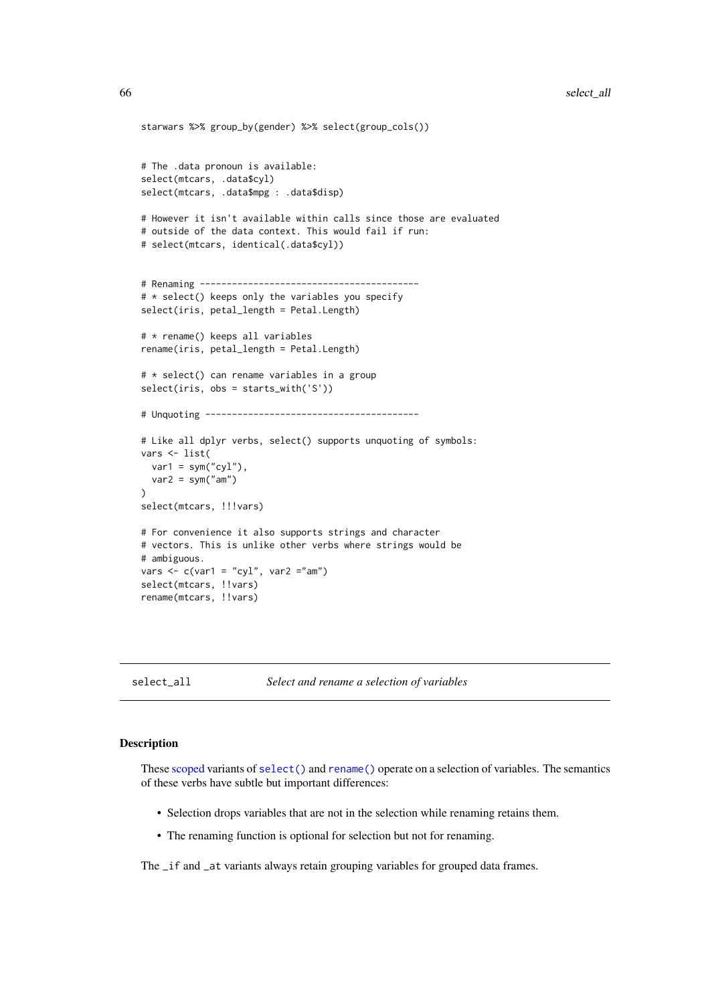```
starwars %>% group_by(gender) %>% select(group_cols())
# The .data pronoun is available:
select(mtcars, .data$cyl)
select(mtcars, .data$mpg : .data$disp)
# However it isn't available within calls since those are evaluated
# outside of the data context. This would fail if run:
# select(mtcars, identical(.data$cyl))
# Renaming -----------------------------------------
# * select() keeps only the variables you specify
select(iris, petal_length = Petal.Length)
# * rename() keeps all variables
rename(iris, petal_length = Petal.Length)
# * select() can rename variables in a group
select(iris, obs = starts_with('S'))
# Unquoting ----------------------------------------
# Like all dplyr verbs, select() supports unquoting of symbols:
vars <- list(
 var1 = sym("cyl"),
  var2 = sym("am")\lambdaselect(mtcars, !!!vars)
# For convenience it also supports strings and character
# vectors. This is unlike other verbs where strings would be
# ambiguous.
vars \leq c(var1 = "cyl", var2 ="am")
select(mtcars, !!vars)
rename(mtcars, !!vars)
```
<span id="page-65-0"></span>

select\_all *Select and rename a selection of variables*

# <span id="page-65-1"></span>Description

These [scoped](#page-61-0) variants of [select\(\)](#page-63-0) and [rename\(\)](#page-63-1) operate on a selection of variables. The semantics of these verbs have subtle but important differences:

- Selection drops variables that are not in the selection while renaming retains them.
- The renaming function is optional for selection but not for renaming.

The \_if and \_at variants always retain grouping variables for grouped data frames.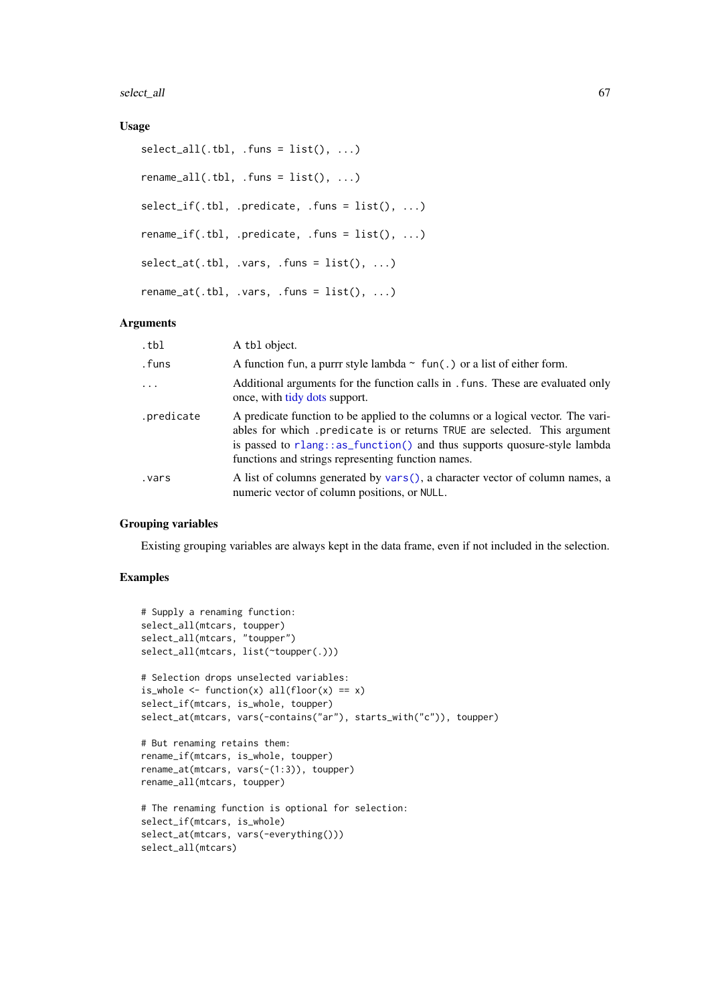select\_all 67

### Usage

```
select\_all(.th1, .funs = list(), ...)rename_all(.tbl, .funs = list(), ...)
select_i f(.thl, .predicate, .funs = list(), . . .)rename_if(.tbl, .predicate, .funs = list(), ...)
select_at(.th1, .vars, .funs = list(), ...)rename_at(.tbl, .vars, .funs = list(), ...)
```
### Arguments

| .tbl       | A tbl object.                                                                                                                                                                                                                                                                                   |
|------------|-------------------------------------------------------------------------------------------------------------------------------------------------------------------------------------------------------------------------------------------------------------------------------------------------|
| .funs      | A function fun, a purrr style lambda $\sim$ fun(.) or a list of either form.                                                                                                                                                                                                                    |
| $\ddots$   | Additional arguments for the function calls in . funs. These are evaluated only<br>once, with tidy dots support.                                                                                                                                                                                |
| .predicate | A predicate function to be applied to the columns or a logical vector. The vari-<br>ables for which .predicate is or returns TRUE are selected. This argument<br>is passed to rlang::as_function() and thus supports quosure-style lambda<br>functions and strings representing function names. |
| vars.      | A list of columns generated by vars(), a character vector of column names, a<br>numeric vector of column positions, or NULL.                                                                                                                                                                    |

#### Grouping variables

Existing grouping variables are always kept in the data frame, even if not included in the selection.

```
# Supply a renaming function:
select_all(mtcars, toupper)
select_all(mtcars, "toupper")
select_all(mtcars, list(~toupper(.)))
# Selection drops unselected variables:
is_whole \le function(x) all(floor(x) == x)
select_if(mtcars, is_whole, toupper)
select_at(mtcars, vars(-contains("ar"), starts_with("c")), toupper)
# But renaming retains them:
rename_if(mtcars, is_whole, toupper)
rename_at(mtcars, vars(-(1:3)), toupper)
rename_all(mtcars, toupper)
# The renaming function is optional for selection:
select_if(mtcars, is_whole)
select_at(mtcars, vars(-everything()))
select_all(mtcars)
```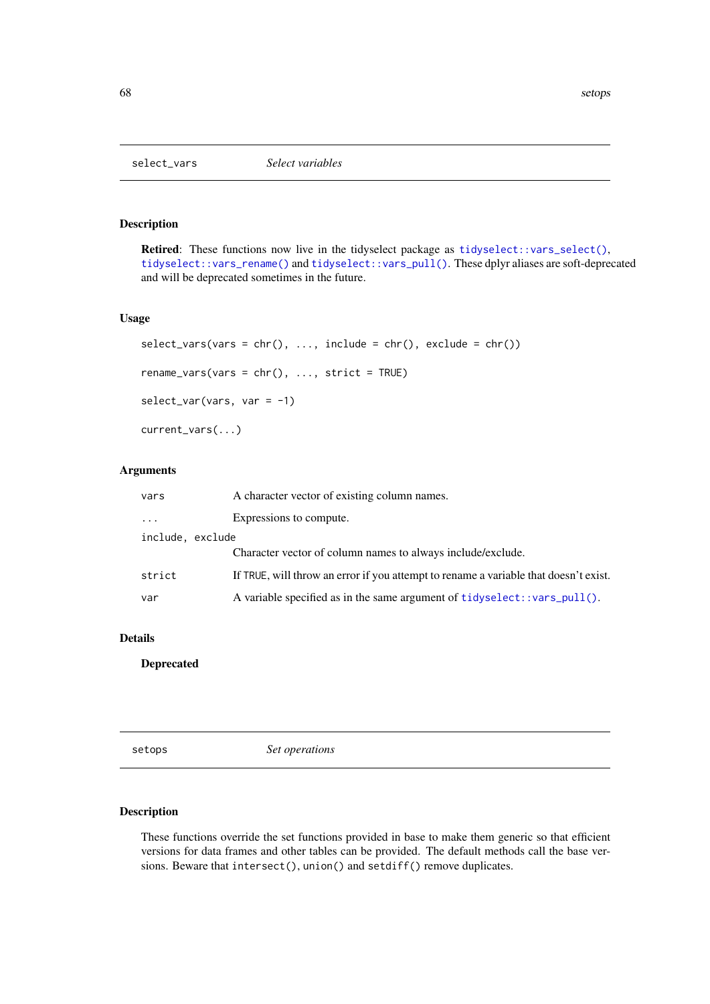## Description

Retired: These functions now live in the tidyselect package as [tidyselect::vars\\_select\(\)](#page-0-0), [tidyselect::vars\\_rename\(\)](#page-0-0) and [tidyselect::vars\\_pull\(\)](#page-0-0). These dplyr aliases are soft-deprecated and will be deprecated sometimes in the future.

## Usage

```
select\_vars(vars = chr(), ..., include = chr(), exclude = chr())rename_vars(vars = chr(), ..., strict = TRUE)
select\_var(vars, var = -1)current_vars(...)
```
## Arguments

| vars             | A character vector of existing column names.                                         |  |
|------------------|--------------------------------------------------------------------------------------|--|
| $\cdot$          | Expressions to compute.                                                              |  |
| include, exclude |                                                                                      |  |
|                  | Character vector of column names to always include/exclude.                          |  |
| strict           | If TRUE, will throw an error if you attempt to rename a variable that doesn't exist. |  |
| var              | A variable specified as in the same argument of tidyselect::vars_pull().             |  |

### Details

Deprecated

setops *Set operations*

## Description

These functions override the set functions provided in base to make them generic so that efficient versions for data frames and other tables can be provided. The default methods call the base versions. Beware that intersect(), union() and setdiff() remove duplicates.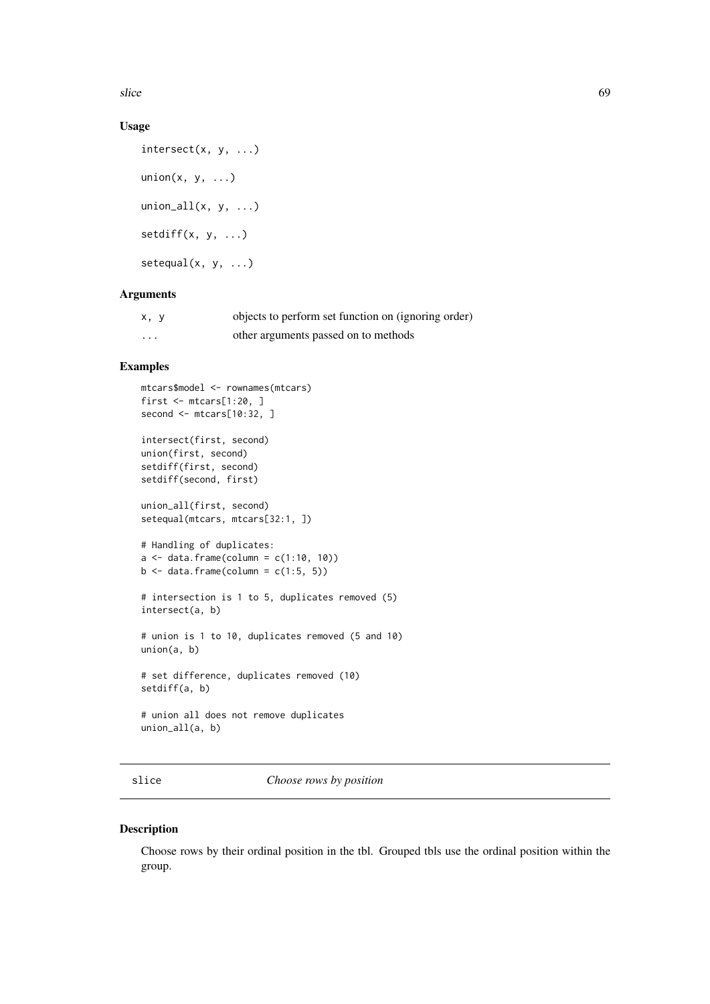slice 69

### Usage

```
intersect(x, y, ...)
union(x, y, \ldots)union_all(x, y, \ldots)setdiff(x, y, ...)
setequal(x, y, ...)
```
# Arguments

| x, y     | objects to perform set function on (ignoring order) |
|----------|-----------------------------------------------------|
| $\cdots$ | other arguments passed on to methods                |

### Examples

```
mtcars$model <- rownames(mtcars)
first <- mtcars[1:20, ]
second <- mtcars[10:32, ]
intersect(first, second)
union(first, second)
setdiff(first, second)
setdiff(second, first)
union_all(first, second)
setequal(mtcars, mtcars[32:1, ])
# Handling of duplicates:
a \leftarrow data . frame(colum = c(1:10, 10))b \leftarrow data-frame(colum = c(1:5, 5))# intersection is 1 to 5, duplicates removed (5)
intersect(a, b)
# union is 1 to 10, duplicates removed (5 and 10)
union(a, b)
# set difference, duplicates removed (10)
setdiff(a, b)
# union all does not remove duplicates
union_all(a, b)
```
<span id="page-68-0"></span>slice *Choose rows by position*

### Description

Choose rows by their ordinal position in the tbl. Grouped tbls use the ordinal position within the group.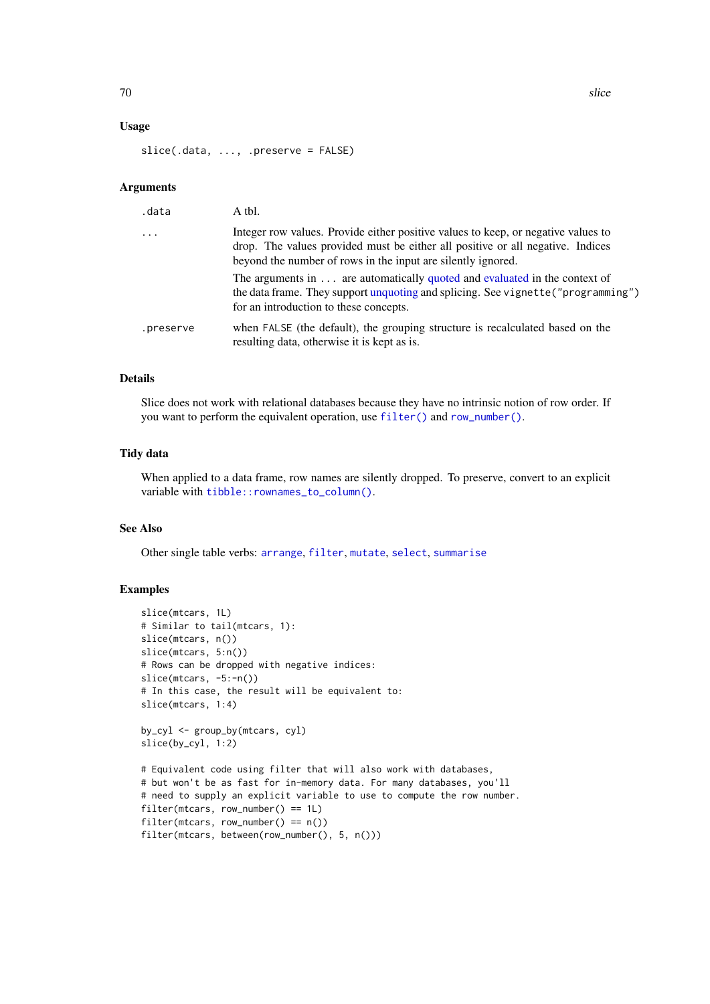### Usage

slice(.data, ..., .preserve = FALSE)

#### Arguments

| .data                   | A tbl.                                                                                                                                                                                                                              |
|-------------------------|-------------------------------------------------------------------------------------------------------------------------------------------------------------------------------------------------------------------------------------|
| $\cdot$ $\cdot$ $\cdot$ | Integer row values. Provide either positive values to keep, or negative values to<br>drop. The values provided must be either all positive or all negative. Indices<br>beyond the number of rows in the input are silently ignored. |
|                         | The arguments in  are automatically quoted and evaluated in the context of<br>the data frame. They support unquoting and splicing. See vignette ("programming")<br>for an introduction to these concepts.                           |
| .preserve               | when FALSE (the default), the grouping structure is recalculated based on the<br>resulting data, otherwise it is kept as is.                                                                                                        |

## Details

Slice does not work with relational databases because they have no intrinsic notion of row order. If you want to perform the equivalent operation, use [filter\(\)](#page-25-0) and [row\\_number\(\)](#page-56-0).

## Tidy data

When applied to a data frame, row names are silently dropped. To preserve, convert to an explicit variable with [tibble::rownames\\_to\\_column\(\)](#page-0-0).

## See Also

Other single table verbs: [arrange](#page-5-0), [filter](#page-25-0), [mutate](#page-44-0), [select](#page-63-0), [summarise](#page-74-0)

```
slice(mtcars, 1L)
# Similar to tail(mtcars, 1):
slice(mtcars, n())
slice(mtcars, 5:n())
# Rows can be dropped with negative indices:
slice(mtcars, -5:-n())
# In this case, the result will be equivalent to:
slice(mtcars, 1:4)
by_cyl <- group_by(mtcars, cyl)
slice(by_cyl, 1:2)
# Equivalent code using filter that will also work with databases,
# but won't be as fast for in-memory data. For many databases, you'll
# need to supply an explicit variable to use to compute the row number.
filter(mtcars, row_number() == 1L)
filter(mtcars, row_number() == n())
filter(mtcars, between(row_number(), 5, n()))
```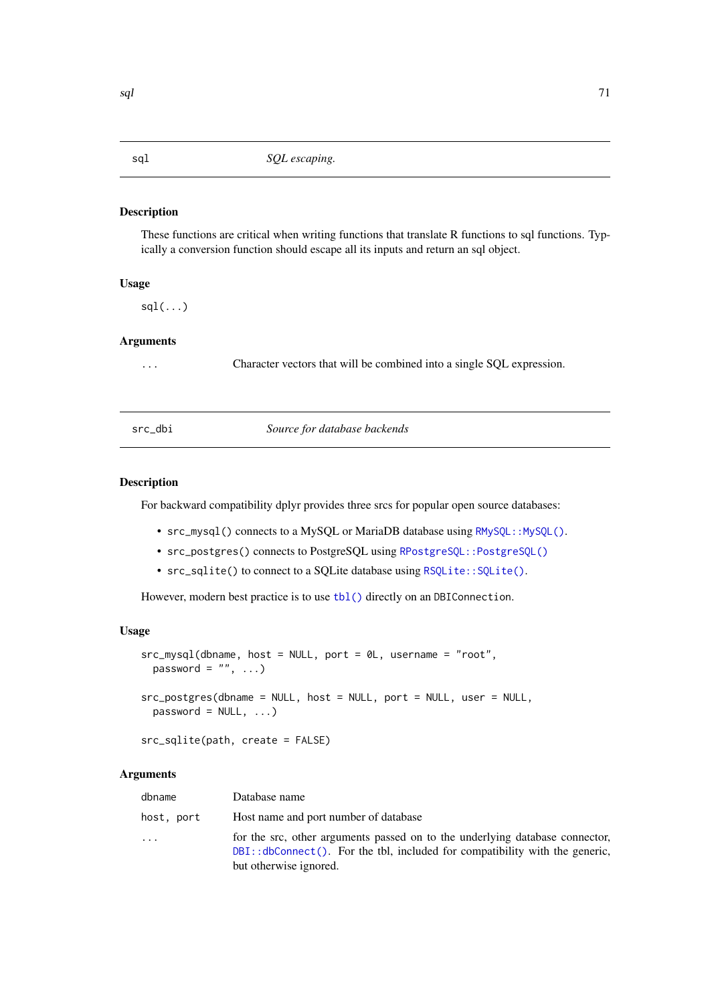### Description

These functions are critical when writing functions that translate R functions to sql functions. Typically a conversion function should escape all its inputs and return an sql object.

# Usage

 $sdl(...)$ 

### Arguments

... Character vectors that will be combined into a single SQL expression.

### src\_dbi *Source for database backends*

### Description

For backward compatibility dplyr provides three srcs for popular open source databases:

- src\_mysql() connects to a MySQL or MariaDB database using [RMySQL::MySQL\(\)](#page-0-0).
- src\_postgres() connects to PostgreSQL using [RPostgreSQL::PostgreSQL\(\)](#page-0-0)
- src\_sqlite() to connect to a SQLite database using [RSQLite::SQLite\(\)](#page-0-0).

However, modern best practice is to use [tbl\(\)](#page-79-0) directly on an DBIConnection.

### Usage

```
src_mysql(dbname, host = NULL, port = 0L, username = "root",
 password = ", ...)
src_postgres(dbname = NULL, host = NULL, port = NULL, user = NULL,
 password = NULL, ...)
```

```
src_sqlite(path, create = FALSE)
```
# Arguments

| dbname     | Database name                                                                                                                                                                                |
|------------|----------------------------------------------------------------------------------------------------------------------------------------------------------------------------------------------|
| host, port | Host name and port number of database                                                                                                                                                        |
| $\cdots$   | for the src, other arguments passed on to the underlying database connector,<br>$DBI$ :: $dbConnect()$ . For the tbl, included for compatibility with the generic,<br>but otherwise ignored. |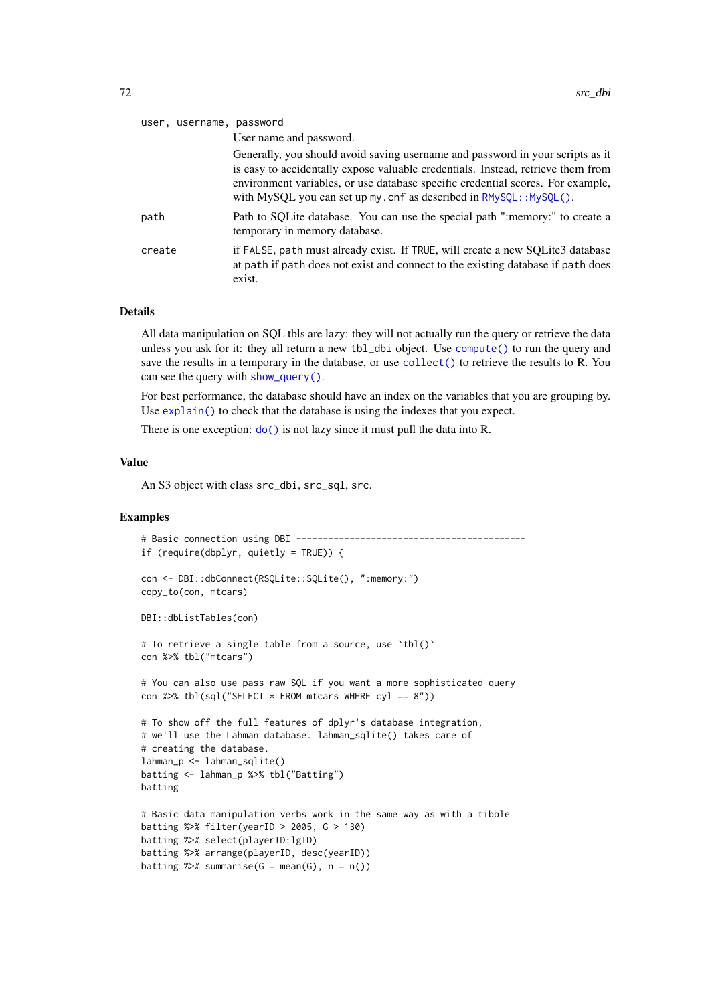| user, username, password |                                                                                                                                                                                                                                                                                                                                |
|--------------------------|--------------------------------------------------------------------------------------------------------------------------------------------------------------------------------------------------------------------------------------------------------------------------------------------------------------------------------|
|                          | User name and password.                                                                                                                                                                                                                                                                                                        |
|                          | Generally, you should avoid saving username and password in your scripts as it<br>is easy to accidentally expose valuable credentials. Instead, retrieve them from<br>environment variables, or use database specific credential scores. For example,<br>with MySQL you can set up my. cnf as described in $RMySQL::MySQL()$ . |
| path                     | Path to SQLite database. You can use the special path ":memory:" to create a<br>temporary in memory database.                                                                                                                                                                                                                  |
| create                   | if FALSE, path must already exist. If TRUE, will create a new SQLite3 database<br>at path if path does not exist and connect to the existing database if path does<br>exist.                                                                                                                                                   |

### Details

All data manipulation on SQL tbls are lazy: they will not actually run the query or retrieve the data unless you ask for it: they all return a new tbl\_dbi object. Use [compute\(\)](#page-16-0) to run the query and save the results in a temporary in the database, or use [collect\(\)](#page-16-1) to retrieve the results to R. You can see the query with [show\\_query\(\)](#page-24-0).

For best performance, the database should have an index on the variables that you are grouping by. Use [explain\(\)](#page-24-1) to check that the database is using the indexes that you expect.

There is one exception:  $do()$  is not lazy since it must pull the data into R.

# Value

An S3 object with class src\_dbi, src\_sql, src.

```
# Basic connection using DBI -------------------------------------------
if (require(dbplyr, quietly = TRUE)) {
con <- DBI::dbConnect(RSQLite::SQLite(), ":memory:")
copy_to(con, mtcars)
DBI::dbListTables(con)
# To retrieve a single table from a source, use `tbl()`
con %>% tbl("mtcars")
# You can also use pass raw SQL if you want a more sophisticated query
con %>% tbl(sql("SELECT * FROM mtcars WHERE cyl == 8"))
# To show off the full features of dplyr's database integration,
# we'll use the Lahman database. lahman_sqlite() takes care of
# creating the database.
lahman_p <- lahman_sqlite()
batting <- lahman_p %>% tbl("Batting")
batting
# Basic data manipulation verbs work in the same way as with a tibble
batting %>% filter(yearID > 2005, G > 130)
batting %>% select(playerID:lgID)
batting %>% arrange(playerID, desc(yearID))
batting %>% summarise(G = mean(G), n = n())
```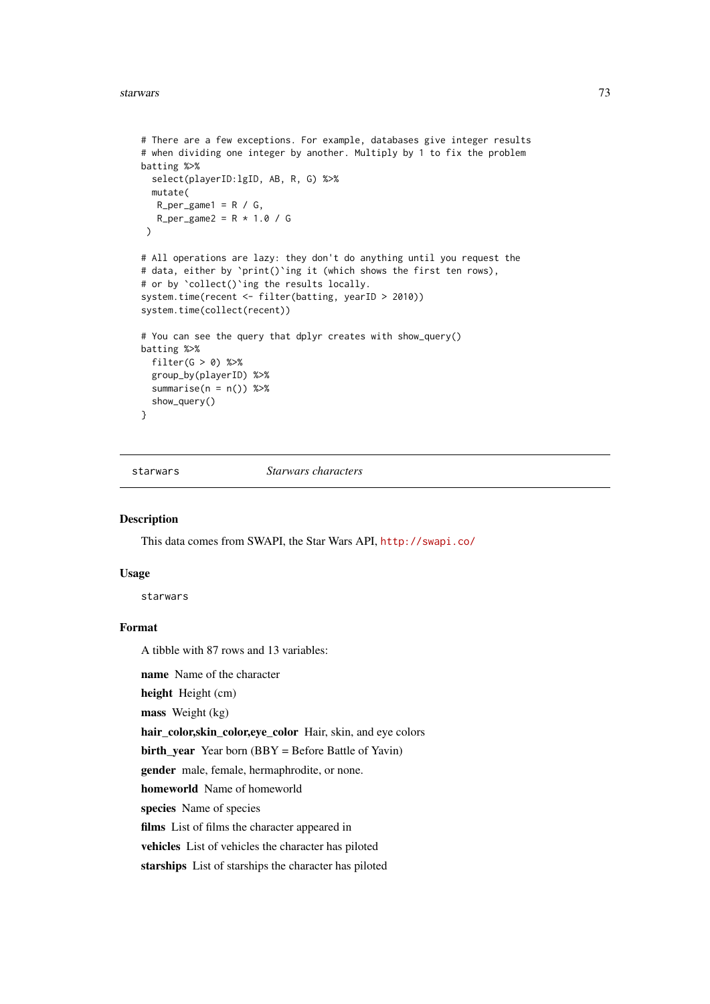```
# There are a few exceptions. For example, databases give integer results
# when dividing one integer by another. Multiply by 1 to fix the problem
batting %>%
  select(playerID:lgID, AB, R, G) %>%
  mutate(
  R_{per\_game1} = R / G,
  R_{per\_game2} = R * 1.0 / G\lambda# All operations are lazy: they don't do anything until you request the
# data, either by `print()`ing it (which shows the first ten rows),
# or by `collect()`ing the results locally.
system.time(recent <- filter(batting, yearID > 2010))
system.time(collect(recent))
# You can see the query that dplyr creates with show_query()
batting %>%
  filter(G > 0) %>%
  group_by(playerID) %>%
  summarise(n = n()) %>%
  show_query()
}
```
starwars *Starwars characters*

#### Description

This data comes from SWAPI, the Star Wars API, <http://swapi.co/>

# Usage

starwars

#### Format

A tibble with 87 rows and 13 variables:

name Name of the character

height Height (cm)

mass Weight (kg)

hair\_color,skin\_color,eye\_color Hair, skin, and eye colors

**birth\_year** Year born  $(BBY = Before Battle of Yavin)$ 

gender male, female, hermaphrodite, or none.

homeworld Name of homeworld

species Name of species

films List of films the character appeared in

vehicles List of vehicles the character has piloted

starships List of starships the character has piloted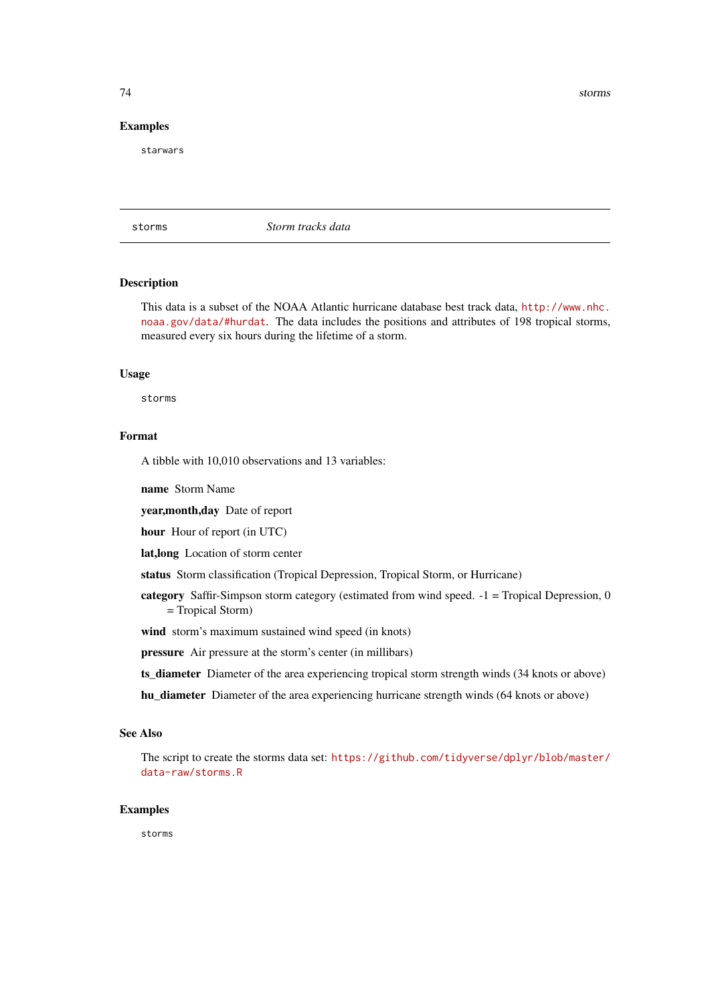# <span id="page-73-0"></span>Examples

starwars

storms *Storm tracks data*

#### Description

This data is a subset of the NOAA Atlantic hurricane database best track data, [http://www.nhc.](http://www.nhc.noaa.gov/data/#hurdat) [noaa.gov/data/#hurdat](http://www.nhc.noaa.gov/data/#hurdat). The data includes the positions and attributes of 198 tropical storms, measured every six hours during the lifetime of a storm.

# Usage

storms

# Format

A tibble with 10,010 observations and 13 variables:

name Storm Name

year,month,day Date of report

hour Hour of report (in UTC)

lat,long Location of storm center

status Storm classification (Tropical Depression, Tropical Storm, or Hurricane)

category Saffir-Simpson storm category (estimated from wind speed. -1 = Tropical Depression, 0 = Tropical Storm)

wind storm's maximum sustained wind speed (in knots)

pressure Air pressure at the storm's center (in millibars)

ts\_diameter Diameter of the area experiencing tropical storm strength winds (34 knots or above)

hu\_diameter Diameter of the area experiencing hurricane strength winds (64 knots or above)

#### See Also

The script to create the storms data set: [https://github.com/tidyverse/dplyr/blob/master/](https://github.com/tidyverse/dplyr/blob/master/data-raw/storms.R) [data-raw/storms.R](https://github.com/tidyverse/dplyr/blob/master/data-raw/storms.R)

#### Examples

storms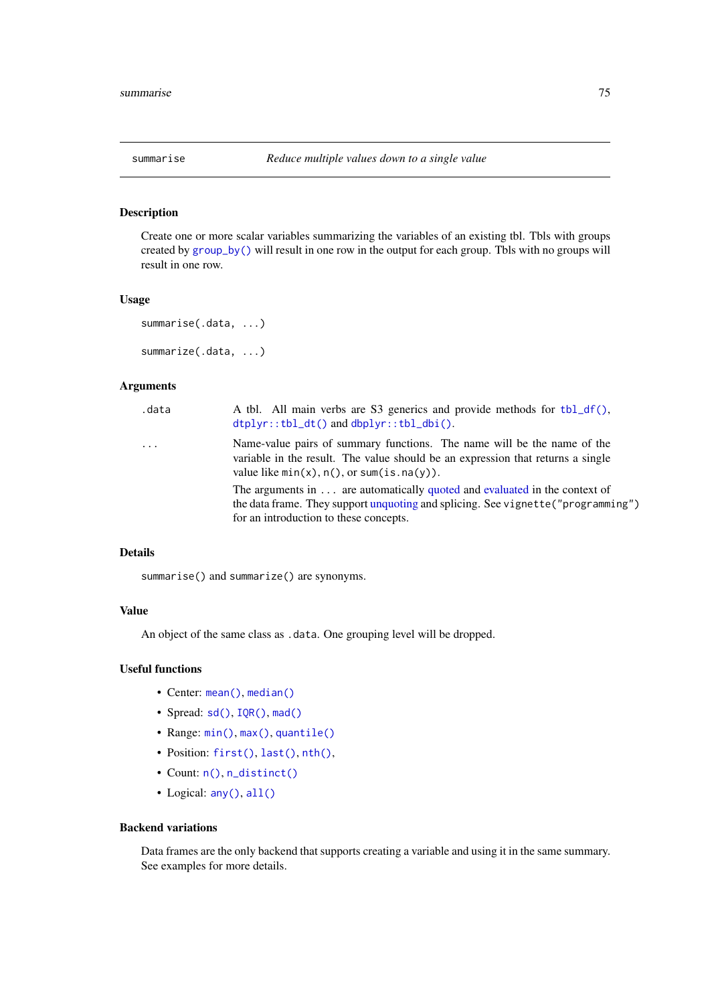<span id="page-74-1"></span><span id="page-74-0"></span>

#### Description

Create one or more scalar variables summarizing the variables of an existing tbl. Tbls with groups created by [group\\_by\(\)](#page-30-0) will result in one row in the output for each group. Tbls with no groups will result in one row.

### Usage

```
summarise(.data, ...)
summarize(.data, ...)
```
## Arguments

| .data               | A tbl. All main verbs are S3 generics and provide methods for tbl_df(),<br>$dtplyr::tbl_dt()$ and $dbplyr::tbl_dbi()$ .                                                                                           |
|---------------------|-------------------------------------------------------------------------------------------------------------------------------------------------------------------------------------------------------------------|
| $\cdot \cdot \cdot$ | Name-value pairs of summary functions. The name will be the name of the<br>variable in the result. The value should be an expression that returns a single<br>value like $min(x)$ , $n()$ , or sum(is. $na(y)$ ). |
|                     | The arguments in  are automatically quoted and evaluated in the context of<br>the data frame. They support unquoting and splicing. See vignette ("programming")<br>for an introduction to these concepts.         |

# Details

summarise() and summarize() are synonyms.

# Value

An object of the same class as .data. One grouping level will be dropped.

# Useful functions

- Center: [mean\(\)](#page-0-0), [median\(\)](#page-0-0)
- Spread:  $sd()$ ,  $IQR()$ ,  $mad()$
- Range: [min\(\)](#page-0-0), [max\(\)](#page-0-0), [quantile\(\)](#page-0-0)
- Position: [first\(\)](#page-53-0), [last\(\)](#page-53-0), [nth\(\)](#page-53-1),
- Count: [n\(\)](#page-49-0), [n\\_distinct\(\)](#page-54-0)
- Logical: [any\(\)](#page-0-0), [all\(\)](#page-0-0)

# Backend variations

Data frames are the only backend that supports creating a variable and using it in the same summary. See examples for more details.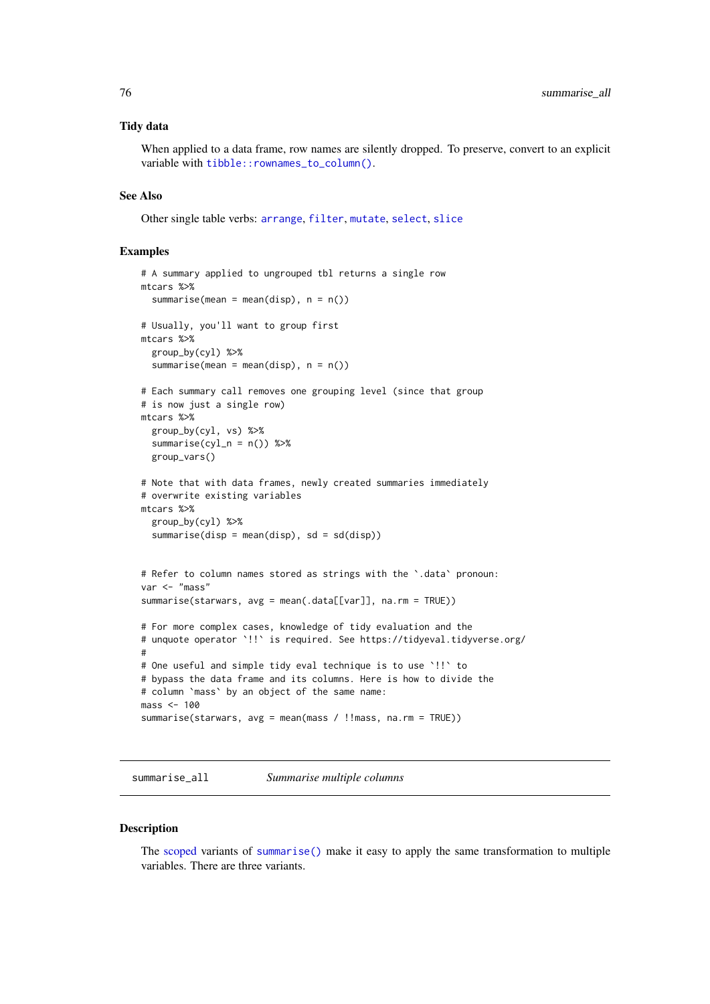### Tidy data

When applied to a data frame, row names are silently dropped. To preserve, convert to an explicit variable with [tibble::rownames\\_to\\_column\(\)](#page-0-0).

#### See Also

Other single table verbs: [arrange](#page-5-0), [filter](#page-25-0), [mutate](#page-44-0), [select](#page-63-0), [slice](#page-68-0)

#### Examples

```
# A summary applied to ungrouped tbl returns a single row
mtcars %>%
  summarise(mean = mean(disp), n = n())
# Usually, you'll want to group first
mtcars %>%
  group_by(cyl) %>%
  summarise(mean = mean(disp), n = n())
# Each summary call removes one grouping level (since that group
# is now just a single row)
mtcars %>%
  group_by(cyl, vs) %>%
  summarise(cyl_n = n()) %>%
 group_vars()
# Note that with data frames, newly created summaries immediately
# overwrite existing variables
mtcars %>%
  group_by(cyl) %>%
  summarise(disp = mean(disp), sd = sd(disp))
# Refer to column names stored as strings with the `.data` pronoun:
var <- "mass"
summarise(starwars, avg = mean(.data[[var]], na.rm = TRUE))
# For more complex cases, knowledge of tidy evaluation and the
# unquote operator `!!` is required. See https://tidyeval.tidyverse.org/
#
# One useful and simple tidy eval technique is to use `!!` to
# bypass the data frame and its columns. Here is how to divide the
# column `mass` by an object of the same name:
mass < -100summarise(starwars, avg = mean(mass / !!mass, na.rm = TRUE))
```
summarise\_all *Summarise multiple columns*

#### <span id="page-75-0"></span>Description

The [scoped](#page-61-0) variants of [summarise\(\)](#page-74-0) make it easy to apply the same transformation to multiple variables. There are three variants.

<span id="page-75-1"></span>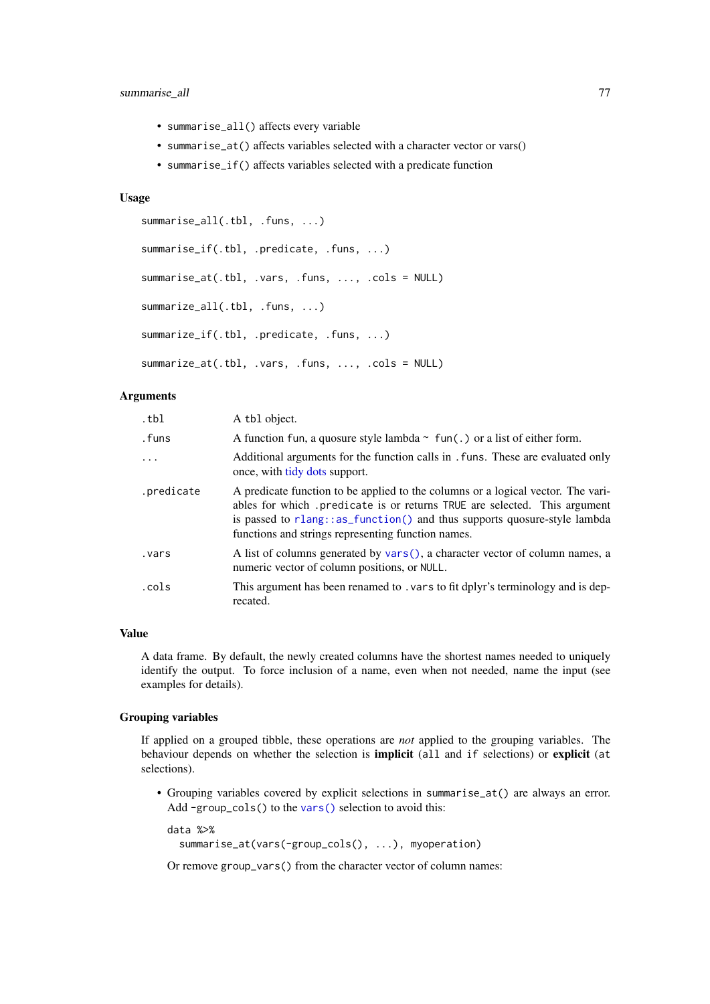#### <span id="page-76-0"></span>summarise\_all 77

- summarise\_all() affects every variable
- summarise\_at() affects variables selected with a character vector or vars()
- summarise\_if() affects variables selected with a predicate function

# Usage

```
summarise_all(.tbl, .funs, ...)
summarise_if(.tbl, .predicate, .funs, ...)
summarise_at(.tbl, .vars, .funs, ..., .cols = NULL)
summarize_all(.tbl, .funs, ...)
summarize_if(.tbl, .predicate, .funs, ...)
summarize_at(.tbl, .vars, .funs, ..., .cols = NULL)
```
# Arguments

| .tbl       | A tbl object.                                                                                                                                                                                                                                                                                  |
|------------|------------------------------------------------------------------------------------------------------------------------------------------------------------------------------------------------------------------------------------------------------------------------------------------------|
| .funs      | A function fun, a quosure style lambda $\sim$ fun(.) or a list of either form.                                                                                                                                                                                                                 |
| $\ddots$   | Additional arguments for the function calls in . funs. These are evaluated only<br>once, with tidy dots support.                                                                                                                                                                               |
| .predicate | A predicate function to be applied to the columns or a logical vector. The vari-<br>ables for which predicate is or returns TRUE are selected. This argument<br>is passed to rlang::as_function() and thus supports quosure-style lambda<br>functions and strings representing function names. |
| vars.      | A list of columns generated by vars(), a character vector of column names, a<br>numeric vector of column positions, or NULL.                                                                                                                                                                   |
| .cols      | This argument has been renamed to . vars to fit dplyr's terminology and is dep-<br>recated.                                                                                                                                                                                                    |

# Value

A data frame. By default, the newly created columns have the shortest names needed to uniquely identify the output. To force inclusion of a name, even when not needed, name the input (see examples for details).

# Grouping variables

If applied on a grouped tibble, these operations are *not* applied to the grouping variables. The behaviour depends on whether the selection is **implicit** (all and if selections) or **explicit** (at selections).

• Grouping variables covered by explicit selections in summarise\_at() are always an error. Add -group\_cols() to the [vars\(\)](#page-83-0) selection to avoid this:

```
data %>%
 summarise_at(vars(-group_cols(), ...), myoperation)
```
Or remove group\_vars() from the character vector of column names: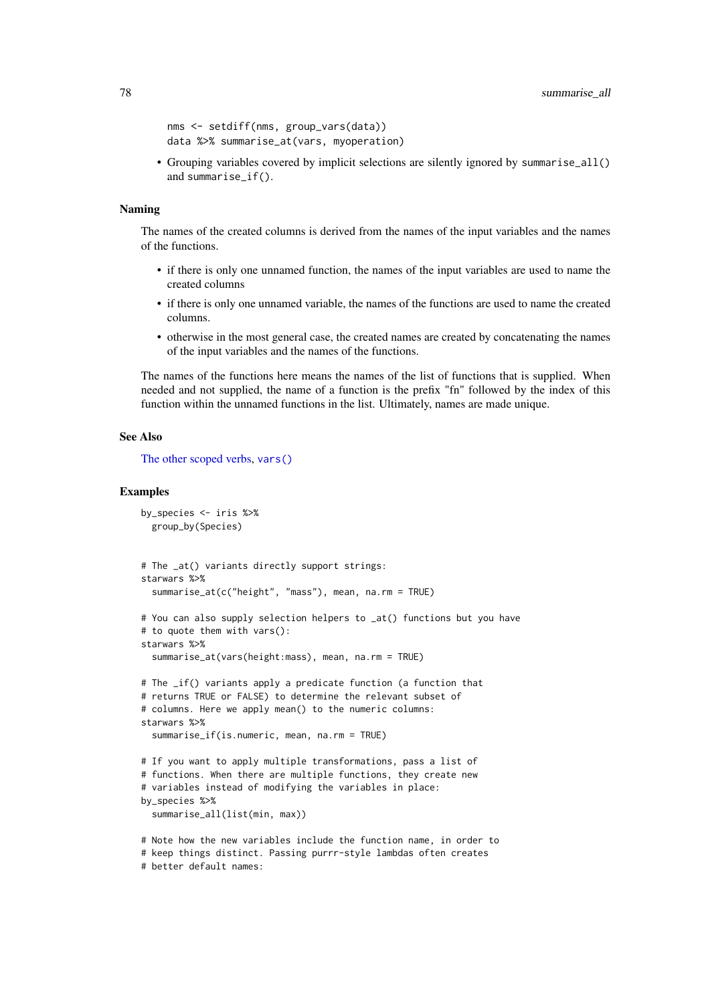```
nms <- setdiff(nms, group_vars(data))
data %>% summarise_at(vars, myoperation)
```
• Grouping variables covered by implicit selections are silently ignored by summarise\_all() and summarise\_if().

#### Naming

The names of the created columns is derived from the names of the input variables and the names of the functions.

- if there is only one unnamed function, the names of the input variables are used to name the created columns
- if there is only one unnamed variable, the names of the functions are used to name the created columns.
- otherwise in the most general case, the created names are created by concatenating the names of the input variables and the names of the functions.

The names of the functions here means the names of the list of functions that is supplied. When needed and not supplied, the name of a function is the prefix "fn" followed by the index of this function within the unnamed functions in the list. Ultimately, names are made unique.

# See Also

[The other scoped verbs,](#page-61-0) [vars\(\)](#page-83-0)

#### Examples

```
by_species <- iris %>%
  group_by(Species)
# The _at() variants directly support strings:
starwars %>%
  summarise_at(c("height", "mass"), mean, na.rm = TRUE)
# You can also supply selection helpers to _at() functions but you have
# to quote them with vars():
starwars %>%
  summarise_at(vars(height:mass), mean, na.rm = TRUE)
# The _if() variants apply a predicate function (a function that
# returns TRUE or FALSE) to determine the relevant subset of
# columns. Here we apply mean() to the numeric columns:
starwars %>%
  summarise_if(is.numeric, mean, na.rm = TRUE)
# If you want to apply multiple transformations, pass a list of
# functions. When there are multiple functions, they create new
# variables instead of modifying the variables in place:
by_species %>%
  summarise_all(list(min, max))
# Note how the new variables include the function name, in order to
# keep things distinct. Passing purrr-style lambdas often creates
# better default names:
```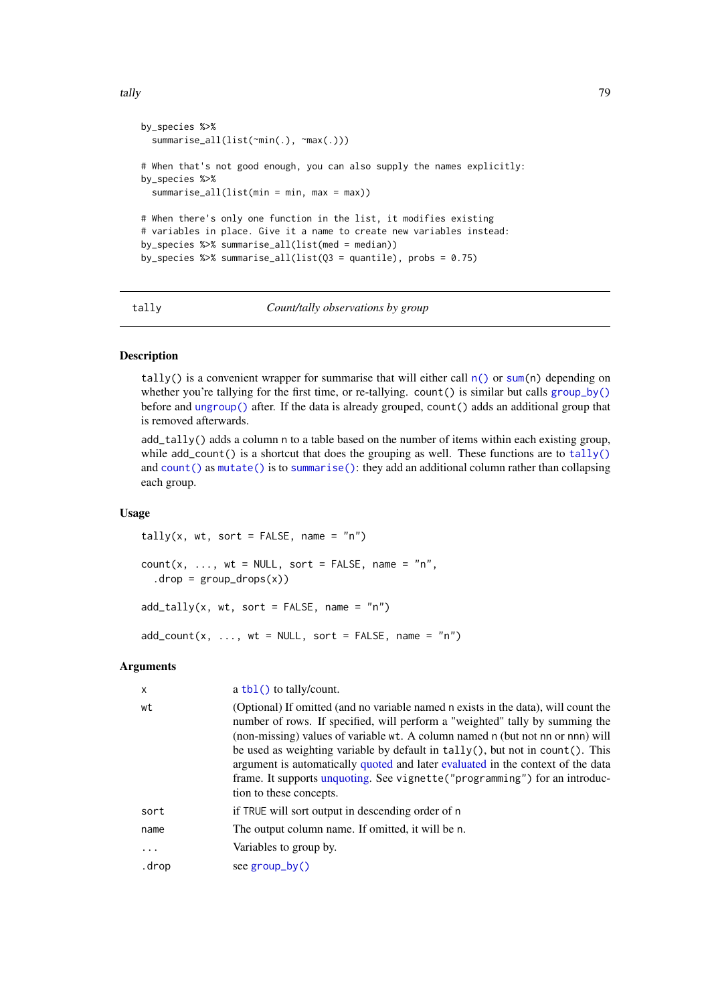<span id="page-78-2"></span>tally the contract of the contract of the contract of the contract of the contract of the contract of the contract of the contract of the contract of the contract of the contract of the contract of the contract of the cont

```
by_species %>%
  summarise_all(list(~min(.), ~max(.)))
# When that's not good enough, you can also supply the names explicitly:
by_species %>%
  summarise_all(list(min = min, max = max))
# When there's only one function in the list, it modifies existing
# variables in place. Give it a name to create new variables instead:
by species %>% summarise all(list(med = median))
by_species %>% summarise_all(list(Q3 = quantile), probs = 0.75)
```
<span id="page-78-0"></span>tally *Count/tally observations by group*

## <span id="page-78-1"></span>Description

tally() is a convenient wrapper for summarise that will either call  $n()$  or [sum\(](#page-0-0)n) depending on whether you're tallying for the first time, or re-tallying. count () is similar but calls [group\\_by\(\)](#page-30-0) before and [ungroup\(\)](#page-30-1) after. If the data is already grouped, count() adds an additional group that is removed afterwards.

add\_tally() adds a column n to a table based on the number of items within each existing group, while  $add\_count()$  is a shortcut that does the grouping as well. These functions are to [tally\(\)](#page-78-0) and [count\(\)](#page-78-1) as [mutate\(\)](#page-44-0) is to [summarise\(\)](#page-74-0): they add an additional column rather than collapsing each group.

# Usage

```
tally(x, wt, sort = FALSE, name = n")
count(x, ..., wt = NULL, sort = FALSE, name = "n",drop = group_drops(x)add\_tally(x, wt, sort = FALSE, name = "n")add\_count(x, ..., wt = NULL, sort = FALSE, name = "n")
```
#### Arguments

| X        | $a \text{ thl}()$ to tally/count.                                                                                                                                                                                                                                                                                                                                                                                                                                                                                                  |
|----------|------------------------------------------------------------------------------------------------------------------------------------------------------------------------------------------------------------------------------------------------------------------------------------------------------------------------------------------------------------------------------------------------------------------------------------------------------------------------------------------------------------------------------------|
| wt       | (Optional) If omitted (and no variable named n exists in the data), will count the<br>number of rows. If specified, will perform a "weighted" tally by summing the<br>(non-missing) values of variable wt. A column named n (but not nn or nnn) will<br>be used as weighting variable by default in tally(), but not in count(). This<br>argument is automatically quoted and later evaluated in the context of the data<br>frame. It supports unquoting. See vignette ("programming") for an introduc-<br>tion to these concepts. |
| sort     | if TRUE will sort output in descending order of n                                                                                                                                                                                                                                                                                                                                                                                                                                                                                  |
| name     | The output column name. If omitted, it will be n.                                                                                                                                                                                                                                                                                                                                                                                                                                                                                  |
| $\cdots$ | Variables to group by.                                                                                                                                                                                                                                                                                                                                                                                                                                                                                                             |
| .drop    | see $group_by()$                                                                                                                                                                                                                                                                                                                                                                                                                                                                                                                   |
|          |                                                                                                                                                                                                                                                                                                                                                                                                                                                                                                                                    |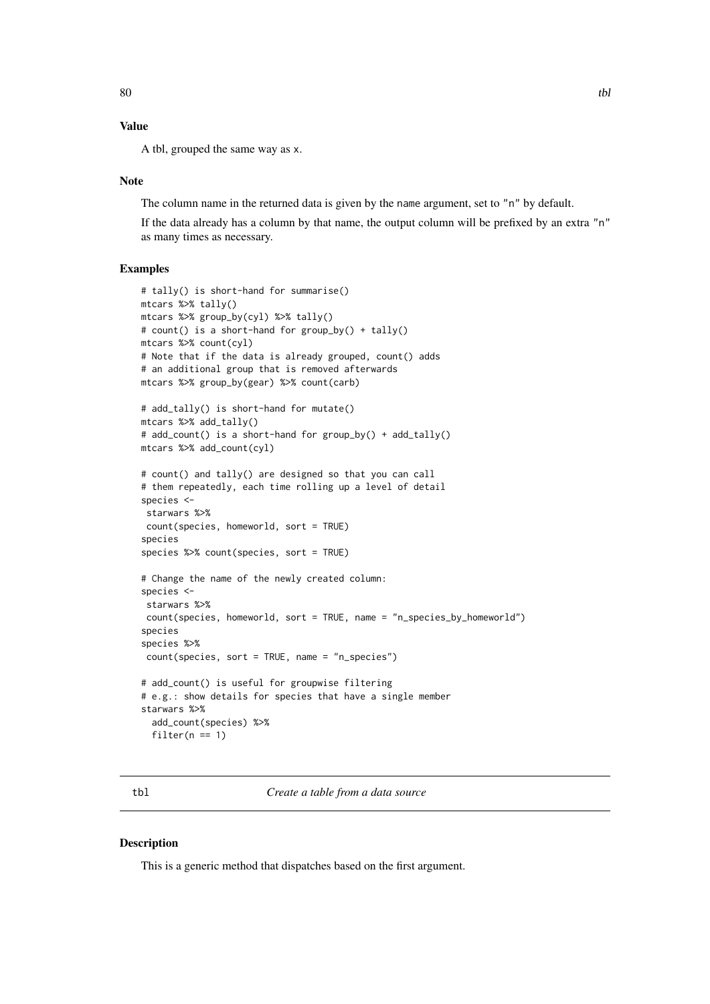# <span id="page-79-1"></span>Value

A tbl, grouped the same way as x.

#### Note

The column name in the returned data is given by the name argument, set to "n" by default.

If the data already has a column by that name, the output column will be prefixed by an extra "n" as many times as necessary.

# Examples

```
# tally() is short-hand for summarise()
mtcars %>% tally()
mtcars %>% group_by(cyl) %>% tally()
# count() is a short-hand for group_by() + tally()
mtcars %>% count(cyl)
# Note that if the data is already grouped, count() adds
# an additional group that is removed afterwards
mtcars %>% group_by(gear) %>% count(carb)
# add_tally() is short-hand for mutate()
mtcars %>% add_tally()
# add_count() is a short-hand for group_by() + add_tally()
mtcars %>% add_count(cyl)
# count() and tally() are designed so that you can call
# them repeatedly, each time rolling up a level of detail
species <-
starwars %>%
count(species, homeworld, sort = TRUE)
species
species %>% count(species, sort = TRUE)
# Change the name of the newly created column:
species <-
starwars %>%
count(species, homeworld, sort = TRUE, name = "n_species_by_homeworld")
species
species %>%
count(species, sort = TRUE, name = "n_species")
# add_count() is useful for groupwise filtering
# e.g.: show details for species that have a single member
starwars %>%
  add_count(species) %>%
  filter(n == 1)
```
tbl *Create a table from a data source*

#### Description

This is a generic method that dispatches based on the first argument.

<span id="page-79-0"></span>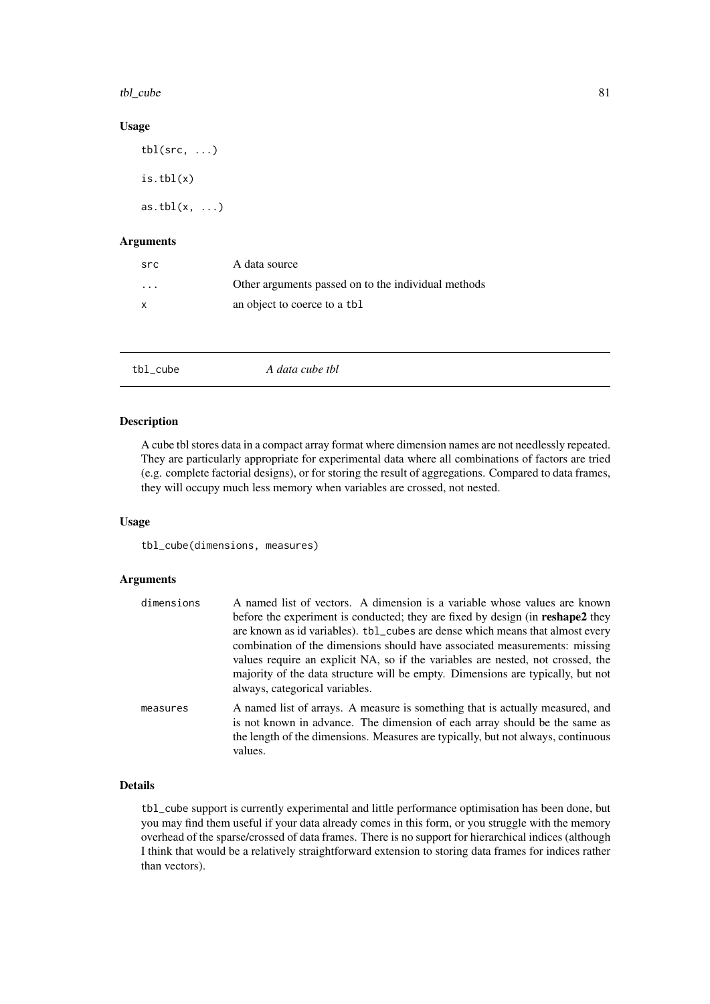<span id="page-80-0"></span>tbl\_cube 81

# Usage

tbl( $src, \ldots$ ) is.tbl(x) as.tbl $(x, \ldots)$ 

### Arguments

| src                     | A data source                                       |
|-------------------------|-----------------------------------------------------|
| $\cdot$ $\cdot$ $\cdot$ | Other arguments passed on to the individual methods |
| x                       | an object to coerce to a tbl.                       |

tbl\_cube *A data cube tbl*

#### Description

A cube tbl stores data in a compact array format where dimension names are not needlessly repeated. They are particularly appropriate for experimental data where all combinations of factors are tried (e.g. complete factorial designs), or for storing the result of aggregations. Compared to data frames, they will occupy much less memory when variables are crossed, not nested.

# Usage

tbl\_cube(dimensions, measures)

# Arguments

| dimensions | A named list of vectors. A dimension is a variable whose values are known<br>before the experiment is conducted; they are fixed by design (in <b>reshape2</b> they<br>are known as id variables). tbl_cubes are dense which means that almost every<br>combination of the dimensions should have associated measurements: missing<br>values require an explicit NA, so if the variables are nested, not crossed, the<br>majority of the data structure will be empty. Dimensions are typically, but not<br>always, categorical variables. |
|------------|-------------------------------------------------------------------------------------------------------------------------------------------------------------------------------------------------------------------------------------------------------------------------------------------------------------------------------------------------------------------------------------------------------------------------------------------------------------------------------------------------------------------------------------------|
| measures   | A named list of arrays. A measure is something that is actually measured, and<br>is not known in advance. The dimension of each array should be the same as<br>the length of the dimensions. Measures are typically, but not always, continuous<br>values.                                                                                                                                                                                                                                                                                |

#### Details

tbl\_cube support is currently experimental and little performance optimisation has been done, but you may find them useful if your data already comes in this form, or you struggle with the memory overhead of the sparse/crossed of data frames. There is no support for hierarchical indices (although I think that would be a relatively straightforward extension to storing data frames for indices rather than vectors).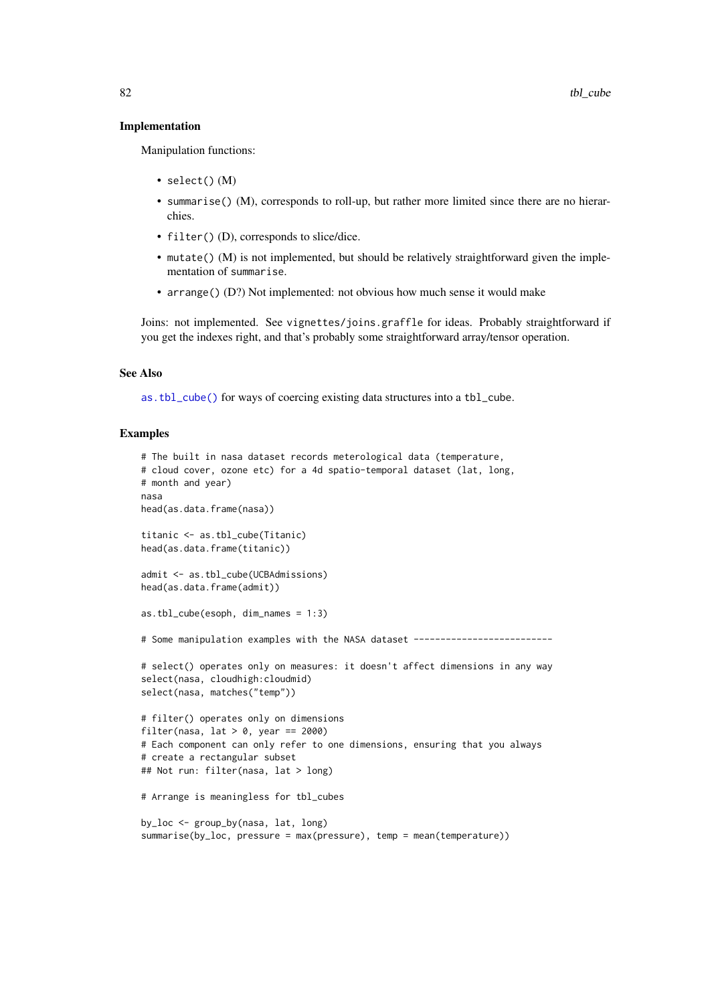#### <span id="page-81-0"></span>Implementation

Manipulation functions:

- select() (M)
- summarise() (M), corresponds to roll-up, but rather more limited since there are no hierarchies.
- filter() (D), corresponds to slice/dice.
- mutate() (M) is not implemented, but should be relatively straightforward given the implementation of summarise.
- arrange() (D?) Not implemented: not obvious how much sense it would make

Joins: not implemented. See vignettes/joins.graffle for ideas. Probably straightforward if you get the indexes right, and that's probably some straightforward array/tensor operation.

# See Also

[as.tbl\\_cube\(\)](#page-8-0) for ways of coercing existing data structures into a tbl\_cube.

#### Examples

```
# The built in nasa dataset records meterological data (temperature,
# cloud cover, ozone etc) for a 4d spatio-temporal dataset (lat, long,
# month and year)
nasa
head(as.data.frame(nasa))
titanic <- as.tbl_cube(Titanic)
head(as.data.frame(titanic))
admit <- as.tbl_cube(UCBAdmissions)
head(as.data.frame(admit))
as.tbl_cube(esoph, dim_names = 1:3)
# Some manipulation examples with the NASA dataset --------------------------
# select() operates only on measures: it doesn't affect dimensions in any way
select(nasa, cloudhigh:cloudmid)
select(nasa, matches("temp"))
# filter() operates only on dimensions
filter(nasa, lat > 0, year == 2000)
# Each component can only refer to one dimensions, ensuring that you always
# create a rectangular subset
## Not run: filter(nasa, lat > long)
# Arrange is meaningless for tbl_cubes
by_loc <- group_by(nasa, lat, long)
summarise(by_loc, pressure = max(pressure), temp = mean(temperature))
```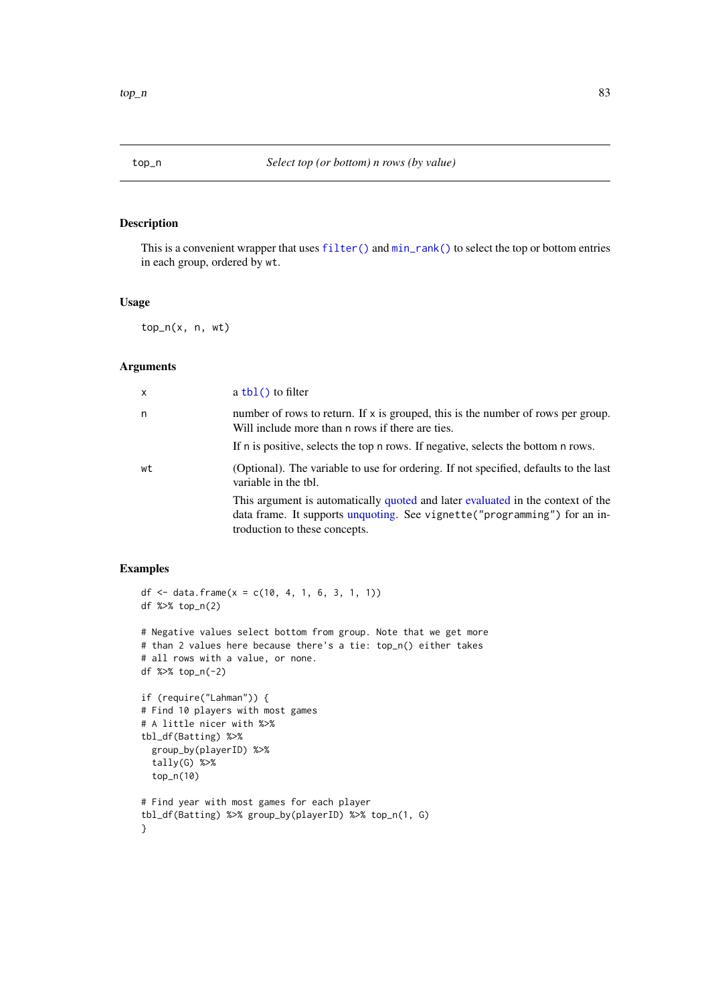# <span id="page-82-0"></span>Description

This is a convenient wrapper that uses [filter\(\)](#page-25-0) and [min\\_rank\(\)](#page-56-0) to select the top or bottom entries in each group, ordered by wt.

# Usage

top\_n(x, n, wt)

### Arguments

| $\mathsf{x}$ | $a \text{ thl}()$ to filter                                                                                                                                                                    |
|--------------|------------------------------------------------------------------------------------------------------------------------------------------------------------------------------------------------|
| n            | number of rows to return. If $x$ is grouped, this is the number of rows per group.<br>Will include more than n rows if there are ties.                                                         |
|              | If n is positive, selects the top n rows. If negative, selects the bottom n rows.                                                                                                              |
| wt           | (Optional). The variable to use for ordering. If not specified, defaults to the last<br>variable in the tbl.                                                                                   |
|              | This argument is automatically quoted and later evaluated in the context of the<br>data frame. It supports unquoting. See vignette ("programming") for an in-<br>troduction to these concepts. |

# Examples

```
df <- data.frame(x = c(10, 4, 1, 6, 3, 1, 1))
df %>% top_n(2)
# Negative values select bottom from group. Note that we get more
# than 2 values here because there's a tie: top_n() either takes
# all rows with a value, or none.
df %>% top_n(-2)
if (require("Lahman")) {
# Find 10 players with most games
# A little nicer with %>%
tbl_df(Batting) %>%
  group_by(playerID) %>%
  tally(G) %>%
  top_n(10)
# Find year with most games for each player
tbl_df(Batting) %>% group_by(playerID) %>% top_n(1, G)
}
```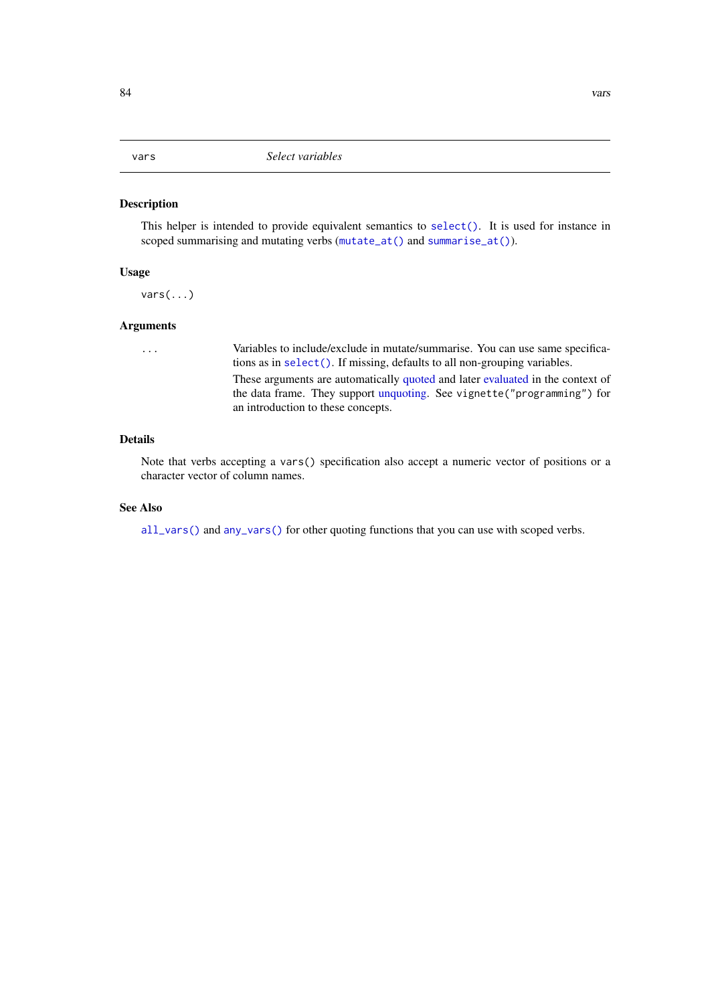<span id="page-83-1"></span><span id="page-83-0"></span>

# Description

This helper is intended to provide equivalent semantics to [select\(\)](#page-63-0). It is used for instance in scoped summarising and mutating verbs ([mutate\\_at\(\)](#page-46-0) and [summarise\\_at\(\)](#page-75-0)).

# Usage

vars(...)

# Arguments

... Variables to include/exclude in mutate/summarise. You can use same specifications as in [select\(\)](#page-63-0). If missing, defaults to all non-grouping variables. These arguments are automatically [quoted](#page-0-0) and later [evaluated](#page-0-0) in the context of the data frame. They support [unquoting.](#page-0-0) See vignette("programming") for an introduction to these concepts.

# Details

Note that verbs accepting a vars() specification also accept a numeric vector of positions or a character vector of column names.

# See Also

[all\\_vars\(\)](#page-4-0) and [any\\_vars\(\)](#page-4-1) for other quoting functions that you can use with scoped verbs.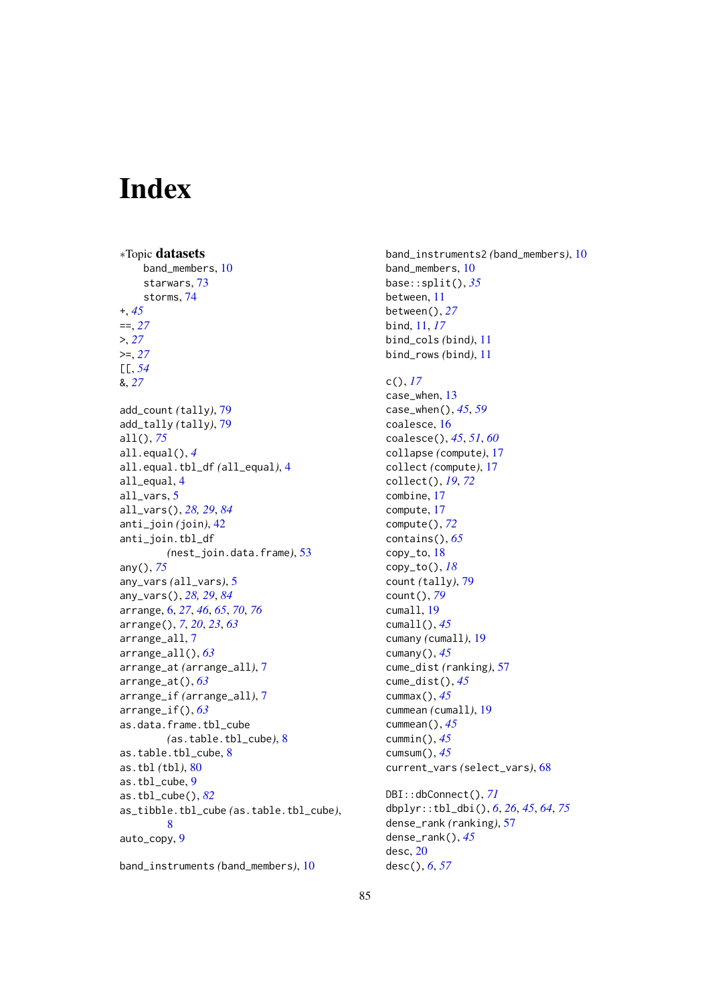# **Index**

∗Topic datasets band\_members, [10](#page-9-0) starwars, [73](#page-72-0) storms, [74](#page-73-0) +, *[45](#page-44-1)* ==, *[27](#page-26-0)* >, *[27](#page-26-0)* >=, *[27](#page-26-0)* [[, *[54](#page-53-2)* &, *[27](#page-26-0)* add\_count *(*tally*)*, [79](#page-78-2) add\_tally *(*tally*)*, [79](#page-78-2) all(), *[75](#page-74-1)* all.equal(), *[4](#page-3-0)* all.equal.tbl\_df *(*all\_equal*)*, [4](#page-3-0) all\_equal, [4](#page-3-0) all\_vars, [5](#page-4-2) all\_vars(), *[28,](#page-27-0) [29](#page-28-0)*, *[84](#page-83-1)* anti\_join *(*join*)*, [42](#page-41-0) anti\_join.tbl\_df *(*nest\_join.data.frame*)*, [53](#page-52-0) any(), *[75](#page-74-1)* any\_vars *(*all\_vars*)*, [5](#page-4-2) any\_vars(), *[28,](#page-27-0) [29](#page-28-0)*, *[84](#page-83-1)* arrange, [6,](#page-5-1) *[27](#page-26-0)*, *[46](#page-45-0)*, *[65](#page-64-0)*, *[70](#page-69-0)*, *[76](#page-75-1)* arrange(), *[7](#page-6-0)*, *[20](#page-19-0)*, *[23](#page-22-0)*, *[63](#page-62-0)* arrange\_all, [7](#page-6-0) arrange\_all(), *[63](#page-62-0)* arrange\_at *(*arrange\_all*)*, [7](#page-6-0) arrange\_at(), *[63](#page-62-0)* arrange\_if *(*arrange\_all*)*, [7](#page-6-0) arrange\_if(), *[63](#page-62-0)* as.data.frame.tbl\_cube *(*as.table.tbl\_cube*)*, [8](#page-7-0) as.table.tbl\_cube, [8](#page-7-0) as.tbl *(*tbl*)*, [80](#page-79-1) as.tbl\_cube, [9](#page-8-1) as.tbl\_cube(), *[82](#page-81-0)* as\_tibble.tbl\_cube *(*as.table.tbl\_cube*)*, [8](#page-7-0) auto\_copy, [9](#page-8-1)

band\_instruments *(*band\_members*)*, [10](#page-9-0)

band\_instruments2 *(*band\_members*)*, [10](#page-9-0) band\_members, [10](#page-9-0) base::split(), *[35](#page-34-0)* between, [11](#page-10-0) between(), *[27](#page-26-0)* bind, [11,](#page-10-0) *[17](#page-16-0)* bind\_cols *(*bind*)*, [11](#page-10-0) bind\_rows *(*bind*)*, [11](#page-10-0) c(), *[17](#page-16-0)* case\_when, [13](#page-12-0) case\_when(), *[45](#page-44-1)*, *[59](#page-58-0)* coalesce, [16](#page-15-0) coalesce(), *[45](#page-44-1)*, *[51](#page-50-0)*, *[60](#page-59-0)* collapse *(*compute*)*, [17](#page-16-0) collect *(*compute*)*, [17](#page-16-0) collect(), *[19](#page-18-0)*, *[72](#page-71-0)* combine, [17](#page-16-0) compute, [17](#page-16-0) compute(), *[72](#page-71-0)* contains(), *[65](#page-64-0)* copy\_to, [18](#page-17-0) copy\_to(), *[18](#page-17-0)* count *(*tally*)*, [79](#page-78-2) count(), *[79](#page-78-2)* cumall, [19](#page-18-0) cumall(), *[45](#page-44-1)* cumany *(*cumall*)*, [19](#page-18-0) cumany(), *[45](#page-44-1)* cume\_dist *(*ranking*)*, [57](#page-56-1) cume\_dist(), *[45](#page-44-1)* cummax(), *[45](#page-44-1)* cummean *(*cumall*)*, [19](#page-18-0) cummean(), *[45](#page-44-1)* cummin(), *[45](#page-44-1)* cumsum(), *[45](#page-44-1)* current\_vars *(*select\_vars*)*, [68](#page-67-0) DBI::dbConnect(), *[71](#page-70-0)* dbplyr::tbl\_dbi(), *[6](#page-5-1)*, *[26](#page-25-1)*, *[45](#page-44-1)*, *[64](#page-63-1)*, *[75](#page-74-1)* dense\_rank *(*ranking*)*, [57](#page-56-1) dense\_rank(), *[45](#page-44-1)* desc, [20](#page-19-0) desc(), *[6](#page-5-1)*, *[57](#page-56-1)*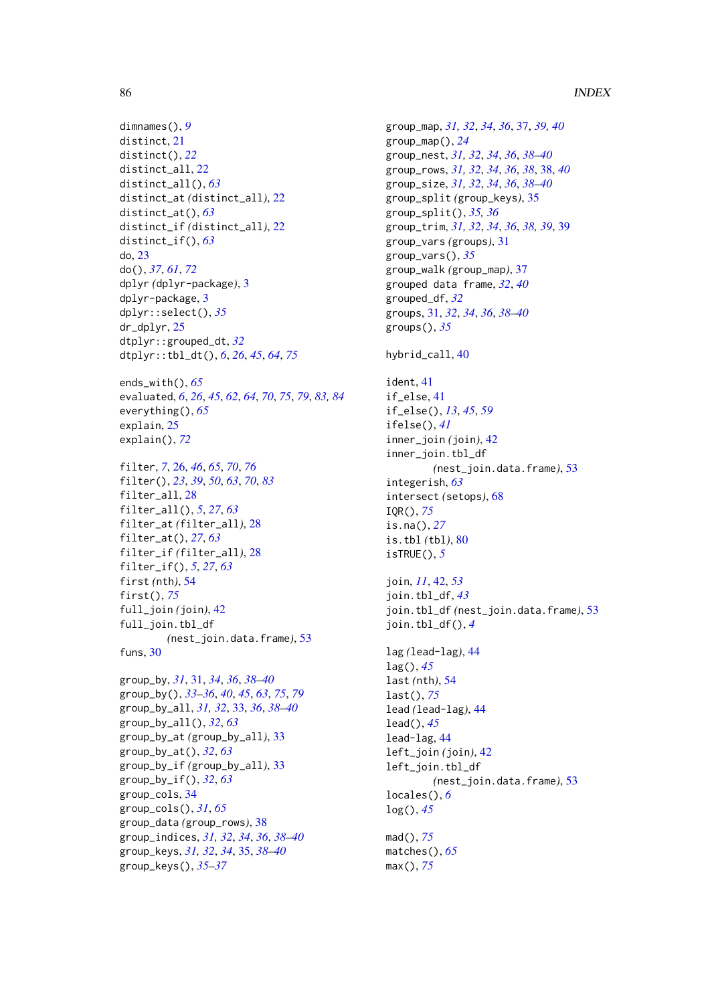```
dimnames(), 9
distinct, 21
distinct(), 22
distinct_all, 22
distinct_all(), 63
distinct_at (distinct_all), 22
distinct_at(), 63
distinct_if (distinct_all), 22
distinct_if(), 63
do, 23
do(), 37, 61, 72
dplyr (dplyr-package), 3
dplyr-package, 3
dplyr::select(), 35
dr_dplyr, 25
dtplyr::grouped_dt, 32
dtplyr::tbl_dt(), 6, 26, 45, 64, 75
ends_with(), 65
evaluated, 6, 26, 45, 62, 64, 70, 75, 79, 83, 84
everything(), 65
explain, 25
explain(), 72
filter, 7, 26, 46, 65, 70, 76
filter(), 23, 39, 50, 63, 70, 83
filter_all, 28
filter_all(), 5, 27, 63
filter_at (filter_all), 28
filter_at(), 27, 63
filter_if (filter_all), 28
filter_if(), 5, 27, 63
first (nth), 54
first(), 75
full_join (join), 42
full_join.tbl_df
         (nest_join.data.frame), 53
funs, 30
group_by, 31, 31, 34, 36, 38–40
group_by(), 33–36, 40, 45, 63, 75, 79
group_by_all, 31, 32, 33, 36, 38–40
group_by_all(), 32, 63
group_by_at (group_by_all), 33
group_by_at(), 32, 63
group_by_if (group_by_all), 33
group_by_if(), 32, 63
group_cols, 34
group_cols(), 31, 65
group_data (group_rows), 38
group_indices, 31, 32, 34, 36, 38–40
group_keys, 31, 32, 34, 35, 38–40
```
group\_keys(), *[35](#page-34-0)[–37](#page-36-0)*

```
group_map, 31, 32, 34, 36, 37, 39, 40
group_map(), 24
group_nest, 31, 32, 34, 36, 38–40
group_rows, 31, 32, 34, 36, 38, 38, 40
group_size, 31, 32, 34, 36, 38–40
group_split (group_keys), 35
group_split(), 35, 36
group_trim, 31, 32, 34, 36, 38, 39, 39
group_vars (groups), 31
group_vars(), 35
group_walk (group_map), 37
grouped data frame, 32, 40
grouped_df, 32
groups, 31, 32, 34, 36, 38–40
groups(), 35
hybrid_call, 40
ident, 41
if_else, 41
if_else(), 13, 45, 59
ifelse(), 41
inner_join (join), 42
inner_join.tbl_df
         (nest_join.data.frame), 53
integerish, 63
intersect (setops), 68
IQR(), 75
is.na(), 27
is.tbl (tbl), 80
isTRUE(), 5
join, 11, 42, 53
join.tbl_df, 43
join.tbl_df (nest_join.data.frame), 53
join.tbl_df(), 4
lag (lead-lag), 44
lag(), 45
last (nth), 54
last(), 75
lead (lead-lag), 44
lead(), 45
lead-lag, 44
left_join (join), 42
left_join.tbl_df
        (nest_join.data.frame), 53
locales(), 6
log(), 45
mad(), 75
matches(), 65
max(), 75
```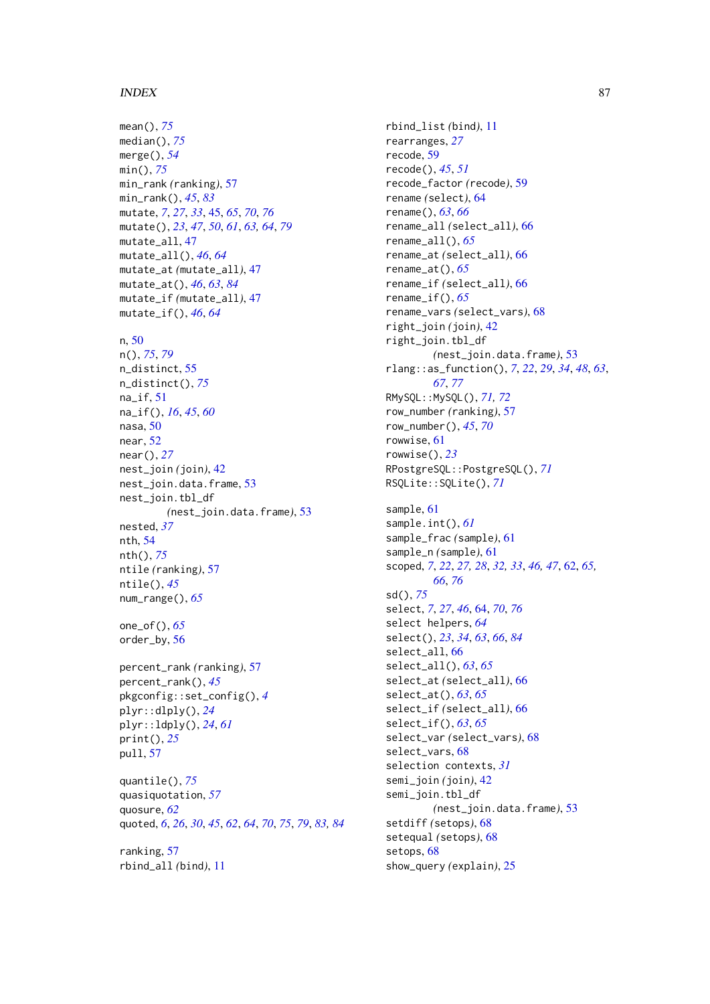#### INDEX  $87$

mean(), *[75](#page-74-1)* median(), *[75](#page-74-1)* merge(), *[54](#page-53-2)* min(), *[75](#page-74-1)* min\_rank *(*ranking*)*, [57](#page-56-1) min\_rank(), *[45](#page-44-1)*, *[83](#page-82-0)* mutate, *[7](#page-6-0)*, *[27](#page-26-0)*, *[33](#page-32-0)*, [45,](#page-44-1) *[65](#page-64-0)*, *[70](#page-69-0)*, *[76](#page-75-1)* mutate(), *[23](#page-22-0)*, *[47](#page-46-1)*, *[50](#page-49-1)*, *[61](#page-60-0)*, *[63,](#page-62-0) [64](#page-63-1)*, *[79](#page-78-2)* mutate\_all, [47](#page-46-1) mutate\_all(), *[46](#page-45-0)*, *[64](#page-63-1)* mutate\_at *(*mutate\_all*)*, [47](#page-46-1) mutate\_at(), *[46](#page-45-0)*, *[63](#page-62-0)*, *[84](#page-83-1)* mutate\_if *(*mutate\_all*)*, [47](#page-46-1) mutate\_if(), *[46](#page-45-0)*, *[64](#page-63-1)*

#### n, [50](#page-49-1)

n(), *[75](#page-74-1)*, *[79](#page-78-2)* n\_distinct, [55](#page-54-1) n\_distinct(), *[75](#page-74-1)* na\_if, [51](#page-50-0) na\_if(), *[16](#page-15-0)*, *[45](#page-44-1)*, *[60](#page-59-0)* nasa, [50](#page-49-1) near, [52](#page-51-0) near(), *[27](#page-26-0)* nest\_join *(*join*)*, [42](#page-41-0) nest\_join.data.frame, [53](#page-52-0) nest\_join.tbl\_df *(*nest\_join.data.frame*)*, [53](#page-52-0) nested, *[37](#page-36-0)* nth, [54](#page-53-2) nth(), *[75](#page-74-1)* ntile *(*ranking*)*, [57](#page-56-1) ntile(), *[45](#page-44-1)* num\_range(), *[65](#page-64-0)*

one\_of(), *[65](#page-64-0)* order\_by, [56](#page-55-0)

percent\_rank *(*ranking*)*, [57](#page-56-1) percent\_rank(), *[45](#page-44-1)* pkgconfig::set\_config(), *[4](#page-3-0)* plyr::dlply(), *[24](#page-23-0)* plyr::ldply(), *[24](#page-23-0)*, *[61](#page-60-0)* print(), *[25](#page-24-0)* pull, [57](#page-56-1)

quantile(), *[75](#page-74-1)* quasiquotation, *[57](#page-56-1)* quosure, *[62](#page-61-1)* quoted, *[6](#page-5-1)*, *[26](#page-25-1)*, *[30](#page-29-0)*, *[45](#page-44-1)*, *[62](#page-61-1)*, *[64](#page-63-1)*, *[70](#page-69-0)*, *[75](#page-74-1)*, *[79](#page-78-2)*, *[83,](#page-82-0) [84](#page-83-1)*

ranking, [57](#page-56-1) rbind\_all *(*bind*)*, [11](#page-10-0) rbind\_list *(*bind*)*, [11](#page-10-0) rearranges, *[27](#page-26-0)* recode, [59](#page-58-0) recode(), *[45](#page-44-1)*, *[51](#page-50-0)* recode\_factor *(*recode*)*, [59](#page-58-0) rename *(*select*)*, [64](#page-63-1) rename(), *[63](#page-62-0)*, *[66](#page-65-0)* rename\_all *(*select\_all*)*, [66](#page-65-0) rename\_all(), *[65](#page-64-0)* rename\_at *(*select\_all*)*, [66](#page-65-0) rename\_at(), *[65](#page-64-0)* rename\_if *(*select\_all*)*, [66](#page-65-0) rename\_if(), *[65](#page-64-0)* rename\_vars *(*select\_vars*)*, [68](#page-67-0) right\_join *(*join*)*, [42](#page-41-0) right\_join.tbl\_df *(*nest\_join.data.frame*)*, [53](#page-52-0) rlang::as\_function(), *[7](#page-6-0)*, *[22](#page-21-0)*, *[29](#page-28-0)*, *[34](#page-33-0)*, *[48](#page-47-0)*, *[63](#page-62-0)*, *[67](#page-66-0)*, *[77](#page-76-0)* RMySQL::MySQL(), *[71,](#page-70-0) [72](#page-71-0)* row\_number *(*ranking*)*, [57](#page-56-1) row\_number(), *[45](#page-44-1)*, *[70](#page-69-0)* rowwise, [61](#page-60-0) rowwise(), *[23](#page-22-0)* RPostgreSQL::PostgreSQL(), *[71](#page-70-0)* RSQLite::SQLite(), *[71](#page-70-0)* sample, [61](#page-60-0) sample.int(), *[61](#page-60-0)* sample\_frac *(*sample*)*, [61](#page-60-0) sample\_n *(*sample*)*, [61](#page-60-0) scoped, *[7](#page-6-0)*, *[22](#page-21-0)*, *[27,](#page-26-0) [28](#page-27-0)*, *[32,](#page-31-0) [33](#page-32-0)*, *[46,](#page-45-0) [47](#page-46-1)*, [62,](#page-61-1) *[65,](#page-64-0) [66](#page-65-0)*, *[76](#page-75-1)* sd(), *[75](#page-74-1)* select, *[7](#page-6-0)*, *[27](#page-26-0)*, *[46](#page-45-0)*, [64,](#page-63-1) *[70](#page-69-0)*, *[76](#page-75-1)* select helpers, *[64](#page-63-1)* select(), *[23](#page-22-0)*, *[34](#page-33-0)*, *[63](#page-62-0)*, *[66](#page-65-0)*, *[84](#page-83-1)* select\_all, [66](#page-65-0) select\_all(), *[63](#page-62-0)*, *[65](#page-64-0)* select\_at *(*select\_all*)*, [66](#page-65-0) select\_at(), *[63](#page-62-0)*, *[65](#page-64-0)* select\_if *(*select\_all*)*, [66](#page-65-0) select\_if(), *[63](#page-62-0)*, *[65](#page-64-0)* select\_var *(*select\_vars*)*, [68](#page-67-0) select\_vars, [68](#page-67-0) selection contexts, *[31](#page-30-2)* semi\_join *(*join*)*, [42](#page-41-0) semi\_join.tbl\_df *(*nest\_join.data.frame*)*, [53](#page-52-0) setdiff *(*setops*)*, [68](#page-67-0) setequal *(*setops*)*, [68](#page-67-0) setops, [68](#page-67-0)

show\_query *(*explain*)*, [25](#page-24-0)